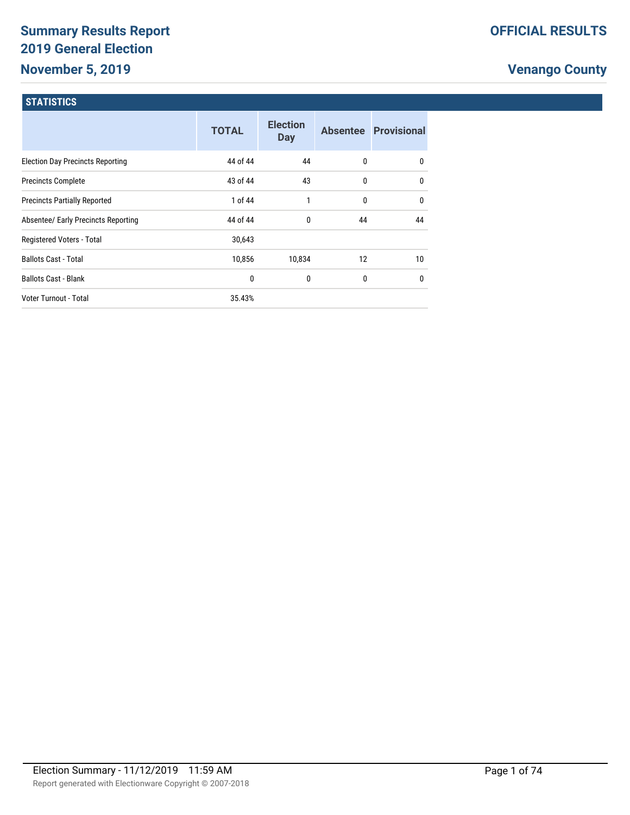# **Summary Results Report 2019 General Election November 5, 2019**

# **Venango County**

#### **STATISTICS**

|                                         | <b>TOTAL</b> | <b>Election</b><br><b>Day</b> |              | Absentee Provisional |
|-----------------------------------------|--------------|-------------------------------|--------------|----------------------|
| <b>Election Day Precincts Reporting</b> | 44 of 44     | 44                            | $\mathbf{0}$ | $\mathbf{0}$         |
| <b>Precincts Complete</b>               | 43 of 44     | 43                            | $\mathbf{0}$ | 0                    |
| <b>Precincts Partially Reported</b>     | 1 of 44      | 1                             | 0            | $\mathbf{0}$         |
| Absentee/ Early Precincts Reporting     | 44 of 44     | 0                             | 44           | 44                   |
| Registered Voters - Total               | 30,643       |                               |              |                      |
| <b>Ballots Cast - Total</b>             | 10,856       | 10,834                        | 12           | 10 <sup>1</sup>      |
| <b>Ballots Cast - Blank</b>             | 0            | 0                             | $\mathbf{0}$ | 0                    |
| Voter Turnout - Total                   | 35.43%       |                               |              |                      |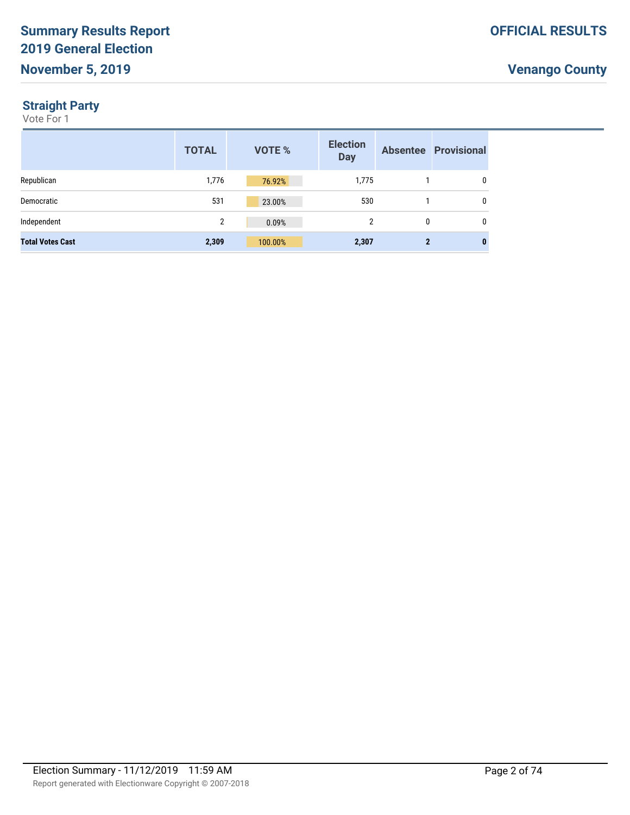#### **Straight Party**

|                         | <b>TOTAL</b> | <b>VOTE %</b> | <b>Election</b><br><b>Day</b> |          | <b>Absentee Provisional</b> |
|-------------------------|--------------|---------------|-------------------------------|----------|-----------------------------|
| Republican              | 1,776        | 76.92%        | 1,775                         |          | 0                           |
| Democratic              | 531          | 23.00%        | 530                           |          | 0                           |
| Independent             | 2            | 0.09%         | $\overline{2}$                | $\Omega$ | $\mathbf{0}$                |
| <b>Total Votes Cast</b> | 2,309        | 100.00%       | 2,307                         |          | $\mathbf{0}$                |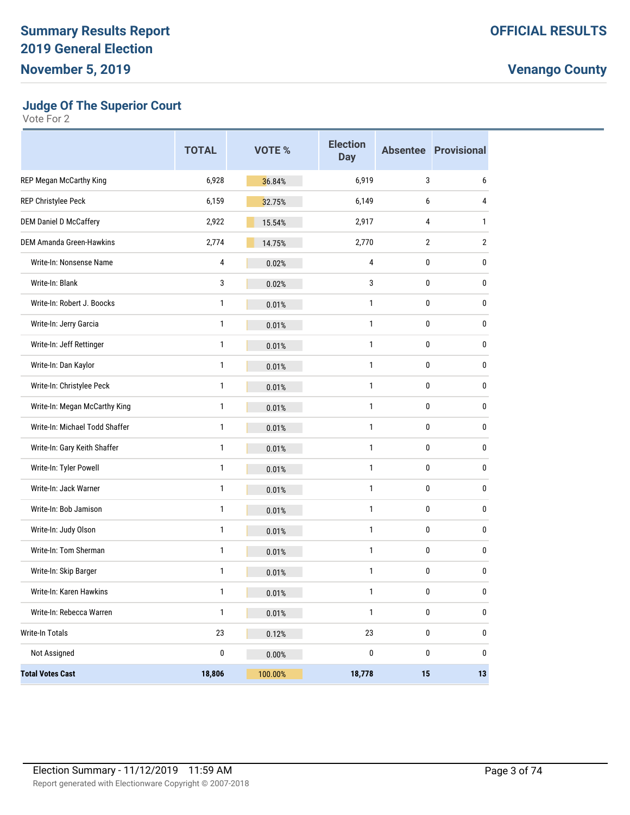**Judge Of The Superior Court**

|                                 | <b>TOTAL</b> | <b>VOTE %</b> | <b>Election</b><br><b>Day</b> |                | <b>Absentee Provisional</b> |
|---------------------------------|--------------|---------------|-------------------------------|----------------|-----------------------------|
| REP Megan McCarthy King         | 6,928        | 36.84%        | 6,919                         | 3              | 6                           |
| REP Christylee Peck             | 6,159        | 32.75%        | 6,149                         | 6              | 4                           |
| <b>DEM Daniel D McCaffery</b>   | 2,922        | 15.54%        | 2,917                         | 4              | $\mathbf{1}$                |
| <b>DEM Amanda Green-Hawkins</b> | 2,774        | 14.75%        | 2,770                         | $\overline{2}$ | $\overline{2}$              |
| Write-In: Nonsense Name         | 4            | 0.02%         | 4                             | 0              | 0                           |
| Write-In: Blank                 | 3            | 0.02%         | 3                             | $\pmb{0}$      | $\pmb{0}$                   |
| Write-In: Robert J. Boocks      | 1            | 0.01%         | 1                             | $\pmb{0}$      | $\pmb{0}$                   |
| Write-In: Jerry Garcia          | 1            | 0.01%         | 1                             | 0              | 0                           |
| Write-In: Jeff Rettinger        | $\mathbf{1}$ | 0.01%         | 1                             | $\pmb{0}$      | $\pmb{0}$                   |
| Write-In: Dan Kaylor            | $\mathbf{1}$ | 0.01%         | $\mathbf{1}$                  | $\pmb{0}$      | $\pmb{0}$                   |
| Write-In: Christylee Peck       | 1            | 0.01%         | 1                             | 0              | 0                           |
| Write-In: Megan McCarthy King   | $\mathbf{1}$ | 0.01%         | 1                             | 0              | $\pmb{0}$                   |
| Write-In: Michael Todd Shaffer  | $\mathbf{1}$ | 0.01%         | 1                             | $\pmb{0}$      | $\pmb{0}$                   |
| Write-In: Gary Keith Shaffer    | 1            | 0.01%         | 1                             | 0              | 0                           |
| Write-In: Tyler Powell          | $\mathbf{1}$ | 0.01%         | $\mathbf{1}$                  | $\pmb{0}$      | $\pmb{0}$                   |
| Write-In: Jack Warner           | $\mathbf{1}$ | 0.01%         | $\mathbf{1}$                  | $\pmb{0}$      | $\pmb{0}$                   |
| Write-In: Bob Jamison           | 1            | 0.01%         | 1                             | 0              | 0                           |
| Write-In: Judy Olson            | $\mathbf{1}$ | 0.01%         | 1                             | 0              | $\pmb{0}$                   |
| Write-In: Tom Sherman           | $\mathbf{1}$ | 0.01%         | 1                             | $\pmb{0}$      | $\pmb{0}$                   |
| Write-In: Skip Barger           | 1            | 0.01%         | 1                             | 0              | 0                           |
| Write-In: Karen Hawkins         | 1            | 0.01%         | 1                             | 0              | 0                           |
| Write-In: Rebecca Warren        | $\mathbf{1}$ | 0.01%         | $\mathbf{1}$                  | $\pmb{0}$      | $\pmb{0}$                   |
| Write-In Totals                 | 23           | 0.12%         | 23                            | 0              | $\pmb{0}$                   |
| Not Assigned                    | 0            | 0.00%         | $\pmb{0}$                     | $\pmb{0}$      | $\pmb{0}$                   |
| <b>Total Votes Cast</b>         | 18,806       | 100.00%       | 18,778                        | 15             | 13                          |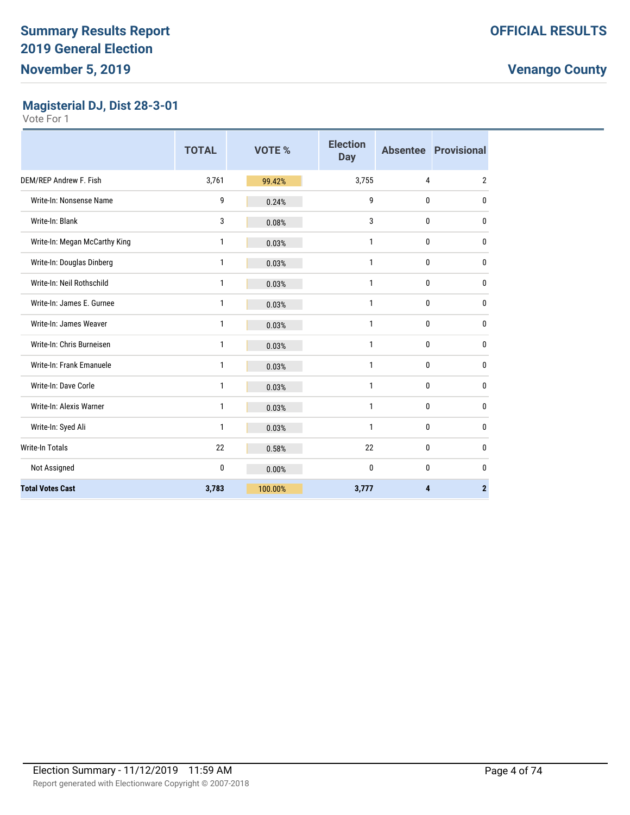#### **Magisterial DJ, Dist 28-3-01**

|                               | <b>TOTAL</b> | <b>VOTE %</b> | <b>Election</b><br><b>Day</b> |                         | <b>Absentee Provisional</b> |
|-------------------------------|--------------|---------------|-------------------------------|-------------------------|-----------------------------|
| DEM/REP Andrew F. Fish        | 3,761        | 99.42%        | 3,755                         | 4                       | $\overline{2}$              |
| Write-In: Nonsense Name       | 9            | 0.24%         | 9                             | 0                       | 0                           |
| Write-In: Blank               | 3            | 0.08%         | 3                             | 0                       | 0                           |
| Write-In: Megan McCarthy King | 1            | 0.03%         | 1                             | 0                       | 0                           |
| Write-In: Douglas Dinberg     | 1            | 0.03%         | 1                             | 0                       | 0                           |
| Write-In: Neil Rothschild     | $\mathbf{1}$ | 0.03%         | 1                             | 0                       | 0                           |
| Write-In: James E. Gurnee     | 1            | 0.03%         | 1                             | 0                       | 0                           |
| Write-In: James Weaver        | 1            | 0.03%         | 1                             | 0                       | 0                           |
| Write-In: Chris Burneisen     | 1            | 0.03%         | 1                             | 0                       | 0                           |
| Write-In: Frank Emanuele      | 1            | 0.03%         | 1                             | 0                       | 0                           |
| Write-In: Dave Corle          | 1            | 0.03%         | 1                             | 0                       | 0                           |
| Write-In: Alexis Warner       | 1            | 0.03%         | 1                             | 0                       | 0                           |
| Write-In: Syed Ali            | 1            | 0.03%         | 1                             | 0                       | 0                           |
| Write-In Totals               | 22           | 0.58%         | 22                            | $\mathbf{0}$            | 0                           |
| Not Assigned                  | 0            | 0.00%         | 0                             | $\mathbf 0$             | 0                           |
| <b>Total Votes Cast</b>       | 3,783        | 100.00%       | 3,777                         | $\overline{\mathbf{4}}$ | $\overline{2}$              |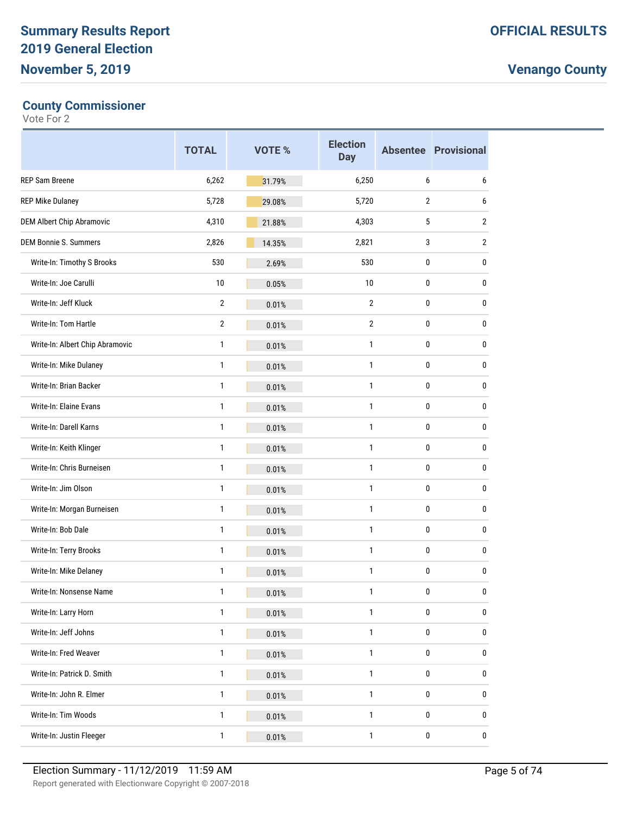#### **County Commissioner**

|                                  | <b>TOTAL</b>   | <b>VOTE %</b> | <b>Election</b><br><b>Day</b> |                | <b>Absentee Provisional</b> |
|----------------------------------|----------------|---------------|-------------------------------|----------------|-----------------------------|
| <b>REP Sam Breene</b>            | 6,262          | 31.79%        | 6,250                         | 6              | 6                           |
| <b>REP Mike Dulaney</b>          | 5,728          | 29.08%        | 5,720                         | $\overline{2}$ | 6                           |
| <b>DEM Albert Chip Abramovic</b> | 4,310          | 21.88%        | 4,303                         | 5              | $\overline{2}$              |
| <b>DEM Bonnie S. Summers</b>     | 2,826          | 14.35%        | 2,821                         | 3              | $\overline{2}$              |
| Write-In: Timothy S Brooks       | 530            | 2.69%         | 530                           | 0              | 0                           |
| Write-In: Joe Carulli            | 10             | 0.05%         | 10                            | 0              | 0                           |
| Write-In: Jeff Kluck             | $\overline{2}$ | 0.01%         | $\overline{2}$                | 0              | 0                           |
| Write-In: Tom Hartle             | $\overline{2}$ | 0.01%         | 2                             | 0              | 0                           |
| Write-In: Albert Chip Abramovic  | 1              | 0.01%         | $\mathbf{1}$                  | 0              | 0                           |
| Write-In: Mike Dulaney           | 1              | 0.01%         | $\mathbf{1}$                  | 0              | 0                           |
| Write-In: Brian Backer           | 1              | 0.01%         | 1                             | 0              | 0                           |
| Write-In: Elaine Evans           | 1              | 0.01%         | 1                             | 0              | 0                           |
| Write-In: Darell Karns           | 1              | 0.01%         | $\mathbf{1}$                  | 0              | 0                           |
| Write-In: Keith Klinger          | 1              | 0.01%         | 1                             | 0              | 0                           |
| Write-In: Chris Burneisen        | 1              | 0.01%         | 1                             | 0              | 0                           |
| Write-In: Jim Olson              | 1              | 0.01%         | $\mathbf{1}$                  | 0              | 0                           |
| Write-In: Morgan Burneisen       | 1              | 0.01%         | 1                             | 0              | 0                           |
| Write-In: Bob Dale               | 1              | 0.01%         | $\mathbf{1}$                  | 0              | 0                           |
| Write-In: Terry Brooks           | 1              | 0.01%         | $\mathbf{1}$                  | 0              | 0                           |
| Write-In: Mike Delaney           | 1              | 0.01%         | 1                             | 0              | 0                           |
| Write-In: Nonsense Name          | 1              | 0.01%         | 1                             | $\mathbf{0}$   | 0                           |
| Write-In: Larry Horn             | $\mathbf{1}$   | 0.01%         | $\mathbf{1}$                  | $\pmb{0}$      | 0                           |
| Write-In: Jeff Johns             | $\mathbf{1}$   | 0.01%         | $\mathbf{1}$                  | $\pmb{0}$      | 0                           |
| Write-In: Fred Weaver            | $\mathbf{1}$   | 0.01%         | 1                             | $\pmb{0}$      | 0                           |
| Write-In: Patrick D. Smith       | $\mathbf{1}$   | 0.01%         | $\mathbf{1}$                  | $\pmb{0}$      | 0                           |
| Write-In: John R. Elmer          | $\mathbf{1}$   | 0.01%         | $\mathbf{1}$                  | $\pmb{0}$      | 0                           |
| Write-In: Tim Woods              | $\mathbf{1}$   | 0.01%         | 1                             | $\pmb{0}$      | 0                           |
| Write-In: Justin Fleeger         | $\mathbf{1}$   | 0.01%         | $\mathbf{1}$                  | $\pmb{0}$      | $\pmb{0}$                   |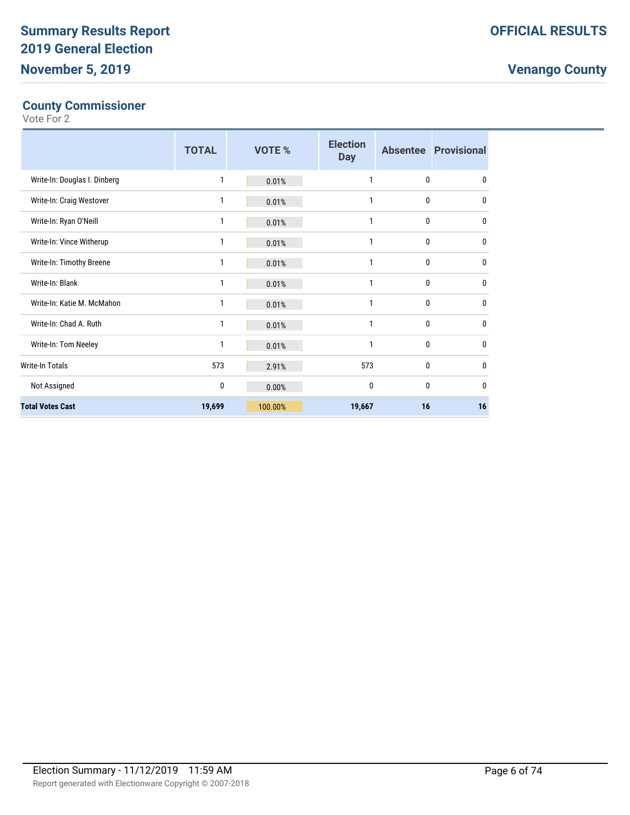#### **County Commissioner**

|                              | <b>TOTAL</b> | <b>VOTE %</b> | <b>Election</b><br><b>Day</b> |              | <b>Absentee Provisional</b> |
|------------------------------|--------------|---------------|-------------------------------|--------------|-----------------------------|
| Write-In: Douglas I. Dinberg | 1            | 0.01%         | 1                             | $\mathbf{0}$ | $\mathbf{0}$                |
| Write-In: Craig Westover     | 1            | 0.01%         | 1                             | 0            | 0                           |
| Write-In: Ryan O'Neill       | 1            | 0.01%         | 1                             | $\mathbf{0}$ | $\mathbf{0}$                |
| Write-In: Vince Witherup     | 1            | 0.01%         | 1                             | $\mathbf{0}$ | $\mathbf{0}$                |
| Write-In: Timothy Breene     | 1            | 0.01%         | 1                             | 0            | $\mathbf{0}$                |
| Write-In: Blank              | 1            | 0.01%         | 1                             | 0            | $\mathbf{0}$                |
| Write-In: Katie M. McMahon   | 1            | 0.01%         | 1                             | 0            | $\mathbf{0}$                |
| Write-In: Chad A. Ruth       | 1            | 0.01%         | 1                             | $\mathbf{0}$ | $\mathbf{0}$                |
| Write-In: Tom Neeley         | 1            | 0.01%         | 1                             | 0            | $\bf{0}$                    |
| Write-In Totals              | 573          | 2.91%         | 573                           | $\mathbf{0}$ | $\mathbf{0}$                |
| Not Assigned                 | 0            | 0.00%         | 0                             | 0            | $\mathbf{0}$                |
| <b>Total Votes Cast</b>      | 19,699       | 100.00%       | 19,667                        | 16           | 16                          |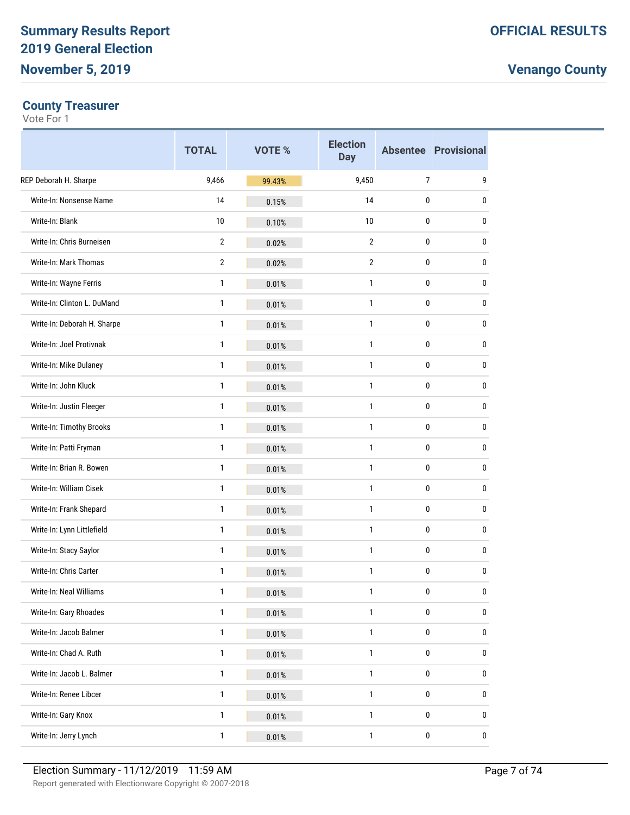#### **County Treasurer**

|                             | <b>TOTAL</b>   | <b>VOTE %</b> | <b>Election</b><br><b>Day</b> |                | <b>Absentee Provisional</b> |
|-----------------------------|----------------|---------------|-------------------------------|----------------|-----------------------------|
| REP Deborah H. Sharpe       | 9,466          | 99.43%        | 9,450                         | $\overline{7}$ | 9                           |
| Write-In: Nonsense Name     | 14             | 0.15%         | 14                            | 0              | 0                           |
| Write-In: Blank             | 10             | 0.10%         | 10                            | 0              | 0                           |
| Write-In: Chris Burneisen   | $\overline{2}$ | 0.02%         | $\overline{2}$                | 0              | 0                           |
| Write-In: Mark Thomas       | $\overline{2}$ | 0.02%         | $\overline{2}$                | 0              | 0                           |
| Write-In: Wayne Ferris      | 1              | 0.01%         | $\mathbf{1}$                  | 0              | 0                           |
| Write-In: Clinton L. DuMand | 1              | 0.01%         | $\mathbf{1}$                  | 0              | 0                           |
| Write-In: Deborah H. Sharpe | 1              | 0.01%         | $\mathbf{1}$                  | 0              | 0                           |
| Write-In: Joel Protivnak    | 1              | 0.01%         | $\mathbf{1}$                  | 0              | 0                           |
| Write-In: Mike Dulaney      | 1              | 0.01%         | $\mathbf{1}$                  | 0              | 0                           |
| Write-In: John Kluck        | 1              | 0.01%         | 1                             | 0              | 0                           |
| Write-In: Justin Fleeger    | 1              | 0.01%         | $\mathbf{1}$                  | 0              | 0                           |
| Write-In: Timothy Brooks    | 1              | 0.01%         | $\mathbf{1}$                  | 0              | 0                           |
| Write-In: Patti Fryman      | 1              | 0.01%         | 1                             | 0              | 0                           |
| Write-In: Brian R. Bowen    | 1              | 0.01%         | $\mathbf{1}$                  | 0              | 0                           |
| Write-In: William Cisek     | 1              | 0.01%         | $\mathbf{1}$                  | 0              | 0                           |
| Write-In: Frank Shepard     | 1              | 0.01%         | 1                             | 0              | 0                           |
| Write-In: Lynn Littlefield  | 1              | 0.01%         | $\mathbf{1}$                  | $\pmb{0}$      | 0                           |
| Write-In: Stacy Saylor      | 1              | 0.01%         | $\mathbf{1}$                  | 0              | 0                           |
| Write-In: Chris Carter      | 1              | 0.01%         | 1                             | 0              | 0                           |
| Write-In: Neal Williams     | 1              | 0.01%         | $\mathbf{1}$                  | 0              | 0                           |
| Write-In: Gary Rhoades      | $\mathbf{1}$   | 0.01%         | $\mathbf{1}$                  | $\pmb{0}$      | 0                           |
| Write-In: Jacob Balmer      | $\mathbf{1}$   | 0.01%         | $\mathbf{1}$                  | $\pmb{0}$      | 0                           |
| Write-In: Chad A. Ruth      | $\mathbf{1}$   | 0.01%         | $\mathbf{1}$                  | $\pmb{0}$      | 0                           |
| Write-In: Jacob L. Balmer   | $\mathbf{1}$   | 0.01%         | $\mathbf{1}$                  | $\pmb{0}$      | 0                           |
| Write-In: Renee Libcer      | $\mathbf{1}$   | 0.01%         | $\mathbf{1}$                  | $\pmb{0}$      | 0                           |
| Write-In: Gary Knox         | $\mathbf{1}$   | 0.01%         | $\mathbf{1}$                  | $\pmb{0}$      | 0                           |
| Write-In: Jerry Lynch       | $\mathbf{1}$   | 0.01%         | $\mathbf{1}$                  | $\pmb{0}$      | 0                           |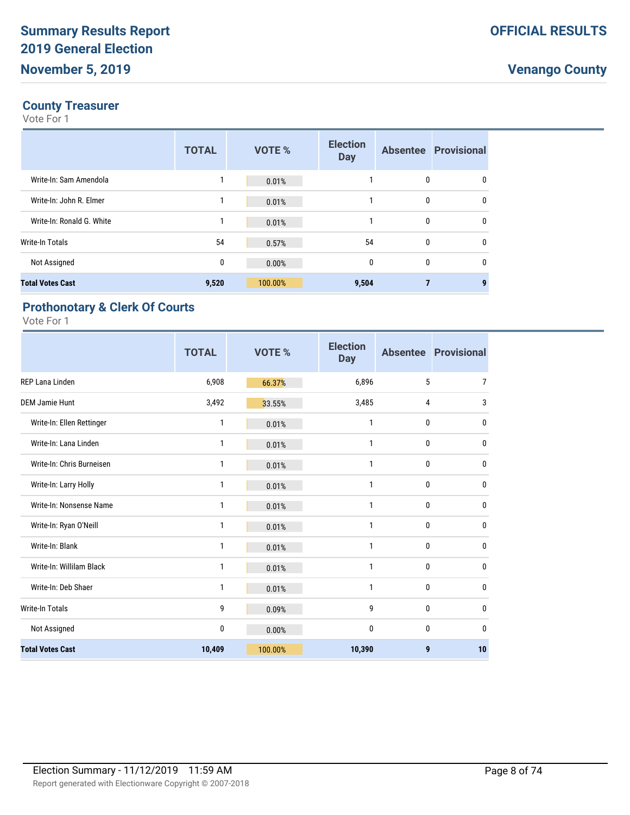#### **County Treasurer**

Vote For 1

|                           | <b>TOTAL</b> | <b>VOTE %</b> | <b>Election</b><br><b>Day</b> |   | <b>Absentee Provisional</b> |
|---------------------------|--------------|---------------|-------------------------------|---|-----------------------------|
| Write-In: Sam Amendola    |              | 0.01%         |                               | 0 | 0                           |
| Write-In: John R. Elmer   |              | 0.01%         |                               | 0 | 0                           |
| Write-In: Ronald G. White | $\mathbf{1}$ | 0.01%         |                               | 0 | 0                           |
| Write-In Totals           | 54           | 0.57%         | 54                            | 0 | 0                           |
| Not Assigned              | 0            | 0.00%         | 0                             | 0 | 0                           |
| <b>Total Votes Cast</b>   | 9,520        | 100.00%       | 9,504                         |   | 9                           |

### **Prothonotary & Clerk Of Courts**

|                           | <b>TOTAL</b> | VOTE %  | <b>Election</b><br><b>Day</b> |                 | <b>Absentee Provisional</b> |
|---------------------------|--------------|---------|-------------------------------|-----------------|-----------------------------|
| <b>REP Lana Linden</b>    | 6,908        | 66.37%  | 6,896                         | $5\phantom{.0}$ | 7                           |
| <b>DEM Jamie Hunt</b>     | 3,492        | 33.55%  | 3,485                         | 4               | 3                           |
| Write-In: Ellen Rettinger | 1            | 0.01%   | 1                             | 0               | $\mathbf{0}$                |
| Write-In: Lana Linden     | 1            | 0.01%   | 1                             | $\mathbf{0}$    | 0                           |
| Write-In: Chris Burneisen | 1            | 0.01%   | 1                             | 0               | $\mathbf{0}$                |
| Write-In: Larry Holly     | 1            | 0.01%   | 1                             | 0               | $\mathbf{0}$                |
| Write-In: Nonsense Name   | 1            | 0.01%   | 1                             | 0               | $\mathbf{0}$                |
| Write-In: Ryan O'Neill    | 1            | 0.01%   | 1                             | $\mathbf{0}$    | $\mathbf{0}$                |
| Write-In: Blank           | 1            | 0.01%   | 1                             | 0               | 0                           |
| Write-In: Willilam Black  | 1            | 0.01%   | 1                             | 0               | $\mathbf{0}$                |
| Write-In: Deb Shaer       | 1            | 0.01%   | 1                             | 0               | $\mathbf{0}$                |
| Write-In Totals           | 9            | 0.09%   | 9                             | 0               | $\mathbf{0}$                |
| Not Assigned              | 0            | 0.00%   | 0                             | $\mathbf{0}$    | 0                           |
| <b>Total Votes Cast</b>   | 10,409       | 100.00% | 10,390                        | 9               | 10                          |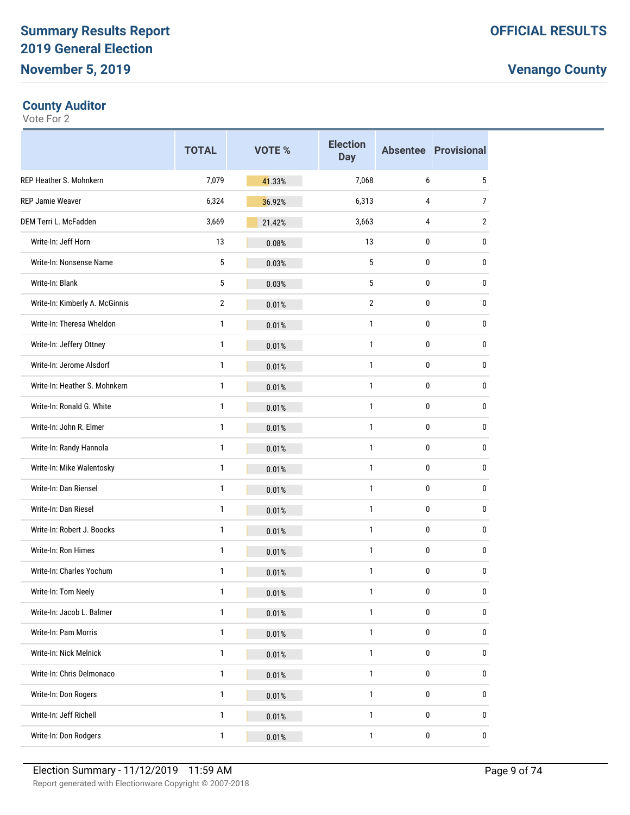#### **County Auditor**

|                                | <b>TOTAL</b>   | <b>VOTE %</b> | <b>Election</b><br><b>Day</b> |             | <b>Absentee Provisional</b> |
|--------------------------------|----------------|---------------|-------------------------------|-------------|-----------------------------|
| <b>REP Heather S. Mohnkern</b> | 7,079          | 41.33%        | 7,068                         | 6           | 5                           |
| REP Jamie Weaver               | 6,324          | 36.92%        | 6,313                         | 4           | 7                           |
| DEM Terri L. McFadden          | 3,669          | 21.42%        | 3,663                         | 4           | 2                           |
| Write-In: Jeff Horn            | 13             | 0.08%         | 13                            | $\mathbf 0$ | 0                           |
| Write-In: Nonsense Name        | 5              | 0.03%         | 5                             | 0           | 0                           |
| Write-In: Blank                | 5              | 0.03%         | 5                             | 0           | 0                           |
| Write-In: Kimberly A. McGinnis | $\overline{2}$ | 0.01%         | $\overline{2}$                | $\bf{0}$    | 0                           |
| Write-In: Theresa Wheldon      | 1              | 0.01%         | $\mathbf{1}$                  | 0           | 0                           |
| Write-In: Jeffery Ottney       | 1              | 0.01%         | 1                             | 0           | 0                           |
| Write-In: Jerome Alsdorf       | 1              | 0.01%         | 1                             | $\bf{0}$    | 0                           |
| Write-In: Heather S. Mohnkern  | 1              | 0.01%         | $\mathbf{1}$                  | 0           | 0                           |
| Write-In: Ronald G. White      | 1              | 0.01%         | 1                             | 0           | 0                           |
| Write-In: John R. Elmer        | 1              | 0.01%         | $\mathbf{1}$                  | $\bf{0}$    | 0                           |
| Write-In: Randy Hannola        | 1              | 0.01%         | $\mathbf{1}$                  | 0           | 0                           |
| Write-In: Mike Walentosky      | 1              | 0.01%         | 1                             | 0           | 0                           |
| Write-In: Dan Riensel          | 1              | 0.01%         | 1                             | $\bf{0}$    | 0                           |
| Write-In: Dan Riesel           | 1              | 0.01%         | $\mathbf{1}$                  | 0           | 0                           |
| Write-In: Robert J. Boocks     | 1              | 0.01%         | 1                             | 0           | 0                           |
| Write-In: Ron Himes            | 1              | 0.01%         | $\mathbf{1}$                  | $\bf{0}$    | 0                           |
| Write-In: Charles Yochum       | $\mathbf{1}$   | 0.01%         | $\mathbf{1}$                  | 0           | 0                           |
| Write-In: Tom Neely            | 1              | 0.01%         | 1                             | 0           | 0                           |
| Write-In: Jacob L. Balmer      | $\mathbf{1}$   | 0.01%         | 1                             | $\pmb{0}$   | 0                           |
| Write-In: Pam Morris           | 1              | 0.01%         | 1                             | 0           | 0                           |
| Write-In: Nick Melnick         | 1              | 0.01%         | 1                             | 0           | 0                           |
| Write-In: Chris Delmonaco      | 1              | 0.01%         | 1                             | $\pmb{0}$   | 0                           |
| Write-In: Don Rogers           | 1              | 0.01%         | $\mathbf{1}$                  | 0           | 0                           |
| Write-In: Jeff Richell         | 1              | 0.01%         | 1                             | 0           | 0                           |
| Write-In: Don Rodgers          | 1              | 0.01%         | $\mathbf{1}$                  | $\pmb{0}$   | $\pmb{0}$                   |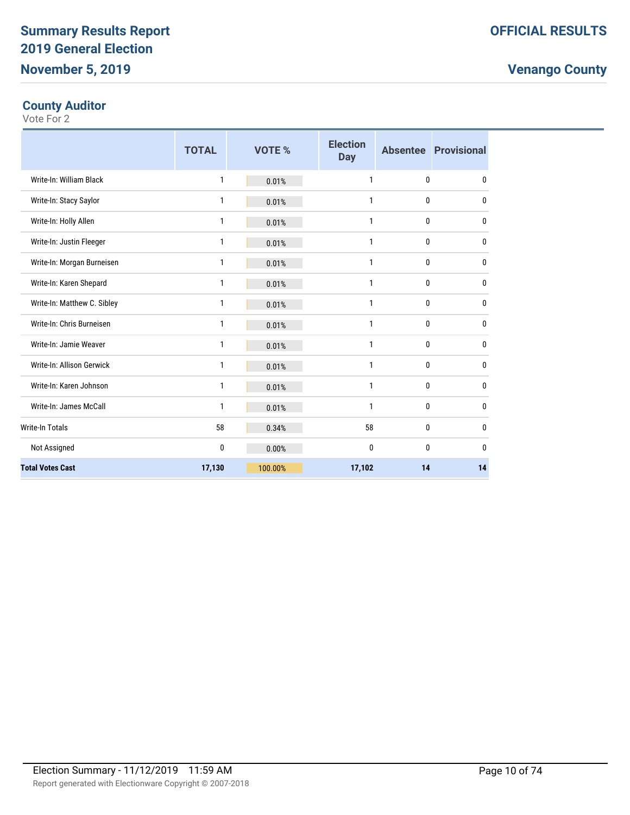#### **County Auditor**

|                             | <b>TOTAL</b> | VOTE %  | <b>Election</b><br><b>Day</b> |              | <b>Absentee Provisional</b> |
|-----------------------------|--------------|---------|-------------------------------|--------------|-----------------------------|
| Write-In: William Black     | 1            | 0.01%   | $\mathbf{1}$                  | $\mathbf{0}$ | 0                           |
| Write-In: Stacy Saylor      | 1            | 0.01%   | $\mathbf{1}$                  | 0            | 0                           |
| Write-In: Holly Allen       | 1            | 0.01%   | $\mathbf{1}$                  | $\mathbf{0}$ | 0                           |
| Write-In: Justin Fleeger    | 1            | 0.01%   | 1                             | 0            | 0                           |
| Write-In: Morgan Burneisen  | 1            | 0.01%   | $\mathbf{1}$                  | $\mathbf 0$  | 0                           |
| Write-In: Karen Shepard     | 1            | 0.01%   | 1                             | $\mathbf 0$  | 0                           |
| Write-In: Matthew C. Sibley | 1            | 0.01%   | $\mathbf{1}$                  | $\mathbf{0}$ | 0                           |
| Write-In: Chris Burneisen   | 1            | 0.01%   | $\mathbf{1}$                  | $\mathbf{0}$ | 0                           |
| Write-In: Jamie Weaver      | 1            | 0.01%   | $\mathbf{1}$                  | $\bf{0}$     | 0                           |
| Write-In: Allison Gerwick   | 1            | 0.01%   | $\mathbf{1}$                  | $\mathbf{0}$ | 0                           |
| Write-In: Karen Johnson     | 1            | 0.01%   | 1                             | $\mathbf{0}$ | $\mathbf{0}$                |
| Write-In: James McCall      | 1            | 0.01%   | $\mathbf{1}$                  | $\mathbf{0}$ | 0                           |
| <b>Write-In Totals</b>      | 58           | 0.34%   | 58                            | $\bf{0}$     | $\mathbf{0}$                |
| Not Assigned                | 0            | 0.00%   | 0                             | $\mathbf{0}$ | $\mathbf{0}$                |
| <b>Total Votes Cast</b>     | 17,130       | 100.00% | 17,102                        | 14           | 14                          |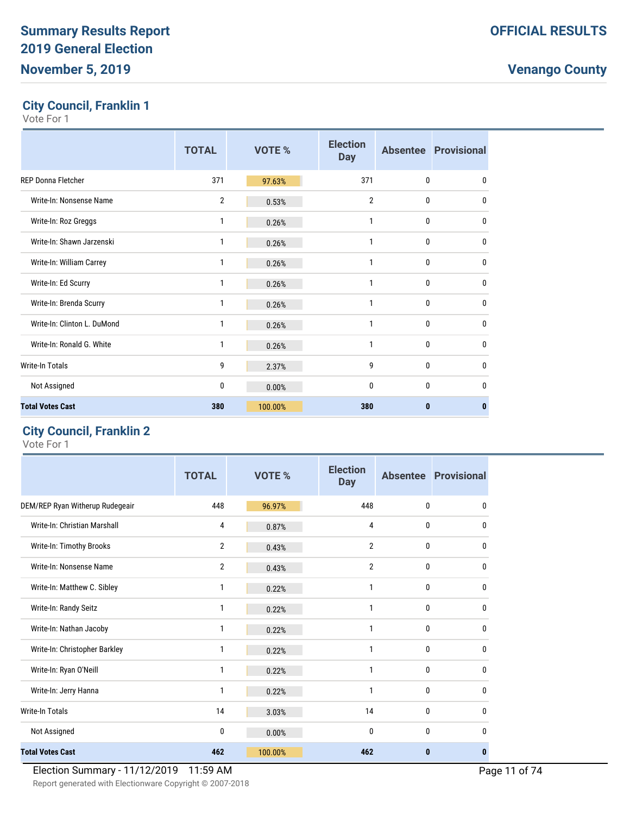### **City Council, Franklin 1**

Vote For 1

|                             | <b>TOTAL</b> | <b>VOTE %</b> | <b>Election</b><br><b>Day</b> |                  | <b>Absentee Provisional</b> |
|-----------------------------|--------------|---------------|-------------------------------|------------------|-----------------------------|
| <b>REP Donna Fletcher</b>   | 371          | 97.63%        | 371                           | $\mathbf{0}$     | $\mathbf{0}$                |
| Write-In: Nonsense Name     | 2            | 0.53%         | 2                             | 0                | 0                           |
| Write-In: Roz Greggs        | 1            | 0.26%         | 1                             | $\boldsymbol{0}$ | $\mathbf{0}$                |
| Write-In: Shawn Jarzenski   | 1            | 0.26%         | 1                             | $\mathbf{0}$     | $\mathbf{0}$                |
| Write-In: William Carrey    | 1            | 0.26%         | 1                             | 0                | $\mathbf{0}$                |
| Write-In: Ed Scurry         | 1            | 0.26%         | 1                             | 0                | 0                           |
| Write-In: Brenda Scurry     | 1            | 0.26%         | 1                             | $\mathbf{0}$     | $\mathbf{0}$                |
| Write-In: Clinton L. DuMond | 1            | 0.26%         | $\mathbf{1}$                  | 0                | $\mathbf{0}$                |
| Write-In: Ronald G. White   | 1            | 0.26%         | 1                             | $\mathbf{0}$     | $\mathbf{0}$                |
| <b>Write-In Totals</b>      | 9            | 2.37%         | 9                             | 0                | $\mathbf{0}$                |
| Not Assigned                | 0            | 0.00%         | $\mathbf{0}$                  | $\mathbf{0}$     | $\mathbf{0}$                |
| <b>Total Votes Cast</b>     | 380          | 100.00%       | 380                           | $\bf{0}$         | 0                           |

#### **City Council, Franklin 2**

Vote For 1

|                                 | <b>TOTAL</b>   | <b>VOTE %</b> | <b>Election</b><br><b>Day</b> |              | <b>Absentee Provisional</b> |
|---------------------------------|----------------|---------------|-------------------------------|--------------|-----------------------------|
| DEM/REP Ryan Witherup Rudegeair | 448            | 96.97%        | 448                           | 0            | 0                           |
| Write-In: Christian Marshall    | 4              | 0.87%         | 4                             | 0            | 0                           |
| Write-In: Timothy Brooks        | 2              | 0.43%         | 2                             | 0            | 0                           |
| Write-In: Nonsense Name         | $\overline{2}$ | 0.43%         | $\overline{2}$                | 0            | 0                           |
| Write-In: Matthew C. Sibley     | 1              | 0.22%         | 1                             | 0            | 0                           |
| Write-In: Randy Seitz           | 1              | 0.22%         | $\mathbf{1}$                  | 0            | 0                           |
| Write-In: Nathan Jacoby         | 1              | 0.22%         | 1                             | 0            | 0                           |
| Write-In: Christopher Barkley   | 1              | 0.22%         | $\mathbf{1}$                  | $\mathbf{0}$ | 0                           |
| Write-In: Ryan O'Neill          | 1              | 0.22%         | $\mathbf{1}$                  | 0            | 0                           |
| Write-In: Jerry Hanna           | 1              | 0.22%         | $\mathbf{1}$                  | $\bf{0}$     | 0                           |
| <b>Write-In Totals</b>          | 14             | 3.03%         | 14                            | 0            | 0                           |
| Not Assigned                    | 0              | 0.00%         | $\mathbf{0}$                  | $\mathbf{0}$ | 0                           |
| <b>Total Votes Cast</b>         | 462            | 100.00%       | 462                           | $\bf{0}$     | $\bf{0}$                    |

#### Election Summary - 11/12/2019 11:59 AM Page 11 of 74

Report generated with Electionware Copyright © 2007-2018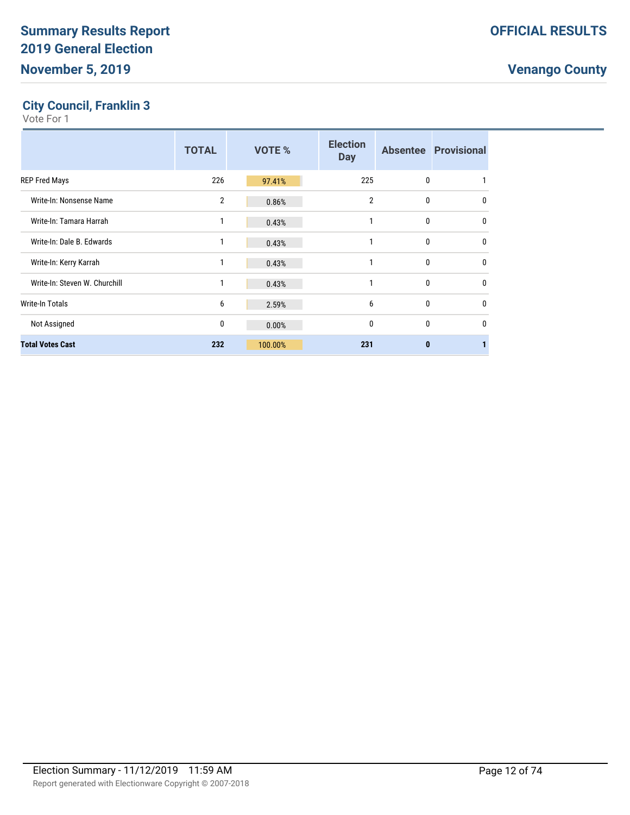#### **City Council, Franklin 3**

|                               | <b>TOTAL</b> | VOTE %  | <b>Election</b><br><b>Day</b> |              | <b>Absentee Provisional</b> |
|-------------------------------|--------------|---------|-------------------------------|--------------|-----------------------------|
| <b>REP Fred Mays</b>          | 226          | 97.41%  | 225                           | 0            |                             |
| Write-In: Nonsense Name       | 2            | 0.86%   | $\overline{2}$                | 0            | $\mathbf{0}$                |
| Write-In: Tamara Harrah       | 1            | 0.43%   | 1                             | 0            | $\mathbf{0}$                |
| Write-In: Dale B. Edwards     | 1            | 0.43%   | 1                             | 0            | $\mathbf{0}$                |
| Write-In: Kerry Karrah        | 1            | 0.43%   | 1                             | 0            | $\mathbf{0}$                |
| Write-In: Steven W. Churchill | 1            | 0.43%   | 1                             | 0            | $\Omega$                    |
| <b>Write-In Totals</b>        | 6            | 2.59%   | 6                             | 0            | $\mathbf{0}$                |
| Not Assigned                  | 0            | 0.00%   | $\mathbf{0}$                  | 0            | $\Omega$                    |
| <b>Total Votes Cast</b>       | 232          | 100.00% | 231                           | $\mathbf{0}$ |                             |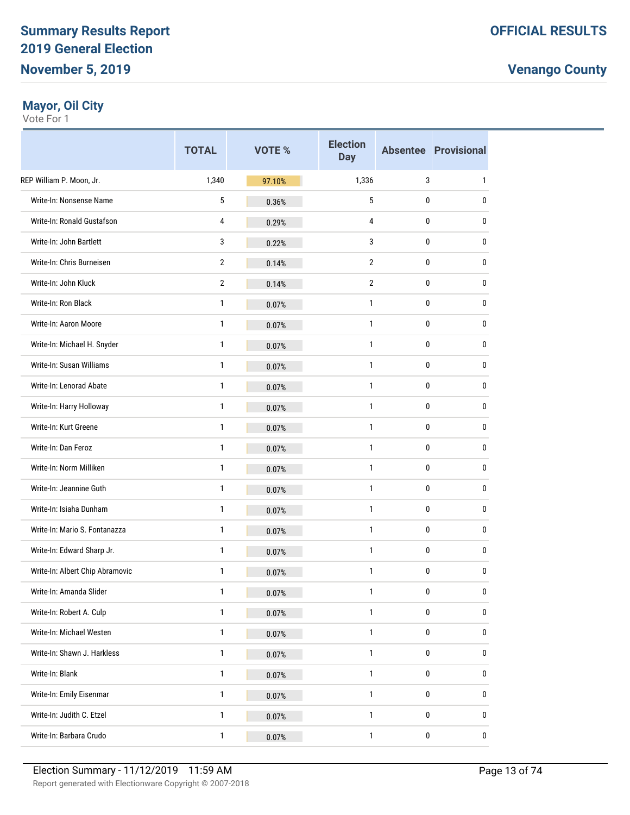#### **Mayor, Oil City**

|                                 | <b>TOTAL</b>   | VOTE % | <b>Election</b><br><b>Day</b> |           | <b>Absentee Provisional</b> |
|---------------------------------|----------------|--------|-------------------------------|-----------|-----------------------------|
| REP William P. Moon, Jr.        | 1,340          | 97.10% | 1,336                         | 3         | 1                           |
| Write-In: Nonsense Name         | 5              | 0.36%  | 5                             | 0         | 0                           |
| Write-In: Ronald Gustafson      | 4              | 0.29%  | 4                             | 0         | 0                           |
| Write-In: John Bartlett         | 3              | 0.22%  | 3                             | 0         | 0                           |
| Write-In: Chris Burneisen       | $\overline{2}$ | 0.14%  | $\overline{2}$                | 0         | 0                           |
| Write-In: John Kluck            | $\overline{2}$ | 0.14%  | $\overline{2}$                | 0         | 0                           |
| Write-In: Ron Black             | 1              | 0.07%  | 1                             | 0         | 0                           |
| Write-In: Aaron Moore           | 1              | 0.07%  | 1                             | 0         | 0                           |
| Write-In: Michael H. Snyder     | 1              | 0.07%  | 1                             | 0         | 0                           |
| Write-In: Susan Williams        | 1              | 0.07%  | 1                             | 0         | 0                           |
| Write-In: Lenorad Abate         | 1              | 0.07%  | 1                             | 0         | 0                           |
| Write-In: Harry Holloway        | 1              | 0.07%  | 1                             | 0         | 0                           |
| Write-In: Kurt Greene           | 1              | 0.07%  | 1                             | 0         | 0                           |
| Write-In: Dan Feroz             | 1              | 0.07%  | 1                             | 0         | 0                           |
| Write-In: Norm Milliken         | 1              | 0.07%  | 1                             | 0         | 0                           |
| Write-In: Jeannine Guth         | 1              | 0.07%  | $\mathbf{1}$                  | 0         | 0                           |
| Write-In: Isiaha Dunham         | 1              | 0.07%  | 1                             | 0         | 0                           |
| Write-In: Mario S. Fontanazza   | 1              | 0.07%  | 1                             | 0         | 0                           |
| Write-In: Edward Sharp Jr.      | 1              | 0.07%  | $\mathbf{1}$                  | 0         | 0                           |
| Write-In: Albert Chip Abramovic | 1              | 0.07%  | 1                             | 0         | 0                           |
| Write-In: Amanda Slider         | 1              | 0.07%  | $\mathbf{1}$                  | 0         | 0                           |
| Write-In: Robert A. Culp        | $\mathbf{1}$   | 0.07%  | $\mathbf{1}$                  | 0         | 0                           |
| Write-In: Michael Westen        | $\mathbf{1}$   | 0.07%  | $\mathbf{1}$                  | $\pmb{0}$ | 0                           |
| Write-In: Shawn J. Harkless     | $\mathbf{1}$   | 0.07%  | 1                             | 0         | 0                           |
| Write-In: Blank                 | $\mathbf{1}$   | 0.07%  | $\mathbf{1}$                  | $\pmb{0}$ | 0                           |
| Write-In: Emily Eisenmar        | $\mathbf{1}$   | 0.07%  | $\mathbf{1}$                  | $\pmb{0}$ | 0                           |
| Write-In: Judith C. Etzel       | $\mathbf{1}$   | 0.07%  | 1                             | 0         | 0                           |
| Write-In: Barbara Crudo         | $\mathbf{1}$   | 0.07%  | 1                             | 0         | 0                           |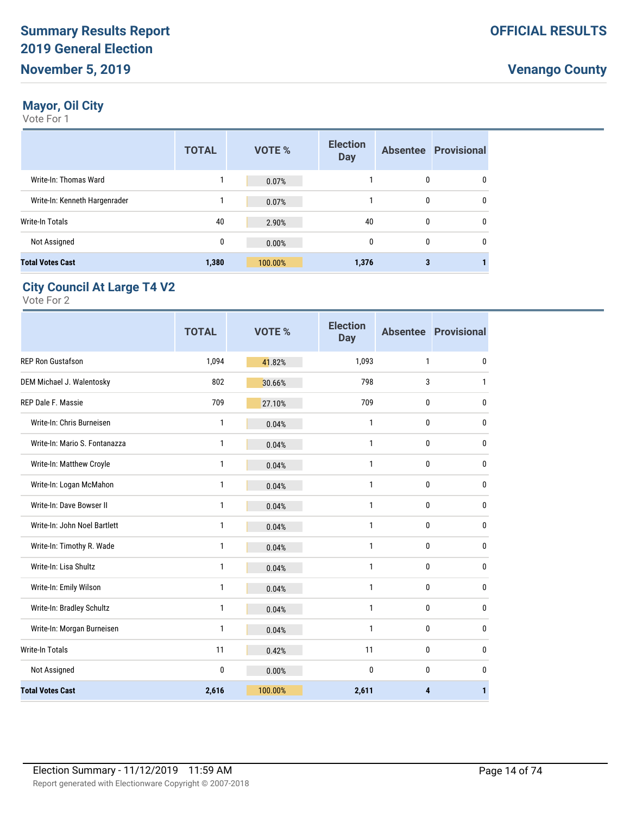### **Mayor, Oil City**

Vote For 1

|                               | <b>TOTAL</b> | VOTE %  | <b>Election</b><br><b>Day</b> |   | <b>Absentee Provisional</b> |
|-------------------------------|--------------|---------|-------------------------------|---|-----------------------------|
| Write-In: Thomas Ward         |              | 0.07%   |                               | 0 | 0                           |
| Write-In: Kenneth Hargenrader |              | 0.07%   |                               | 0 | $\mathbf{0}$                |
| Write-In Totals               | 40           | 2.90%   | 40                            | 0 | $\mathbf{0}$                |
| Not Assigned                  | 0            | 0.00%   | $\mathbf{0}$                  | 0 | $\mathbf{0}$                |
| <b>Total Votes Cast</b>       | 1,380        | 100.00% | 1,376                         | 3 |                             |

### **City Council At Large T4 V2**

|                               | <b>TOTAL</b> | <b>VOTE %</b> | <b>Election</b><br><b>Day</b> |              | <b>Absentee Provisional</b> |
|-------------------------------|--------------|---------------|-------------------------------|--------------|-----------------------------|
| <b>REP Ron Gustafson</b>      | 1,094        | 41.82%        | 1,093                         | 1            | 0                           |
| DEM Michael J. Walentosky     | 802          | 30.66%        | 798                           | 3            | 1                           |
| REP Dale F. Massie            | 709          | 27.10%        | 709                           | 0            | 0                           |
| Write-In: Chris Burneisen     | 1            | 0.04%         | 1                             | $\mathbf{0}$ | 0                           |
| Write-In: Mario S. Fontanazza | 1            | 0.04%         | 1                             | 0            | 0                           |
| Write-In: Matthew Croyle      | 1            | 0.04%         | 1                             | $\mathbf{0}$ | 0                           |
| Write-In: Logan McMahon       | 1            | 0.04%         | 1                             | $\mathbf{0}$ | $\mathbf{0}$                |
| Write-In: Dave Bowser II      | 1            | 0.04%         | 1                             | $\mathbf{0}$ | $\mathbf{0}$                |
| Write-In: John Noel Bartlett  | 1            | 0.04%         | 1                             | 0            | $\mathbf{0}$                |
| Write-In: Timothy R. Wade     | 1            | 0.04%         | 1                             | $\mathbf{0}$ | 0                           |
| Write-In: Lisa Shultz         | 1            | 0.04%         | 1                             | $\mathbf{0}$ | 0                           |
| Write-In: Emily Wilson        | 1            | 0.04%         | 1                             | $\mathbf{0}$ | 0                           |
| Write-In: Bradley Schultz     | 1            | 0.04%         | 1                             | $\mathbf{0}$ | 0                           |
| Write-In: Morgan Burneisen    | 1            | 0.04%         | 1                             | $\mathbf{0}$ | 0                           |
| Write-In Totals               | 11           | 0.42%         | 11                            | $\mathbf{0}$ | 0                           |
| Not Assigned                  | 0            | 0.00%         | $\mathbf{0}$                  | $\mathbf{0}$ | 0                           |
| <b>Total Votes Cast</b>       | 2,616        | 100.00%       | 2,611                         | 4            | 1                           |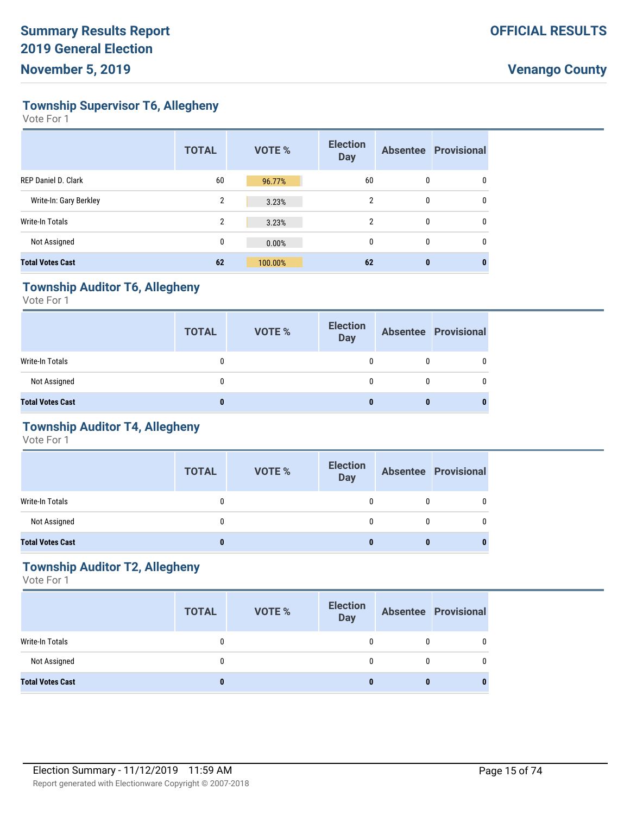**Township Supervisor T6, Allegheny**

Vote For 1

|                            | <b>TOTAL</b>   | <b>VOTE %</b> | <b>Election</b><br><b>Day</b> |   | <b>Absentee Provisional</b> |
|----------------------------|----------------|---------------|-------------------------------|---|-----------------------------|
| <b>REP Daniel D. Clark</b> | 60             | 96.77%        | 60                            | 0 | 0                           |
| Write-In: Gary Berkley     | 2              | 3.23%         | $\overline{2}$                | 0 | 0                           |
| Write-In Totals            | $\overline{2}$ | 3.23%         | $\mathcal{P}$                 | 0 | 0                           |
| Not Assigned               | 0              | 0.00%         | 0                             | 0 | 0                           |
| <b>Total Votes Cast</b>    | 62             | 100.00%       | 62                            | 0 |                             |

#### **Township Auditor T6, Allegheny**

Vote For 1

|                         | <b>TOTAL</b> | <b>VOTE %</b> | <b>Election</b><br><b>Day</b> | <b>Absentee Provisional</b> |
|-------------------------|--------------|---------------|-------------------------------|-----------------------------|
| Write-In Totals         |              |               |                               | 0                           |
| Not Assigned            |              |               |                               | $\Omega$                    |
| <b>Total Votes Cast</b> |              |               |                               |                             |

### **Township Auditor T4, Allegheny**

Vote For 1

|                         | <b>TOTAL</b> | <b>VOTE %</b> | <b>Election</b><br><b>Day</b> |   | <b>Absentee Provisional</b> |
|-------------------------|--------------|---------------|-------------------------------|---|-----------------------------|
| Write-In Totals         |              |               |                               |   |                             |
| Not Assigned            |              |               |                               | 0 |                             |
| <b>Total Votes Cast</b> | 0            |               |                               | 0 |                             |

#### **Township Auditor T2, Allegheny**

|                         | <b>TOTAL</b> | <b>VOTE %</b> | <b>Election</b><br><b>Day</b> | <b>Absentee Provisional</b> |
|-------------------------|--------------|---------------|-------------------------------|-----------------------------|
| <b>Write-In Totals</b>  |              |               |                               |                             |
| Not Assigned            |              |               |                               |                             |
| <b>Total Votes Cast</b> | 0            |               |                               |                             |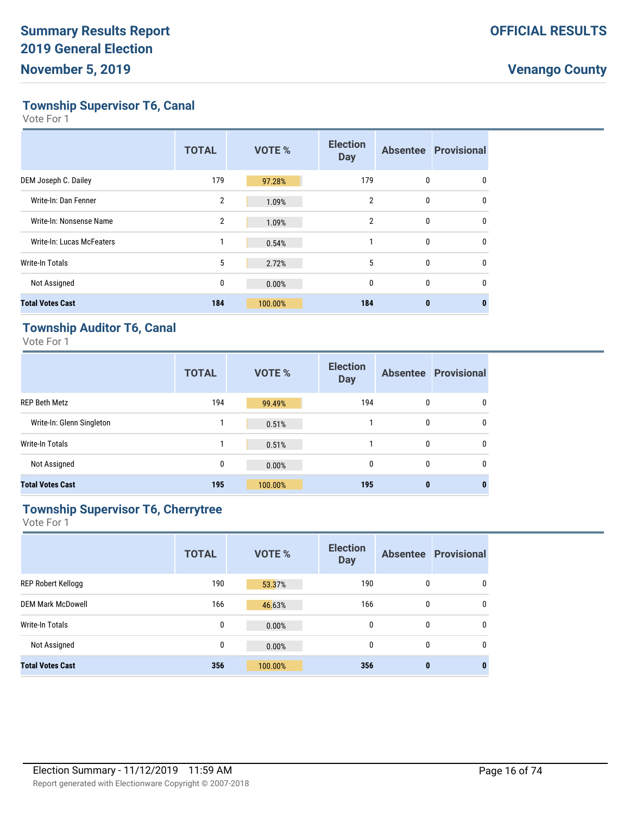**Township Supervisor T6, Canal**

Vote For 1

|                           | <b>TOTAL</b>   | VOTE %  | <b>Election</b><br><b>Day</b> |              | <b>Absentee Provisional</b> |
|---------------------------|----------------|---------|-------------------------------|--------------|-----------------------------|
| DEM Joseph C. Dailey      | 179            | 97.28%  | 179                           | 0            | 0                           |
| Write-In: Dan Fenner      | $\overline{2}$ | 1.09%   | $\overline{2}$                | 0            | $\mathbf{0}$                |
| Write-In: Nonsense Name   | $\overline{2}$ | 1.09%   | $\overline{2}$                | 0            | 0                           |
| Write-In: Lucas McFeaters | 1              | 0.54%   | 1                             | 0            | 0                           |
| Write-In Totals           | 5              | 2.72%   | 5                             | $\mathbf{0}$ | $\Omega$                    |
| Not Assigned              | 0              | 0.00%   | 0                             | 0            | 0                           |
| <b>Total Votes Cast</b>   | 184            | 100.00% | 184                           | $\bf{0}$     | 0                           |

#### **Township Auditor T6, Canal**

Vote For 1

|                           | <b>TOTAL</b> | <b>VOTE %</b> | <b>Election</b><br><b>Day</b> |              | <b>Absentee Provisional</b> |
|---------------------------|--------------|---------------|-------------------------------|--------------|-----------------------------|
| <b>REP Beth Metz</b>      | 194          | 99.49%        | 194                           | $\mathbf{0}$ | 0                           |
| Write-In: Glenn Singleton |              | 0.51%         |                               | $\mathbf{0}$ | 0                           |
| <b>Write-In Totals</b>    |              | 0.51%         |                               | $\mathbf{0}$ | 0                           |
| Not Assigned              | 0            | 0.00%         | $\Omega$                      | $\mathbf{0}$ | $\mathbf{0}$                |
| <b>Total Votes Cast</b>   | 195          | 100.00%       | 195                           | $\bf{0}$     | 0                           |

### **Township Supervisor T6, Cherrytree**

|                           | <b>TOTAL</b> | <b>VOTE %</b> | <b>Election</b><br><b>Day</b> |              | <b>Absentee Provisional</b> |
|---------------------------|--------------|---------------|-------------------------------|--------------|-----------------------------|
| <b>REP Robert Kellogg</b> | 190          | 53.37%        | 190                           | $\mathbf{0}$ | 0                           |
| <b>DEM Mark McDowell</b>  | 166          | 46.63%        | 166                           | 0            | 0                           |
| Write-In Totals           | 0            | 0.00%         | 0                             | 0            | 0                           |
| Not Assigned              | 0            | 0.00%         | $\mathbf{0}$                  | $\mathbf{0}$ | 0                           |
| <b>Total Votes Cast</b>   | 356          | 100.00%       | 356                           | $\bf{0}$     | 0                           |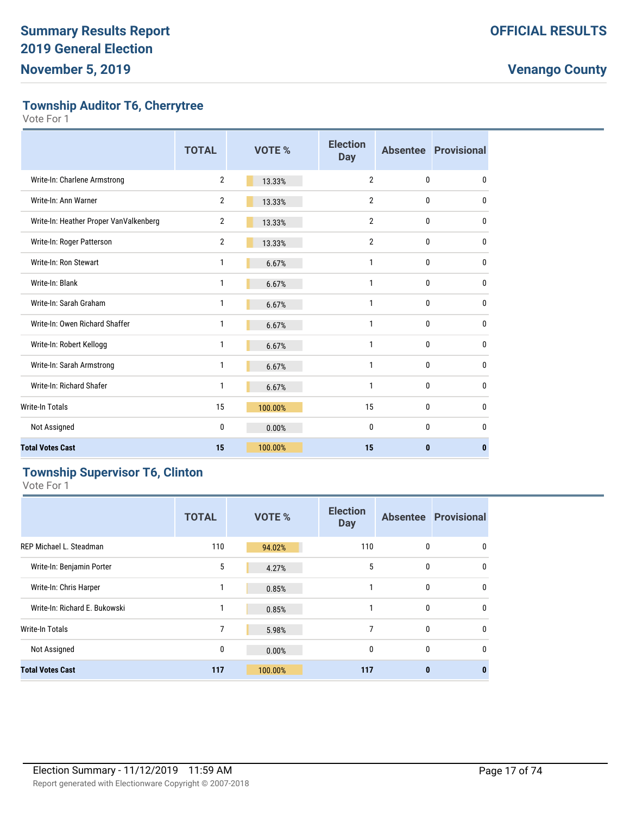**Township Auditor T6, Cherrytree**

Vote For 1

|                                        | <b>TOTAL</b>   | VOTE %  | <b>Election</b><br><b>Day</b> |              | <b>Absentee Provisional</b> |
|----------------------------------------|----------------|---------|-------------------------------|--------------|-----------------------------|
| Write-In: Charlene Armstrong           | $\overline{2}$ | 13.33%  | $\overline{2}$                | $\mathbf{0}$ | 0                           |
| Write-In: Ann Warner                   | $\overline{2}$ | 13.33%  | $\overline{2}$                | 0            | 0                           |
| Write-In: Heather Proper VanValkenberg | 2              | 13.33%  | $\overline{2}$                | $\mathbf{0}$ | $\mathbf{0}$                |
| Write-In: Roger Patterson              | $\overline{2}$ | 13.33%  | $\overline{2}$                | 0            | 0                           |
| Write-In: Ron Stewart                  | 1              | 6.67%   | 1                             | 0            | 0                           |
| Write-In: Blank                        | 1              | 6.67%   | 1                             | 0            | 0                           |
| Write-In: Sarah Graham                 | 1              | 6.67%   | 1                             | 0            | 0                           |
| Write-In: Owen Richard Shaffer         | 1              | 6.67%   | 1                             | $\mathbf{0}$ | 0                           |
| Write-In: Robert Kellogg               | 1              | 6.67%   | 1                             | 0            | 0                           |
| Write-In: Sarah Armstrong              | 1              | 6.67%   | 1                             | 0            | 0                           |
| Write-In: Richard Shafer               | 1              | 6.67%   | 1                             | $\mathbf{0}$ | 0                           |
| <b>Write-In Totals</b>                 | 15             | 100.00% | 15                            | $\mathbf{0}$ | 0                           |
| Not Assigned                           | 0              | 0.00%   | 0                             | $\mathbf{0}$ | 0                           |
| <b>Total Votes Cast</b>                | 15             | 100.00% | 15                            | $\bf{0}$     | 0                           |

### **Township Supervisor T6, Clinton**

|                                | <b>TOTAL</b> | <b>VOTE %</b> | <b>Election</b><br><b>Day</b> |              | <b>Absentee Provisional</b> |
|--------------------------------|--------------|---------------|-------------------------------|--------------|-----------------------------|
| <b>REP Michael L. Steadman</b> | 110          | 94.02%        | 110                           | 0            | 0                           |
| Write-In: Benjamin Porter      | 5            | 4.27%         | 5                             | $\mathbf{0}$ | 0                           |
| Write-In: Chris Harper         | 1            | 0.85%         | 1                             | 0            | 0                           |
| Write-In: Richard E. Bukowski  | 1            | 0.85%         |                               | 0            | 0                           |
| Write-In Totals                | 7            | 5.98%         | 7                             | $\mathbf{0}$ | 0                           |
| Not Assigned                   | 0            | 0.00%         | $\mathbf{0}$                  | $\mathbf{0}$ | 0                           |
| <b>Total Votes Cast</b>        | 117          | 100.00%       | 117                           | $\bf{0}$     | $\bf{0}$                    |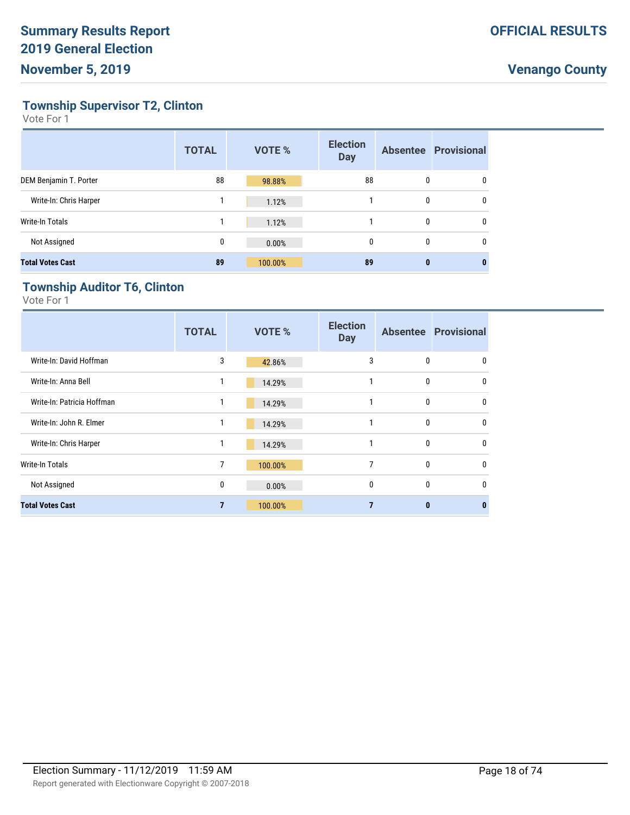**Township Supervisor T2, Clinton**

Vote For 1

|                         | <b>TOTAL</b> | <b>VOTE %</b> | <b>Election</b><br><b>Day</b> |   | <b>Absentee Provisional</b> |
|-------------------------|--------------|---------------|-------------------------------|---|-----------------------------|
| DEM Benjamin T. Porter  | 88           | 98.88%        | 88                            | 0 | 0                           |
| Write-In: Chris Harper  |              | 1.12%         |                               | 0 | 0                           |
| Write-In Totals         |              | 1.12%         |                               | 0 | 0                           |
| Not Assigned            | 0            | 0.00%         | 0                             | 0 | 0                           |
| <b>Total Votes Cast</b> | 89           | 100.00%       | 89                            | 0 | 0                           |

#### **Township Auditor T6, Clinton**

|                            | <b>TOTAL</b>   | <b>VOTE %</b> | <b>Election</b><br><b>Day</b> |              | <b>Absentee Provisional</b> |
|----------------------------|----------------|---------------|-------------------------------|--------------|-----------------------------|
| Write-In: David Hoffman    | 3              | 42.86%        | 3                             | $\mathbf{0}$ | 0                           |
| Write-In: Anna Bell        | 1              | 14.29%        |                               | $\mathbf{0}$ | $\mathbf{0}$                |
| Write-In: Patricia Hoffman | 1              | 14.29%        |                               | $\mathbf{0}$ | $\mathbf{0}$                |
| Write-In: John R. Elmer    |                | 14.29%        |                               | $\mathbf{0}$ | $\mathbf{0}$                |
| Write-In: Chris Harper     |                | 14.29%        | 1                             | $\Omega$     | $\mathbf{0}$                |
| Write-In Totals            | 7              | 100.00%       | 7                             | $\mathbf{0}$ | $\mathbf{0}$                |
| Not Assigned               | 0              | 0.00%         | $\mathbf{0}$                  | $\mathbf{0}$ | $\mathbf{0}$                |
| <b>Total Votes Cast</b>    | $\overline{7}$ | 100.00%       |                               | $\mathbf{0}$ | 0                           |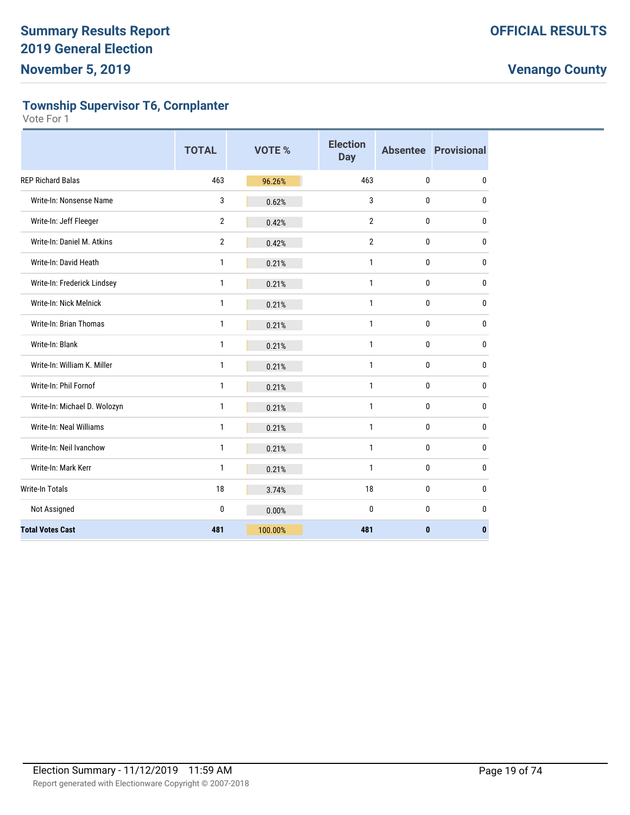**Township Supervisor T6, Cornplanter**

|                              | <b>TOTAL</b>   | <b>VOTE %</b> | <b>Election</b><br><b>Day</b> |              | <b>Absentee Provisional</b> |
|------------------------------|----------------|---------------|-------------------------------|--------------|-----------------------------|
| <b>REP Richard Balas</b>     | 463            | 96.26%        | 463                           | $\mathbf{0}$ | $\mathbf{0}$                |
| Write-In: Nonsense Name      | 3              | 0.62%         | 3                             | 0            | $\mathbf{0}$                |
| Write-In: Jeff Fleeger       | $\overline{2}$ | 0.42%         | $\overline{2}$                | 0            | 0                           |
| Write-In: Daniel M. Atkins   | $\overline{2}$ | 0.42%         | $\overline{2}$                | 0            | $\mathbf{0}$                |
| Write-In: David Heath        | $\mathbf{1}$   | 0.21%         | $\mathbf{1}$                  | 0            | $\bf{0}$                    |
| Write-In: Frederick Lindsey  | 1              | 0.21%         | $\mathbf{1}$                  | 0            | 0                           |
| Write-In: Nick Melnick       | $\mathbf{1}$   | 0.21%         | $\mathbf{1}$                  | 0            | $\bf{0}$                    |
| Write-In: Brian Thomas       | 1              | 0.21%         | $\mathbf{1}$                  | 0            | 0                           |
| Write-In: Blank              | 1              | 0.21%         | $\mathbf{1}$                  | 0            | $\mathbf{0}$                |
| Write-In: William K. Miller  | 1              | 0.21%         | $\mathbf{1}$                  | 0            | $\mathbf{0}$                |
| Write-In: Phil Fornof        | 1              | 0.21%         | $\mathbf{1}$                  | 0            | $\mathbf{0}$                |
| Write-In: Michael D. Wolozyn | 1              | 0.21%         | $\mathbf{1}$                  | 0            | $\mathbf{0}$                |
| Write-In: Neal Williams      | 1              | 0.21%         | 1                             | 0            | $\mathbf{0}$                |
| Write-In: Neil Ivanchow      | 1              | 0.21%         | $\mathbf{1}$                  | 0            | $\mathbf{0}$                |
| Write-In: Mark Kerr          | 1              | 0.21%         | $\mathbf{1}$                  | $\pmb{0}$    | $\bf{0}$                    |
| <b>Write-In Totals</b>       | 18             | 3.74%         | 18                            | 0            | $\mathbf{0}$                |
| Not Assigned                 | $\bf{0}$       | 0.00%         | 0                             | 0            | $\mathbf{0}$                |
| <b>Total Votes Cast</b>      | 481            | 100.00%       | 481                           | $\bf{0}$     | $\mathbf{0}$                |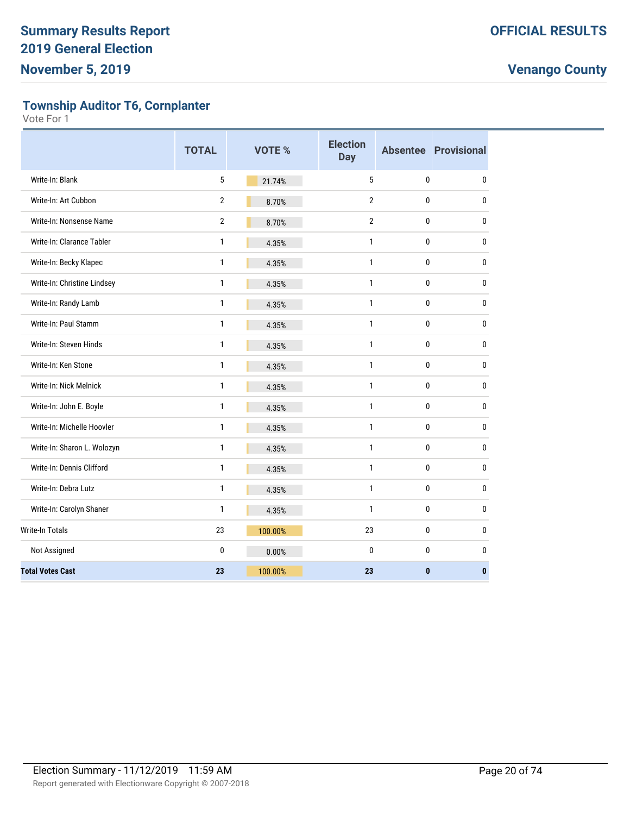**Township Auditor T6, Cornplanter**

|                             | <b>TOTAL</b>   | VOTE %  | <b>Election</b><br><b>Day</b> |              | <b>Absentee Provisional</b> |
|-----------------------------|----------------|---------|-------------------------------|--------------|-----------------------------|
| Write-In: Blank             | 5              | 21.74%  | 5                             | 0            | $\mathbf 0$                 |
| Write-In: Art Cubbon        | $\overline{2}$ | 8.70%   | $\overline{2}$                | 0            | $\mathbf 0$                 |
| Write-In: Nonsense Name     | $\overline{2}$ | 8.70%   | $\overline{2}$                | 0            | $\mathbf 0$                 |
| Write-In: Clarance Tabler   | $\mathbf{1}$   | 4.35%   | $\mathbf{1}$                  | 0            | $\mathbf 0$                 |
| Write-In: Becky Klapec      | $\mathbf{1}$   | 4.35%   | $\mathbf{1}$                  | 0            | $\mathbf 0$                 |
| Write-In: Christine Lindsey | $\mathbf{1}$   | 4.35%   | $\mathbf{1}$                  | 0            | $\mathbf 0$                 |
| Write-In: Randy Lamb        | 1              | 4.35%   | $\mathbf{1}$                  | 0            | $\mathbf 0$                 |
| Write-In: Paul Stamm        | $\mathbf{1}$   | 4.35%   | $\mathbf{1}$                  | 0            | $\pmb{0}$                   |
| Write-In: Steven Hinds      | $\mathbf{1}$   | 4.35%   | $\mathbf{1}$                  | 0            | $\mathbf 0$                 |
| Write-In: Ken Stone         | 1              | 4.35%   | $\mathbf{1}$                  | 0            | $\pmb{0}$                   |
| Write-In: Nick Melnick      | $\mathbf{1}$   | 4.35%   | $\mathbf{1}$                  | 0            | $\mathbf 0$                 |
| Write-In: John E. Boyle     | 1              | 4.35%   | $\mathbf{1}$                  | 0            | $\pmb{0}$                   |
| Write-In: Michelle Hoovler  | 1              | 4.35%   | 1                             | 0            | $\mathbf 0$                 |
| Write-In: Sharon L. Wolozyn | 1              | 4.35%   | $\mathbf{1}$                  | 0            | $\mathbf 0$                 |
| Write-In: Dennis Clifford   | 1              | 4.35%   | $\mathbf{1}$                  | 0            | $\mathbf 0$                 |
| Write-In: Debra Lutz        | 1              | 4.35%   | $\mathbf{1}$                  | 0            | $\mathbf 0$                 |
| Write-In: Carolyn Shaner    | 1              | 4.35%   | $\mathbf{1}$                  | 0            | $\mathbf{0}$                |
| <b>Write-In Totals</b>      | 23             | 100.00% | 23                            | 0            | $\mathbf 0$                 |
| Not Assigned                | 0              | 0.00%   | $\mathbf{0}$                  | 0            | $\mathbf 0$                 |
| <b>Total Votes Cast</b>     | 23             | 100.00% | 23                            | $\mathbf{0}$ | $\mathbf{0}$                |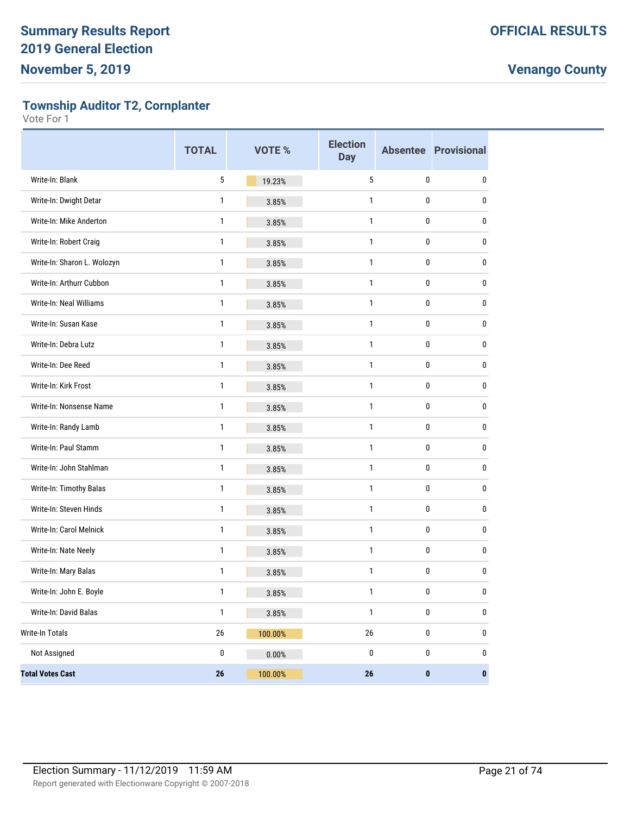**Township Auditor T2, Cornplanter**

|                             | <b>TOTAL</b>    | <b>VOTE %</b> | <b>Election</b><br><b>Day</b> |              | <b>Absentee Provisional</b> |
|-----------------------------|-----------------|---------------|-------------------------------|--------------|-----------------------------|
| Write-In: Blank             | 5               | 19.23%        | 5                             | $\pmb{0}$    | 0                           |
| Write-In: Dwight Detar      | 1               | 3.85%         | 1                             | 0            | 0                           |
| Write-In: Mike Anderton     | 1               | 3.85%         | $\mathbf{1}$                  | $\pmb{0}$    | 0                           |
| Write-In: Robert Craig      | $\mathbf{1}$    | 3.85%         | $\mathbf{1}$                  | $\pmb{0}$    | 0                           |
| Write-In: Sharon L. Wolozyn | 1               | 3.85%         | 1                             | 0            | 0                           |
| Write-In: Arthurr Cubbon    | 1               | 3.85%         | $\mathbf{1}$                  | $\pmb{0}$    | 0                           |
| Write-In: Neal Williams     | $\mathbf{1}$    | 3.85%         | $\mathbf{1}$                  | $\pmb{0}$    | 0                           |
| Write-In: Susan Kase        | 1               | 3.85%         | 1                             | 0            | 0                           |
| Write-In: Debra Lutz        | 1               | 3.85%         | $\mathbf{1}$                  | $\pmb{0}$    | 0                           |
| Write-In: Dee Reed          | $\mathbf{1}$    | 3.85%         | $\mathbf{1}$                  | $\pmb{0}$    | 0                           |
| Write-In: Kirk Frost        | 1               | 3.85%         | 1                             | 0            | 0                           |
| Write-In: Nonsense Name     | 1               | 3.85%         | $\mathbf{1}$                  | $\pmb{0}$    | 0                           |
| Write-In: Randy Lamb        | $\mathbf{1}$    | 3.85%         | $\mathbf{1}$                  | $\pmb{0}$    | 0                           |
| Write-In: Paul Stamm        | 1               | 3.85%         | 1                             | 0            | 0                           |
| Write-In: John Stahlman     | 1               | 3.85%         | $\mathbf{1}$                  | $\pmb{0}$    | 0                           |
| Write-In: Timothy Balas     | $\mathbf{1}$    | 3.85%         | $\mathbf{1}$                  | $\pmb{0}$    | 0                           |
| Write-In: Steven Hinds      | 1               | 3.85%         | 1                             | 0            | 0                           |
| Write-In: Carol Melnick     | 1               | 3.85%         | $\mathbf{1}$                  | $\pmb{0}$    | 0                           |
| Write-In: Nate Neely        | 1               | 3.85%         | $\mathbf{1}$                  | $\pmb{0}$    | 0                           |
| Write-In: Mary Balas        | 1               | 3.85%         | 1                             | 0            | 0                           |
| Write-In: John E. Boyle     | 1               | 3.85%         | $\mathbf{1}$                  | $\mathbf{0}$ | 0                           |
| Write-In: David Balas       | $\mathbf{1}$    | 3.85%         | $\mathbf{1}$                  | $\pmb{0}$    | $\pmb{0}$                   |
| Write-In Totals             | $26\,$          | 100.00%       | 26                            | 0            | 0                           |
| Not Assigned                | $\pmb{0}$       | 0.00%         | $\pmb{0}$                     | $\pmb{0}$    | 0                           |
| <b>Total Votes Cast</b>     | $26\phantom{.}$ | 100.00%       | 26                            | $\pmb{0}$    | $\pmb{0}$                   |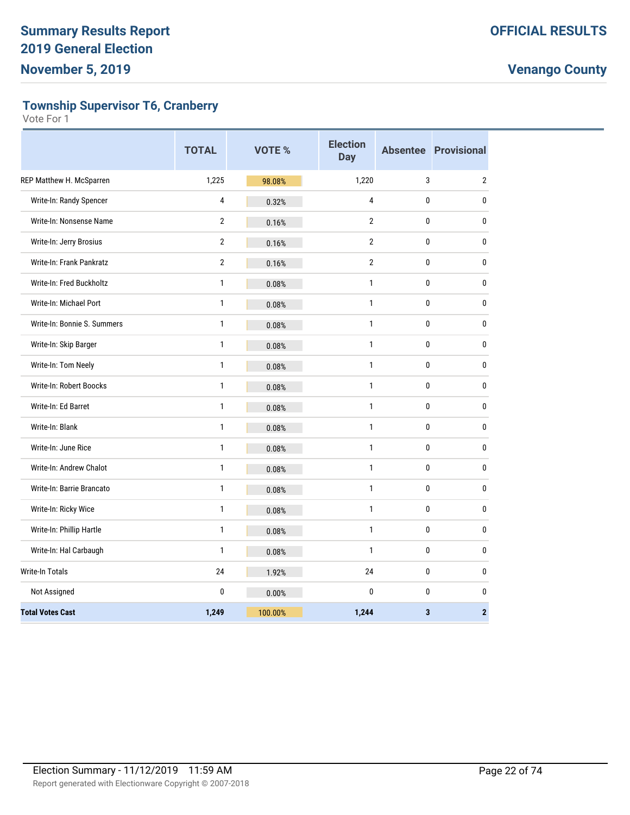**Township Supervisor T6, Cranberry**

|                             | <b>TOTAL</b>            | <b>VOTE %</b> | <b>Election</b><br><b>Day</b> |              | <b>Absentee Provisional</b> |
|-----------------------------|-------------------------|---------------|-------------------------------|--------------|-----------------------------|
| REP Matthew H. McSparren    | 1,225                   | 98.08%        | 1,220                         | 3            | $\overline{2}$              |
| Write-In: Randy Spencer     | $\overline{\mathbf{4}}$ | 0.32%         | $\overline{4}$                | $\pmb{0}$    | $\mathbf{0}$                |
| Write-In: Nonsense Name     | $\overline{2}$          | 0.16%         | $\overline{2}$                | 0            | $\pmb{0}$                   |
| Write-In: Jerry Brosius     | $\overline{2}$          | 0.16%         | $\overline{2}$                | $\bf{0}$     | 0                           |
| Write-In: Frank Pankratz    | $\overline{2}$          | 0.16%         | $\overline{2}$                | $\bf{0}$     | $\pmb{0}$                   |
| Write-In: Fred Buckholtz    | $\mathbf{1}$            | 0.08%         | $\mathbf{1}$                  | 0            | $\mathbf 0$                 |
| Write-In: Michael Port      | $\mathbf{1}$            | 0.08%         | $\mathbf{1}$                  | 0            | $\mathbf 0$                 |
| Write-In: Bonnie S. Summers | $\mathbf{1}$            | 0.08%         | $\mathbf{1}$                  | $\bf{0}$     | 0                           |
| Write-In: Skip Barger       | $\mathbf{1}$            | 0.08%         | $\mathbf{1}$                  | $\bf{0}$     | 0                           |
| Write-In: Tom Neely         | $\mathbf{1}$            | 0.08%         | $\mathbf{1}$                  | $\mathbf{0}$ | $\pmb{0}$                   |
| Write-In: Robert Boocks     | $\mathbf{1}$            | 0.08%         | $\mathbf{1}$                  | $\mathbf{0}$ | 0                           |
| Write-In: Ed Barret         | 1                       | 0.08%         | $\mathbf{1}$                  | $\pmb{0}$    | 0                           |
| Write-In: Blank             | $\mathbf{1}$            | 0.08%         | $\mathbf{1}$                  | 0            | 0                           |
| Write-In: June Rice         | $\mathbf{1}$            | 0.08%         | $\mathbf{1}$                  | 0            | 0                           |
| Write-In: Andrew Chalot     | $\mathbf{1}$            | 0.08%         | $\mathbf{1}$                  | $\bf{0}$     | 0                           |
| Write-In: Barrie Brancato   | $\mathbf{1}$            | 0.08%         | $\mathbf{1}$                  | 0            | $\mathbf 0$                 |
| Write-In: Ricky Wice        | $\mathbf{1}$            | 0.08%         | $\mathbf{1}$                  | $\bf{0}$     | 0                           |
| Write-In: Phillip Hartle    | $\mathbf{1}$            | 0.08%         | $\mathbf{1}$                  | $\mathbf{0}$ | 0                           |
| Write-In: Hal Carbaugh      | $\mathbf{1}$            | 0.08%         | $\mathbf{1}$                  | $\mathbf 0$  | 0                           |
| Write-In Totals             | 24                      | 1.92%         | 24                            | 0            | $\mathbf 0$                 |
| Not Assigned                | $\mathbf{0}$            | 0.00%         | $\mathbf{0}$                  | $\bf{0}$     | $\mathbf 0$                 |
| <b>Total Votes Cast</b>     | 1,249                   | 100.00%       | 1,244                         | $\mathbf 3$  | $\bf 2$                     |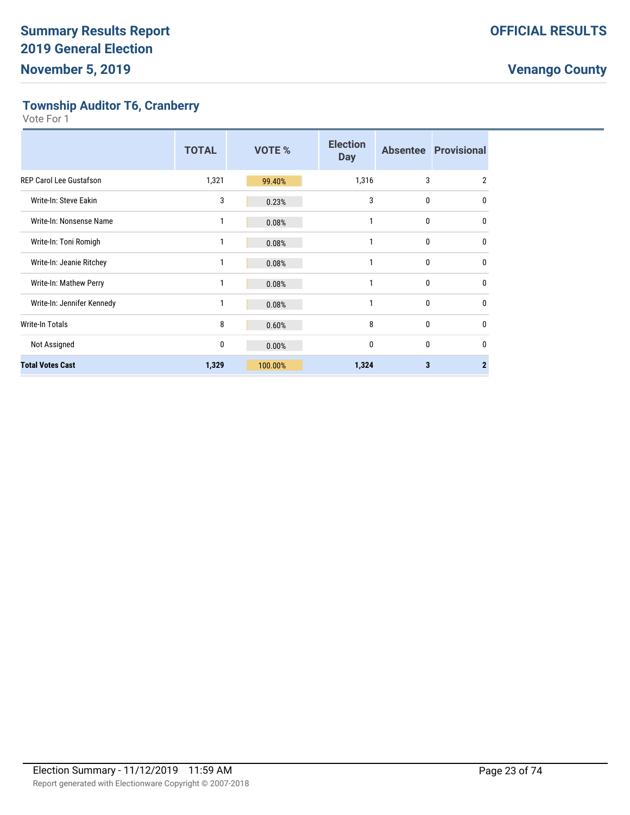**Township Auditor T6, Cranberry**

|                                | <b>TOTAL</b> | <b>VOTE %</b> | <b>Election</b><br><b>Day</b> |   | <b>Absentee Provisional</b> |
|--------------------------------|--------------|---------------|-------------------------------|---|-----------------------------|
| <b>REP Carol Lee Gustafson</b> | 1,321        | 99.40%        | 1,316                         | 3 | $\overline{2}$              |
| Write-In: Steve Eakin          | 3            | 0.23%         | 3                             | 0 | $\mathbf{0}$                |
| Write-In: Nonsense Name        | 1            | 0.08%         | 1                             | 0 | $\mathbf{0}$                |
| Write-In: Toni Romigh          | 1            | 0.08%         | 1                             | 0 | $\mathbf{0}$                |
| Write-In: Jeanie Ritchey       | 1            | 0.08%         | 1                             | 0 | $\mathbf{0}$                |
| Write-In: Mathew Perry         | 1            | 0.08%         | 1                             | 0 | $\Omega$                    |
| Write-In: Jennifer Kennedy     | 1            | 0.08%         | 1                             | 0 | $\mathbf{0}$                |
| <b>Write-In Totals</b>         | 8            | 0.60%         | 8                             | 0 | $\mathbf{0}$                |
| Not Assigned                   | 0            | 0.00%         | $\mathbf{0}$                  | 0 | $\mathbf{0}$                |
| <b>Total Votes Cast</b>        | 1,329        | 100.00%       | 1,324                         | 3 | 2                           |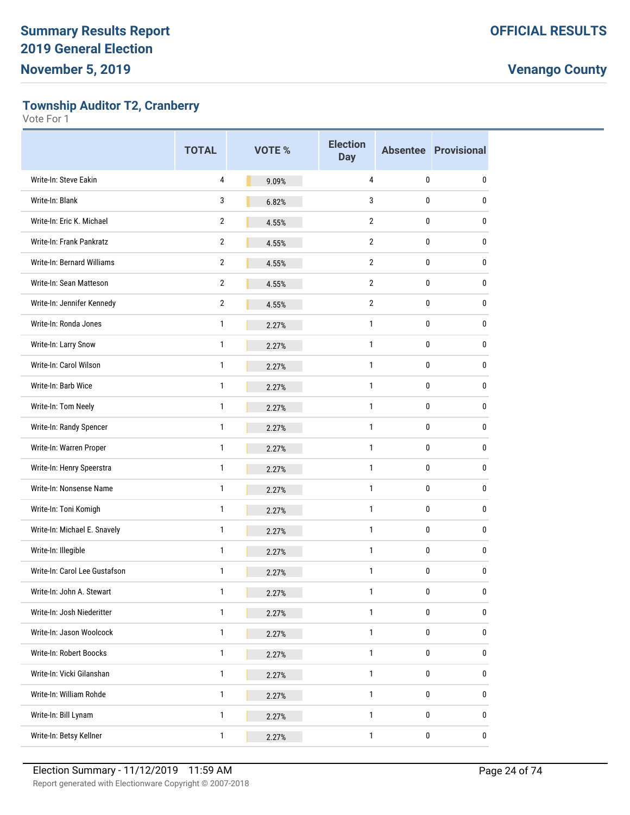**Township Auditor T2, Cranberry**

|                               | <b>TOTAL</b>   | <b>VOTE %</b> | <b>Election</b><br><b>Day</b> |           | <b>Absentee Provisional</b> |
|-------------------------------|----------------|---------------|-------------------------------|-----------|-----------------------------|
| Write-In: Steve Eakin         | 4              | 9.09%         | 4                             | 0         | 0                           |
| Write-In: Blank               | 3              | 6.82%         | 3                             | 0         | 0                           |
| Write-In: Eric K. Michael     | $\overline{2}$ | 4.55%         | $\overline{2}$                | 0         | 0                           |
| Write-In: Frank Pankratz      | $\overline{2}$ | 4.55%         | $\overline{2}$                | 0         | 0                           |
| Write-In: Bernard Williams    | $\overline{2}$ | 4.55%         | 2                             | 0         | 0                           |
| Write-In: Sean Matteson       | $\overline{2}$ | 4.55%         | $\overline{2}$                | 0         | 0                           |
| Write-In: Jennifer Kennedy    | $\overline{2}$ | 4.55%         | $\overline{2}$                | 0         | 0                           |
| Write-In: Ronda Jones         | 1              | 2.27%         | 1                             | 0         | 0                           |
| Write-In: Larry Snow          | $\mathbf{1}$   | 2.27%         | 1                             | 0         | 0                           |
| Write-In: Carol Wilson        | $\mathbf{1}$   | 2.27%         | $\mathbf{1}$                  | 0         | 0                           |
| Write-In: Barb Wice           | 1              | 2.27%         | $\mathbf{1}$                  | 0         | 0                           |
| Write-In: Tom Neely           | $\mathbf{1}$   | 2.27%         | 1                             | 0         | 0                           |
| Write-In: Randy Spencer       | $\mathbf{1}$   | 2.27%         | 1                             | 0         | 0                           |
| Write-In: Warren Proper       | 1              | 2.27%         | $\mathbf{1}$                  | 0         | 0                           |
| Write-In: Henry Speerstra     | $\mathbf{1}$   | 2.27%         | $\mathbf{1}$                  | 0         | 0                           |
| Write-In: Nonsense Name       | $\mathbf{1}$   | 2.27%         | $\mathbf{1}$                  | 0         | 0                           |
| Write-In: Toni Komigh         | 1              | 2.27%         | $\mathbf{1}$                  | 0         | 0                           |
| Write-In: Michael E. Snavely  | $\mathbf{1}$   | 2.27%         | 1                             | 0         | 0                           |
| Write-In: Illegible           | 1              | 2.27%         | 1                             | 0         | 0                           |
| Write-In: Carol Lee Gustafson | 1              | 2.27%         | 1                             | 0         | 0                           |
| Write-In: John A. Stewart     | $\mathbf{1}$   | 2.27%         | $\mathbf{1}$                  | 0         | <sup>0</sup>                |
| Write-In: Josh Niederitter    | $\mathbf{1}$   | 2.27%         | $\mathbf{1}$                  | 0         | 0                           |
| Write-In: Jason Woolcock      | $\mathbf{1}$   | 2.27%         | $\mathbf{1}$                  | 0         | 0                           |
| Write-In: Robert Boocks       | $\mathbf{1}$   | 2.27%         | 1                             | 0         | 0                           |
| Write-In: Vicki Gilanshan     | $\mathbf{1}$   | 2.27%         | $\mathbf{1}$                  | 0         | 0                           |
| Write-In: William Rohde       | $\mathbf{1}$   | 2.27%         | $\mathbf{1}$                  | 0         | 0                           |
| Write-In: Bill Lynam          | $\mathbf{1}$   | 2.27%         | $\mathbf{1}$                  | 0         | 0                           |
| Write-In: Betsy Kellner       | 1              | 2.27%         | $\mathbf{1}$                  | $\pmb{0}$ | 0                           |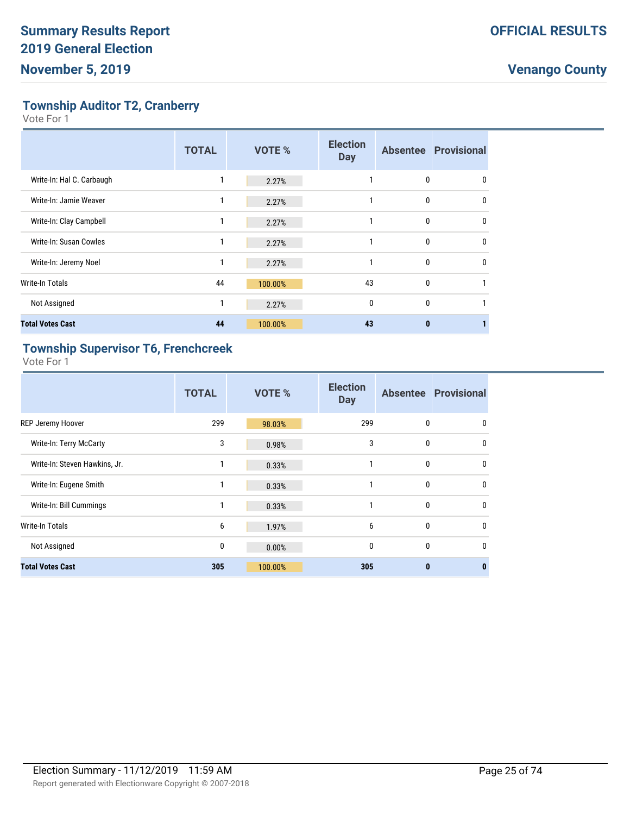**Township Auditor T2, Cranberry**

Vote For 1

|                           | <b>TOTAL</b> | <b>VOTE %</b> | <b>Election</b><br><b>Day</b> |              | <b>Absentee Provisional</b> |
|---------------------------|--------------|---------------|-------------------------------|--------------|-----------------------------|
| Write-In: Hal C. Carbaugh |              | 2.27%         |                               | 0            | 0                           |
| Write-In: Jamie Weaver    | 1            | 2.27%         |                               | 0            | 0                           |
| Write-In: Clay Campbell   | 1            | 2.27%         |                               | 0            | $\Omega$                    |
| Write-In: Susan Cowles    |              | 2.27%         |                               | 0            | $\mathbf{0}$                |
| Write-In: Jeremy Noel     | 1            | 2.27%         |                               | $\mathbf{0}$ | $\Omega$                    |
| Write-In Totals           | 44           | 100.00%       | 43                            | $\mathbf{0}$ |                             |
| Not Assigned              | 1            | 2.27%         | $\mathbf{0}$                  | 0            |                             |
| <b>Total Votes Cast</b>   | 44           | 100.00%       | 43                            | $\bf{0}$     |                             |

### **Township Supervisor T6, Frenchcreek**

|                                | <b>TOTAL</b> | <b>VOTE %</b> | <b>Election</b><br><b>Day</b> |              | <b>Absentee Provisional</b> |
|--------------------------------|--------------|---------------|-------------------------------|--------------|-----------------------------|
| <b>REP Jeremy Hoover</b>       | 299          | 98.03%        | 299                           | 0            | 0                           |
| <b>Write-In: Terry McCarty</b> | 3            | 0.98%         | 3                             | $\mathbf{0}$ | $\mathbf{0}$                |
| Write-In: Steven Hawkins, Jr.  | 1            | 0.33%         | 1                             | $\mathbf{0}$ | $\mathbf{0}$                |
| Write-In: Eugene Smith         | 1            | 0.33%         | 1                             | $\mathbf{0}$ | $\mathbf{0}$                |
| Write-In: Bill Cummings        | 1            | 0.33%         | 1                             | $\mathbf{0}$ | 0                           |
| Write-In Totals                | 6            | 1.97%         | 6                             | $\mathbf{0}$ | $\mathbf{0}$                |
| Not Assigned                   | 0            | 0.00%         | $\mathbf{0}$                  | $\mathbf{0}$ | $\mathbf{0}$                |
| <b>Total Votes Cast</b>        | 305          | 100.00%       | 305                           | $\bf{0}$     | $\mathbf{0}$                |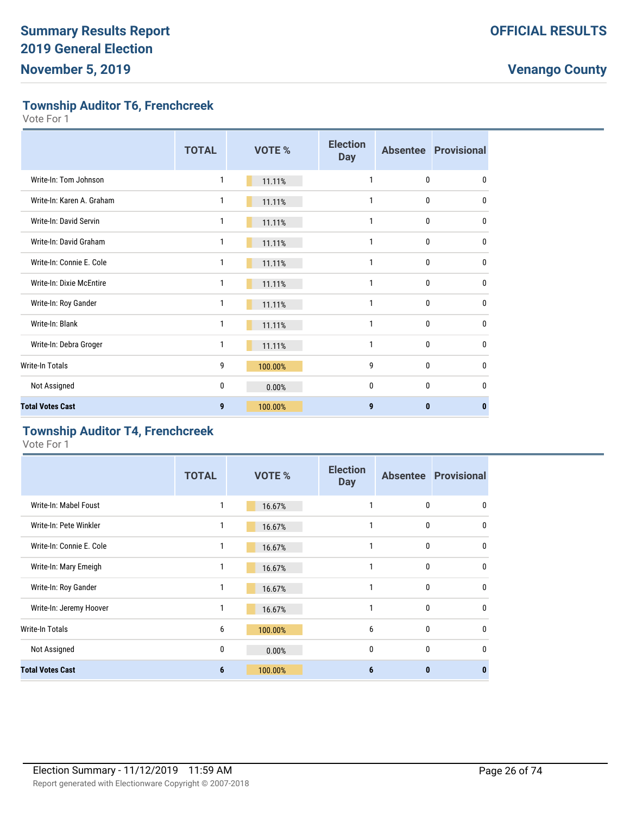**Township Auditor T6, Frenchcreek**

Vote For 1

|                           | <b>TOTAL</b> | <b>VOTE %</b> | <b>Election</b><br><b>Day</b> |              | <b>Absentee Provisional</b> |
|---------------------------|--------------|---------------|-------------------------------|--------------|-----------------------------|
| Write-In: Tom Johnson     | 1            | 11.11%        | 1                             | 0            | 0                           |
| Write-In: Karen A. Graham | 1            | 11.11%        | 1                             | 0            | 0                           |
| Write-In: David Servin    | 1            | 11.11%        | 1                             | 0            | $\mathbf{0}$                |
| Write-In: David Graham    | 1            | 11.11%        | 1                             | 0            | $\mathbf{0}$                |
| Write-In: Connie E. Cole  | 1            | 11.11%        | $\mathbf{1}$                  | 0            | $\mathbf{0}$                |
| Write-In: Dixie McEntire  | 1            | 11.11%        | 1                             | 0            | 0                           |
| Write-In: Roy Gander      | 1            | 11.11%        | 1                             | 0            | $\mathbf{0}$                |
| Write-In: Blank           | 1            | 11.11%        | 1                             | 0            | 0                           |
| Write-In: Debra Groger    | 1            | 11.11%        | 1                             | 0            | $\mathbf{0}$                |
| Write-In Totals           | 9            | 100.00%       | 9                             | 0            | 0                           |
| Not Assigned              | 0            | 0.00%         | $\mathbf{0}$                  | $\mathbf{0}$ | 0                           |
| <b>Total Votes Cast</b>   | 9            | 100.00%       | 9                             | $\bf{0}$     | $\bf{0}$                    |

#### **Township Auditor T4, Frenchcreek**

|                          | <b>TOTAL</b> | <b>VOTE %</b> | <b>Election</b><br><b>Day</b> |              | <b>Absentee Provisional</b> |
|--------------------------|--------------|---------------|-------------------------------|--------------|-----------------------------|
| Write-In: Mabel Foust    |              | 16.67%        |                               | 0            | 0                           |
| Write-In: Pete Winkler   | 1            | 16.67%        | 1                             | $\mathbf{0}$ | $\mathbf{0}$                |
| Write-In: Connie E. Cole | 1            | 16.67%        | 1                             | $\mathbf{0}$ | 0                           |
| Write-In: Mary Emeigh    | 1            | 16.67%        | 1                             | $\mathbf{0}$ | $\mathbf{0}$                |
| Write-In: Roy Gander     | 1            | 16.67%        | 1                             | $\mathbf{0}$ | 0                           |
| Write-In: Jeremy Hoover  | 1            | 16.67%        | 1                             | $\mathbf{0}$ | $\mathbf{0}$                |
| Write-In Totals          | 6            | 100.00%       | 6                             | $\mathbf{0}$ | 0                           |
| Not Assigned             | 0            | 0.00%         | $\mathbf{0}$                  | $\mathbf{0}$ | $\mathbf{0}$                |
| <b>Total Votes Cast</b>  | 6            | 100.00%       | 6                             | $\bf{0}$     | 0                           |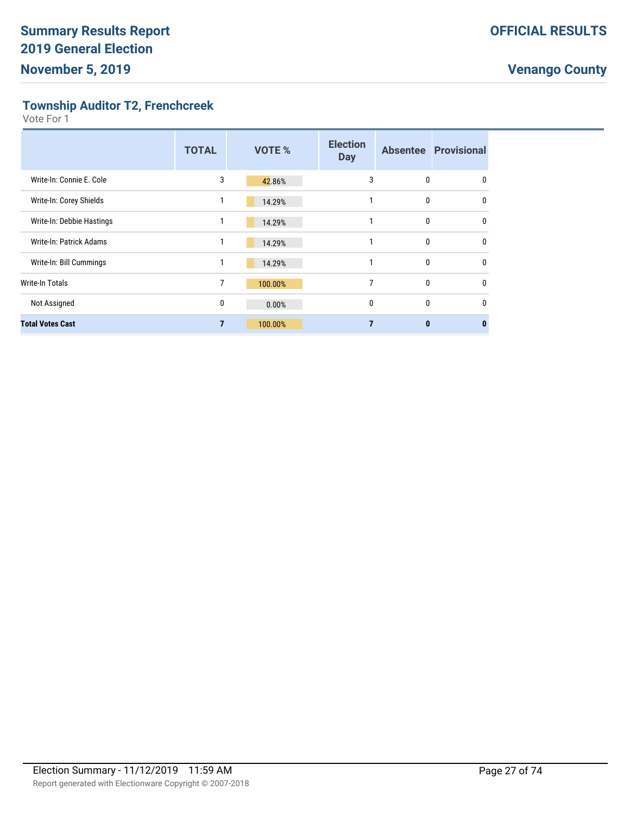**Township Auditor T2, Frenchcreek**

|                                | <b>TOTAL</b> | <b>VOTE %</b> | <b>Election</b><br><b>Day</b> |   | <b>Absentee Provisional</b> |
|--------------------------------|--------------|---------------|-------------------------------|---|-----------------------------|
| Write-In: Connie E. Cole       | 3            | 42.86%        | 3                             | 0 | 0                           |
| Write-In: Corey Shields        |              | 14.29%        |                               | 0 | $\mathbf{0}$                |
| Write-In: Debbie Hastings      |              | 14.29%        |                               | 0 | 0                           |
| <b>Write-In: Patrick Adams</b> | 1            | 14.29%        |                               | 0 | 0                           |
| Write-In: Bill Cummings        |              | 14.29%        |                               | 0 | $\mathbf{0}$                |
| Write-In Totals                | 7            | 100.00%       | 7                             | 0 | 0                           |
| Not Assigned                   | 0            | 0.00%         | 0                             | 0 | $\mathbf{0}$                |
| <b>Total Votes Cast</b>        | 7            | 100.00%       |                               | 0 | n                           |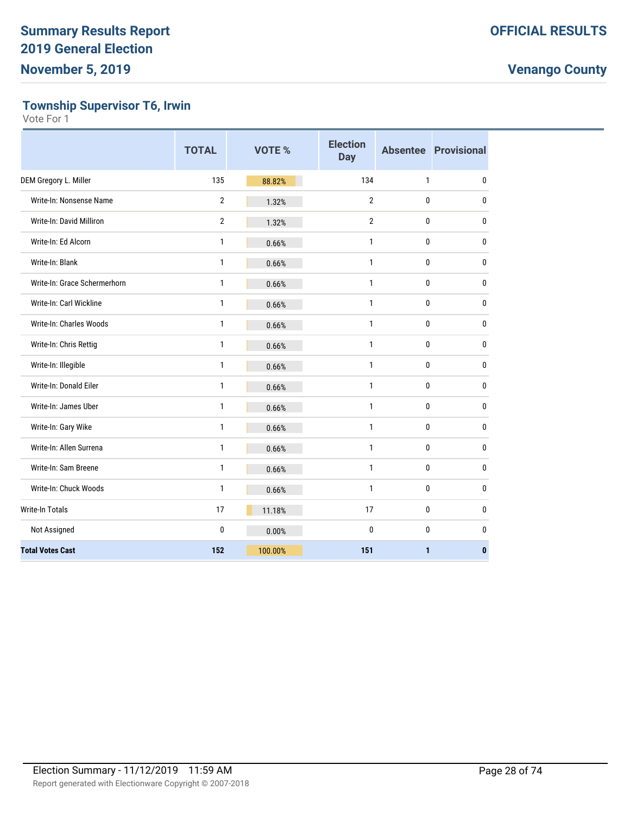**Township Supervisor T6, Irwin**

|                              | <b>TOTAL</b>   | <b>VOTE %</b> | <b>Election</b><br><b>Day</b> |              | <b>Absentee Provisional</b> |
|------------------------------|----------------|---------------|-------------------------------|--------------|-----------------------------|
| DEM Gregory L. Miller        | 135            | 88.82%        | 134                           | $\mathbf{1}$ | $\mathbf 0$                 |
| Write-In: Nonsense Name      | $\overline{2}$ | 1.32%         | $\overline{2}$                | 0            | $\mathbf 0$                 |
| Write-In: David Milliron     | $\overline{2}$ | 1.32%         | $\overline{2}$                | 0            | $\mathbf 0$                 |
| Write-In: Ed Alcorn          | 1              | 0.66%         | 1                             | 0            | 0                           |
| Write-In: Blank              | 1              | 0.66%         | 1                             | 0            | $\mathbf 0$                 |
| Write-In: Grace Schermerhorn | 1              | 0.66%         | 1                             | 0            | $\mathbf 0$                 |
| Write-In: Carl Wickline      | 1              | 0.66%         | $\mathbf{1}$                  | 0            | $\pmb{0}$                   |
| Write-In: Charles Woods      | $\mathbf{1}$   | 0.66%         | 1                             | 0            | $\mathbf 0$                 |
| Write-In: Chris Rettig       | 1              | 0.66%         | 1                             | 0            | $\mathbf 0$                 |
| Write-In: Illegible          | 1              | 0.66%         | $\mathbf{1}$                  | 0            | $\mathbf 0$                 |
| Write-In: Donald Eiler       | 1              | 0.66%         | 1                             | 0            | $\mathbf 0$                 |
| Write-In: James Uber         | $\mathbf{1}$   | 0.66%         | $\mathbf{1}$                  | 0            | $\pmb{0}$                   |
| Write-In: Gary Wike          | $\mathbf{1}$   | 0.66%         | $\mathbf{1}$                  | 0            | $\pmb{0}$                   |
| Write-In: Allen Surrena      | 1              | 0.66%         | 1                             | 0            | $\mathbf{0}$                |
| Write-In: Sam Breene         | 1              | 0.66%         | 1                             | 0            | $\mathbf 0$                 |
| Write-In: Chuck Woods        | $\mathbf{1}$   | 0.66%         | 1                             | 0            | $\mathbf 0$                 |
| <b>Write-In Totals</b>       | 17             | 11.18%        | 17                            | 0            | $\mathbf 0$                 |
| Not Assigned                 | $\bf{0}$       | 0.00%         | $\mathbf{0}$                  | 0            | $\mathbf 0$                 |
| <b>Total Votes Cast</b>      | 152            | 100.00%       | 151                           | 1            | $\mathbf{0}$                |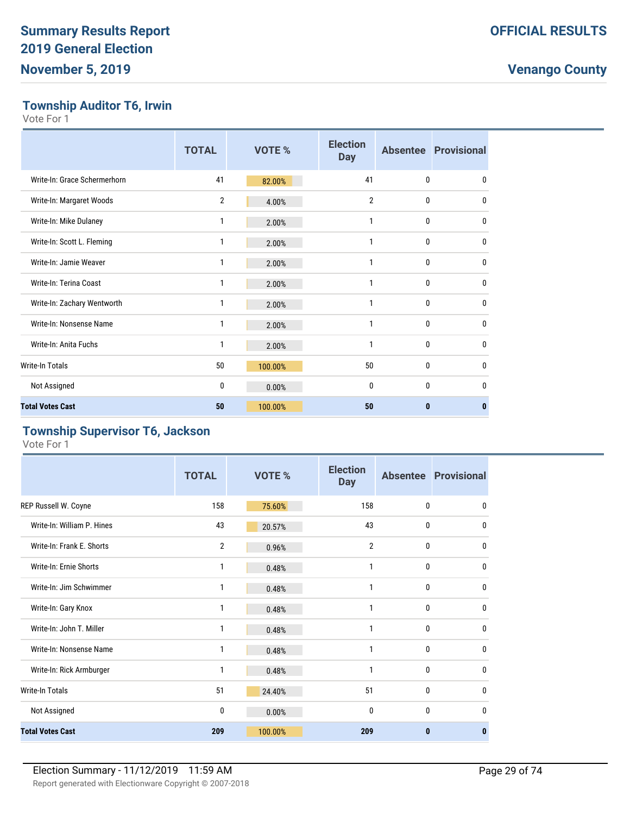### **Township Auditor T6, Irwin**

Vote For 1

|                              | <b>TOTAL</b>   | VOTE %  | <b>Election</b><br><b>Day</b> |              | <b>Absentee Provisional</b> |
|------------------------------|----------------|---------|-------------------------------|--------------|-----------------------------|
| Write-In: Grace Schermerhorn | 41             | 82.00%  | 41                            | $\mathbf{0}$ | $\mathbf{0}$                |
| Write-In: Margaret Woods     | $\overline{2}$ | 4.00%   | $\overline{2}$                | $\mathbf{0}$ | $\mathbf{0}$                |
| Write-In: Mike Dulaney       | 1              | 2.00%   | 1                             | 0            | $\mathbf{0}$                |
| Write-In: Scott L. Fleming   | 1              | 2.00%   | 1                             | $\Omega$     | $\mathbf{0}$                |
| Write-In: Jamie Weaver       | 1              | 2.00%   | 1                             | 0            | $\mathbf{0}$                |
| Write-In: Terina Coast       | 1              | 2.00%   | 1                             | 0            | $\mathbf{0}$                |
| Write-In: Zachary Wentworth  | 1              | 2.00%   | 1                             | $\Omega$     | $\mathbf{0}$                |
| Write-In: Nonsense Name      | 1              | 2.00%   | 1                             | $\mathbf{0}$ | $\mathbf{0}$                |
| Write-In: Anita Fuchs        | 1              | 2.00%   | 1                             | $\mathbf{0}$ | $\mathbf{0}$                |
| Write-In Totals              | 50             | 100.00% | 50                            | 0            | $\mathbf{0}$                |
| Not Assigned                 | 0              | 0.00%   | $\mathbf{0}$                  | $\theta$     | $\mathbf{0}$                |
| <b>Total Votes Cast</b>      | 50             | 100.00% | 50                            | $\bf{0}$     | $\bf{0}$                    |

#### **Township Supervisor T6, Jackson**

|                            | <b>TOTAL</b> | <b>VOTE %</b> | <b>Election</b><br><b>Day</b> |              | <b>Absentee Provisional</b> |
|----------------------------|--------------|---------------|-------------------------------|--------------|-----------------------------|
| REP Russell W. Coyne       | 158          | 75.60%        | 158                           | $\mathbf{0}$ | $\mathbf{0}$                |
| Write-In: William P. Hines | 43           | 20.57%        | 43                            | 0            | 0                           |
| Write-In: Frank E. Shorts  | 2            | 0.96%         | $\overline{2}$                | $\mathbf{0}$ | $\mathbf{0}$                |
| Write-In: Ernie Shorts     | 1            | 0.48%         | 1                             | $\mathbf{0}$ | $\mathbf{0}$                |
| Write-In: Jim Schwimmer    | 1            | 0.48%         | 1                             | $\mathbf{0}$ | $\mathbf{0}$                |
| Write-In: Gary Knox        | 1            | 0.48%         | 1                             | $\mathbf{0}$ | $\mathbf{0}$                |
| Write-In: John T. Miller   | 1            | 0.48%         | 1                             | $\mathbf{0}$ | $\mathbf{0}$                |
| Write-In: Nonsense Name    | 1            | 0.48%         | 1                             | $\mathbf{0}$ | $\mathbf{0}$                |
| Write-In: Rick Armburger   | 1            | 0.48%         | 1                             | $\mathbf{0}$ | $\mathbf{0}$                |
| Write-In Totals            | 51           | 24.40%        | 51                            | $\mathbf{0}$ | 0                           |
| Not Assigned               | 0            | 0.00%         | $\mathbf{0}$                  | $\mathbf{0}$ | $\mathbf{0}$                |
| <b>Total Votes Cast</b>    | 209          | 100.00%       | 209                           | $\bf{0}$     | $\mathbf{0}$                |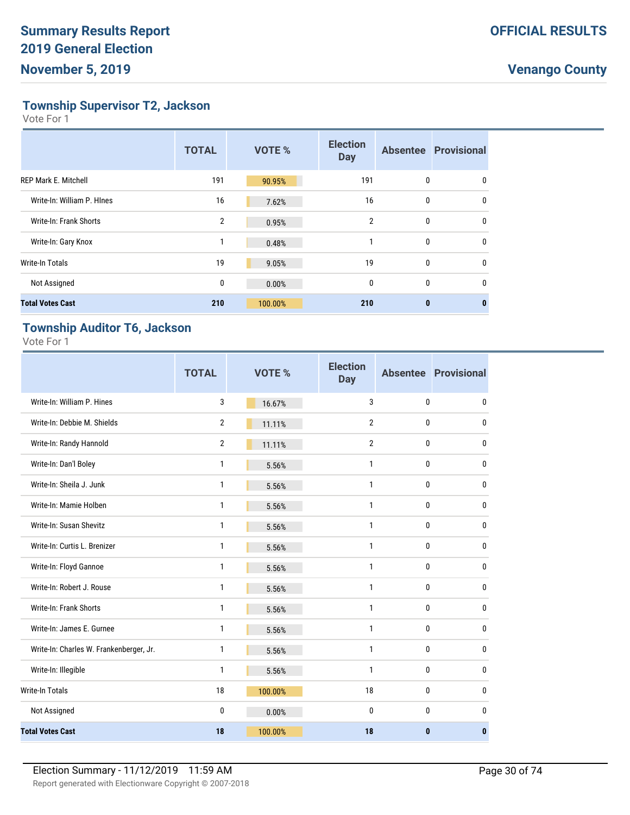**Township Supervisor T2, Jackson**

Vote For 1

|                             | <b>TOTAL</b> | <b>VOTE %</b> | <b>Election</b><br><b>Day</b> |              | <b>Absentee Provisional</b> |
|-----------------------------|--------------|---------------|-------------------------------|--------------|-----------------------------|
| <b>REP Mark E. Mitchell</b> | 191          | 90.95%        | 191                           | 0            | 0                           |
| Write-In: William P. Hines  | 16           | 7.62%         | 16                            | $\mathbf{0}$ | $\mathbf{0}$                |
| Write-In: Frank Shorts      | 2            | 0.95%         | $\overline{2}$                | 0            | $\mathbf{0}$                |
| Write-In: Gary Knox         | 1            | 0.48%         | 1                             | 0            | $\mathbf{0}$                |
| Write-In Totals             | 19           | 9.05%         | 19                            | $\mathbf{0}$ | $\mathbf{0}$                |
| Not Assigned                | 0            | 0.00%         | 0                             | 0            | $\mathbf{0}$                |
| <b>Total Votes Cast</b>     | 210          | 100.00%       | 210                           | $\bf{0}$     | 0                           |

### **Township Auditor T6, Jackson**

|                                         | <b>TOTAL</b>   | <b>VOTE %</b> | <b>Election</b><br><b>Day</b> |              | <b>Absentee Provisional</b> |
|-----------------------------------------|----------------|---------------|-------------------------------|--------------|-----------------------------|
| Write-In: William P. Hines              | 3              | 16.67%        | 3                             | 0            | 0                           |
| Write-In: Debbie M. Shields             | $\overline{2}$ | 11.11%        | $\overline{2}$                | 0            | 0                           |
| Write-In: Randy Hannold                 | $\overline{2}$ | 11.11%        | $\overline{2}$                | 0            | 0                           |
| Write-In: Dan'l Boley                   | 1              | 5.56%         | $\mathbf{1}$                  | 0            | 0                           |
| Write-In: Sheila J. Junk                | 1              | 5.56%         | $\mathbf{1}$                  | 0            | 0                           |
| Write-In: Mamie Holben                  | 1              | 5.56%         | $\mathbf{1}$                  | 0            | 0                           |
| Write-In: Susan Shevitz                 | 1              | 5.56%         | $\mathbf{1}$                  | 0            | $\mathbf{0}$                |
| Write-In: Curtis L. Brenizer            | 1              | 5.56%         | $\mathbf{1}$                  | 0            | $\mathbf{0}$                |
| Write-In: Floyd Gannoe                  | 1              | 5.56%         | $\mathbf{1}$                  | 0            | $\mathbf{0}$                |
| Write-In: Robert J. Rouse               | 1              | 5.56%         | $\mathbf{1}$                  | 0            | $\mathbf{0}$                |
| Write-In: Frank Shorts                  | 1              | 5.56%         | 1                             | 0            | 0                           |
| Write-In: James E. Gurnee               | 1              | 5.56%         | 1                             | $\mathbf{0}$ | $\mathbf{0}$                |
| Write-In: Charles W. Frankenberger, Jr. | 1              | 5.56%         | $\mathbf{1}$                  | $\mathbf{0}$ | $\mathbf{0}$                |
| Write-In: Illegible                     | 1              | 5.56%         | $\mathbf{1}$                  | $\bf{0}$     | $\mathbf{0}$                |
| Write-In Totals                         | 18             | 100.00%       | 18                            | 0            | $\mathbf{0}$                |
| Not Assigned                            | 0              | 0.00%         | $\mathbf{0}$                  | $\mathbf{0}$ | $\mathbf{0}$                |
| <b>Total Votes Cast</b>                 | 18             | 100.00%       | 18                            | $\bf{0}$     | $\mathbf{0}$                |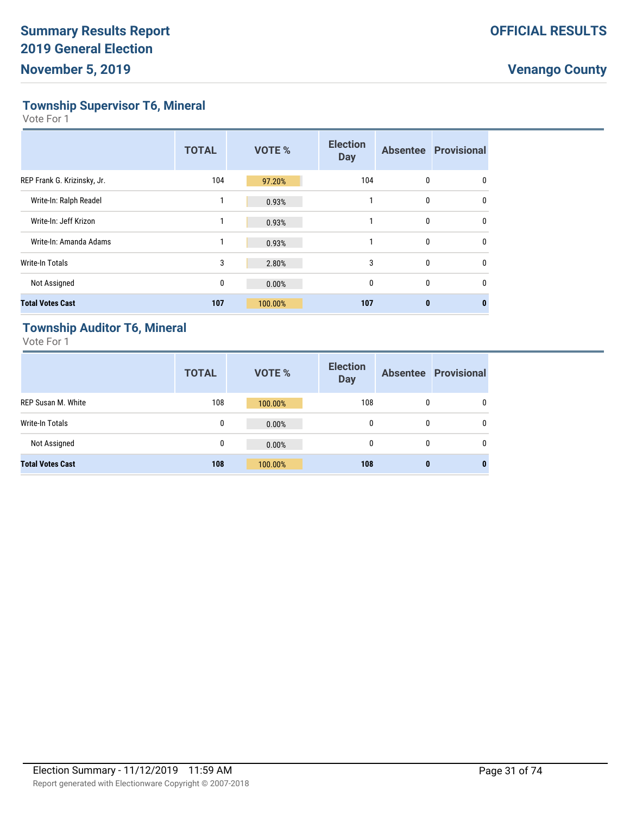**Township Supervisor T6, Mineral**

Vote For 1

|                             | <b>TOTAL</b> | <b>VOTE %</b> | <b>Election</b><br><b>Day</b> |              | <b>Absentee Provisional</b> |
|-----------------------------|--------------|---------------|-------------------------------|--------------|-----------------------------|
| REP Frank G. Krizinsky, Jr. | 104          | 97.20%        | 104                           | 0            | 0                           |
| Write-In: Ralph Readel      |              | 0.93%         |                               | 0            | $\mathbf{0}$                |
| Write-In: Jeff Krizon       | 1            | 0.93%         | 1                             | 0            | $\Omega$                    |
| Write-In: Amanda Adams      | 1            | 0.93%         | 1                             | $\mathbf{0}$ | $\mathbf{0}$                |
| <b>Write-In Totals</b>      | 3            | 2.80%         | 3                             | $\mathbf{0}$ | $\mathbf{0}$                |
| Not Assigned                | 0            | 0.00%         | $\mathbf{0}$                  | 0            | $\Omega$                    |
| <b>Total Votes Cast</b>     | 107          | 100.00%       | 107                           | $\bf{0}$     |                             |

### **Township Auditor T6, Mineral**

|                           | <b>TOTAL</b> | <b>VOTE %</b> | <b>Election</b><br><b>Day</b> |              | <b>Absentee Provisional</b> |
|---------------------------|--------------|---------------|-------------------------------|--------------|-----------------------------|
| <b>REP Susan M. White</b> | 108          | 100.00%       | 108                           | $\Omega$     | $\mathbf{0}$                |
| Write-In Totals           | 0            | 0.00%         | 0                             | $\mathbf{0}$ | $\mathbf{0}$                |
| Not Assigned              | 0            | 0.00%         | 0                             | $\Omega$     | $\mathbf{0}$                |
| <b>Total Votes Cast</b>   | 108          | 100.00%       | 108                           | 0            | $\bf{0}$                    |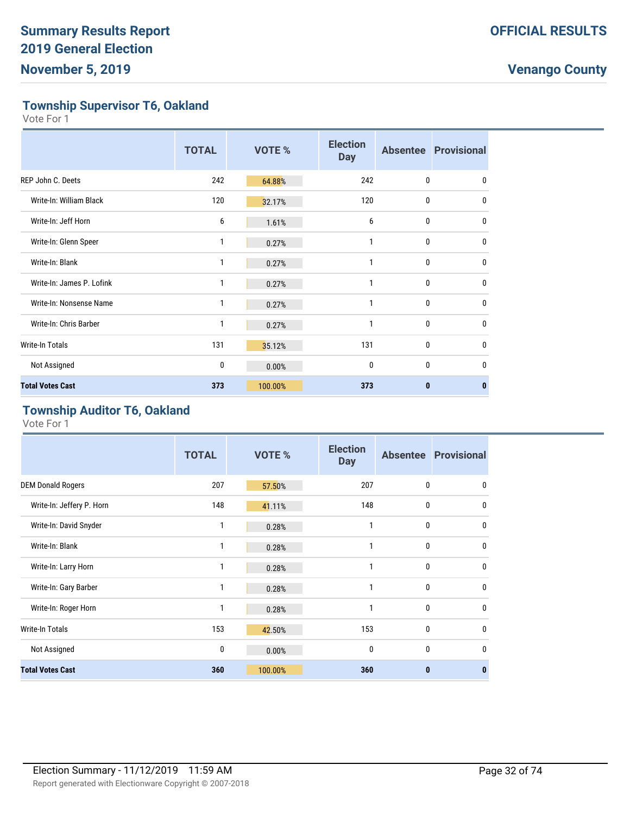**Township Supervisor T6, Oakland**

Vote For 1

|                           | <b>TOTAL</b> | VOTE %  | <b>Election</b><br><b>Day</b> |              | <b>Absentee Provisional</b> |
|---------------------------|--------------|---------|-------------------------------|--------------|-----------------------------|
| <b>REP John C. Deets</b>  | 242          | 64.88%  | 242                           | $\mathbf{0}$ | $\mathbf{0}$                |
| Write-In: William Black   | 120          | 32.17%  | 120                           | 0            | 0                           |
| Write-In: Jeff Horn       | 6            | 1.61%   | 6                             | $\mathbf{0}$ | 0                           |
| Write-In: Glenn Speer     | 1            | 0.27%   | 1                             | 0            | $\mathbf{0}$                |
| Write-In: Blank           | 1            | 0.27%   | 1                             | $\mathbf{0}$ | $\mathbf{0}$                |
| Write-In: James P. Lofink | 1            | 0.27%   | 1                             | $\mathbf{0}$ | $\mathbf{0}$                |
| Write-In: Nonsense Name   | 1            | 0.27%   | $\mathbf{1}$                  | $\mathbf{0}$ | $\mathbf{0}$                |
| Write-In: Chris Barber    | 1            | 0.27%   | 1                             | 0            | $\mathbf 0$                 |
| <b>Write-In Totals</b>    | 131          | 35.12%  | 131                           | 0            | $\mathbf{0}$                |
| Not Assigned              | 0            | 0.00%   | $\mathbf{0}$                  | $\mathbf{0}$ | $\mathbf{0}$                |
| <b>Total Votes Cast</b>   | 373          | 100.00% | 373                           | $\bf{0}$     | $\bf{0}$                    |

### **Township Auditor T6, Oakland**

|                           | <b>TOTAL</b> | VOTE %  | <b>Election</b><br><b>Day</b> |              | <b>Absentee Provisional</b> |
|---------------------------|--------------|---------|-------------------------------|--------------|-----------------------------|
| <b>DEM Donald Rogers</b>  | 207          | 57.50%  | 207                           | $\mathbf{0}$ | $\mathbf{0}$                |
| Write-In: Jeffery P. Horn | 148          | 41.11%  | 148                           | $\mathbf{0}$ | $\mathbf{0}$                |
| Write-In: David Snyder    | 1            | 0.28%   | 1                             | 0            | $\mathbf{0}$                |
| Write-In: Blank           | 1            | 0.28%   | 1                             | 0            | 0                           |
| Write-In: Larry Horn      | 1            | 0.28%   | 1                             | 0            | $\mathbf{0}$                |
| Write-In: Gary Barber     | 1            | 0.28%   | 1                             | 0            | $\mathbf{0}$                |
| Write-In: Roger Horn      | 1            | 0.28%   | 1                             | 0            | $\mathbf{0}$                |
| Write-In Totals           | 153          | 42.50%  | 153                           | $\mathbf{0}$ | $\mathbf{0}$                |
| Not Assigned              | 0            | 0.00%   | $\mathbf{0}$                  | 0            | $\Omega$                    |
| <b>Total Votes Cast</b>   | 360          | 100.00% | 360                           | $\mathbf{0}$ | $\bf{0}$                    |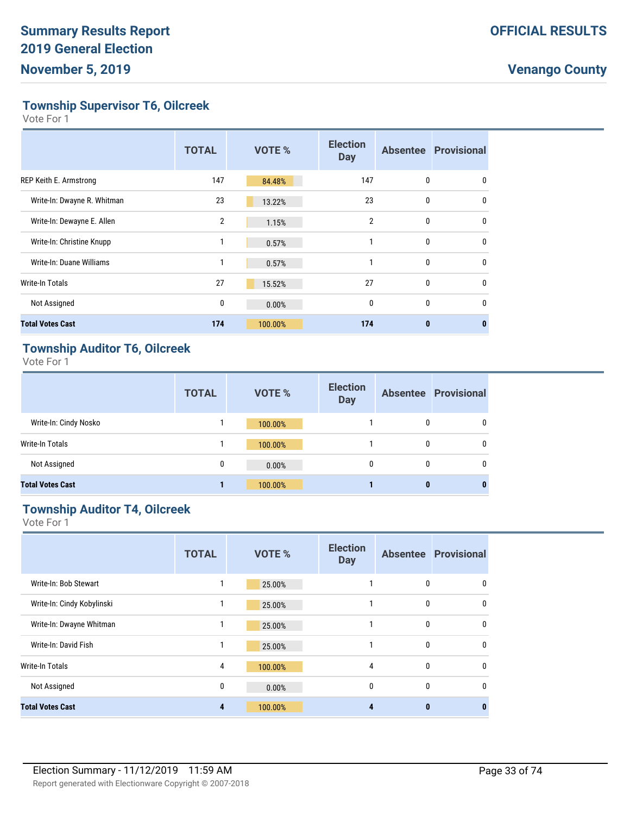**Township Supervisor T6, Oilcreek**

Vote For 1

|                             | <b>TOTAL</b>   | <b>VOTE %</b> | <b>Election</b><br><b>Day</b> |              | <b>Absentee Provisional</b> |
|-----------------------------|----------------|---------------|-------------------------------|--------------|-----------------------------|
| REP Keith E. Armstrong      | 147            | 84.48%        | 147                           | 0            | 0                           |
| Write-In: Dwayne R. Whitman | 23             | 13.22%        | 23                            | $\mathbf{0}$ | 0                           |
| Write-In: Dewayne E. Allen  | $\overline{2}$ | 1.15%         | $\overline{2}$                | $\mathbf{0}$ | $\mathbf{0}$                |
| Write-In: Christine Knupp   | 1              | 0.57%         | 1                             | 0            | $\mathbf{0}$                |
| Write-In: Duane Williams    | 1              | 0.57%         | 1                             | $\mathbf{0}$ | $\mathbf{0}$                |
| <b>Write-In Totals</b>      | 27             | 15.52%        | 27                            | $\mathbf{0}$ | $\mathbf{0}$                |
| Not Assigned                | 0              | 0.00%         | $\mathbf{0}$                  | $\mathbf{0}$ | $\mathbf{0}$                |
| <b>Total Votes Cast</b>     | 174            | 100.00%       | 174                           | $\bf{0}$     | $\bf{0}$                    |

### **Township Auditor T6, Oilcreek**

Vote For 1

|                         | <b>TOTAL</b> | <b>VOTE %</b> | <b>Election</b><br><b>Day</b> |          | <b>Absentee Provisional</b> |
|-------------------------|--------------|---------------|-------------------------------|----------|-----------------------------|
| Write-In: Cindy Nosko   |              | 100.00%       |                               | 0        | 0                           |
| Write-In Totals         |              | 100.00%       |                               | 0        | 0                           |
| Not Assigned            | 0            | 0.00%         | 0                             | $\bf{0}$ | 0                           |
| <b>Total Votes Cast</b> |              | 100.00%       |                               | 0        | 0                           |

### **Township Auditor T4, Oilcreek**

|                            | <b>TOTAL</b> | <b>VOTE %</b> | <b>Election</b><br><b>Day</b> |          | <b>Absentee Provisional</b> |
|----------------------------|--------------|---------------|-------------------------------|----------|-----------------------------|
| Write-In: Bob Stewart      |              | 25.00%        |                               | 0        | 0                           |
| Write-In: Cindy Kobylinski | 1            | 25.00%        |                               | 0        | 0                           |
| Write-In: Dwayne Whitman   |              | 25.00%        |                               | 0        | $\mathbf{0}$                |
| Write-In: David Fish       |              | 25.00%        |                               | 0        | $\mathbf{0}$                |
| <b>Write-In Totals</b>     | 4            | 100.00%       | 4                             | 0        | $\mathbf{0}$                |
| Not Assigned               | 0            | 0.00%         | $\mathbf{0}$                  | 0        | $\mathbf{0}$                |
| <b>Total Votes Cast</b>    | 4            | 100.00%       | Δ                             | $\bf{0}$ | $\bf{0}$                    |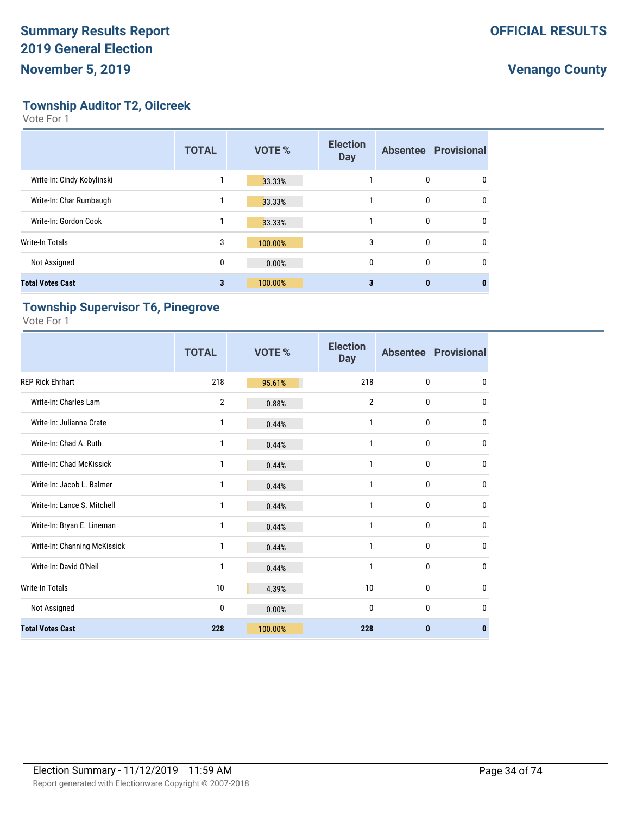**Township Auditor T2, Oilcreek**

Vote For 1

|                            | <b>TOTAL</b> | <b>VOTE %</b> | <b>Election</b><br><b>Day</b> |              | <b>Absentee Provisional</b> |
|----------------------------|--------------|---------------|-------------------------------|--------------|-----------------------------|
| Write-In: Cindy Kobylinski |              | 33.33%        |                               | 0            | 0                           |
| Write-In: Char Rumbaugh    |              | 33.33%        |                               | $\mathbf{0}$ | $\Omega$                    |
| Write-In: Gordon Cook      |              | 33.33%        |                               | 0            | 0                           |
| <b>Write-In Totals</b>     | 3            | 100.00%       | 3                             | 0            | 0                           |
| Not Assigned               | 0            | 0.00%         | $\mathbf{0}$                  | $\mathbf{0}$ | 0                           |
| <b>Total Votes Cast</b>    | 3            | 100.00%       | 3                             | $\bf{0}$     |                             |

### **Township Supervisor T6, Pinegrove**

|                              | <b>TOTAL</b>   | <b>VOTE %</b> | <b>Election</b><br><b>Day</b> |              | <b>Absentee Provisional</b> |
|------------------------------|----------------|---------------|-------------------------------|--------------|-----------------------------|
| <b>REP Rick Ehrhart</b>      | 218            | 95.61%        | 218                           | $\mathbf{0}$ | $\mathbf{0}$                |
| Write-In: Charles Lam        | $\overline{2}$ | 0.88%         | $\overline{2}$                | $\mathbf 0$  | $\mathbf{0}$                |
| Write-In: Julianna Crate     | 1              | 0.44%         | 1                             | $\mathbf 0$  | $\mathbf{0}$                |
| Write-In: Chad A. Ruth       | 1              | 0.44%         | 1                             | $\mathbf 0$  | $\mathbf{0}$                |
| Write-In: Chad McKissick     | 1              | 0.44%         | 1                             | $\mathbf 0$  | $\mathbf{0}$                |
| Write-In: Jacob L. Balmer    | 1              | 0.44%         | 1                             | $\mathbf{0}$ | $\mathbf{0}$                |
| Write-In: Lance S. Mitchell  | 1              | 0.44%         | 1                             | $\mathbf{0}$ | $\mathbf{0}$                |
| Write-In: Bryan E. Lineman   | 1              | 0.44%         | 1                             | $\mathbf{0}$ | $\mathbf{0}$                |
| Write-In: Channing McKissick | 1              | 0.44%         | 1                             | $\mathbf{0}$ | $\mathbf{0}$                |
| Write-In: David O'Neil       | 1              | 0.44%         | 1                             | 0            | 0                           |
| <b>Write-In Totals</b>       | 10             | 4.39%         | 10                            | $\mathbf{0}$ | $\mathbf{0}$                |
| Not Assigned                 | 0              | 0.00%         | 0                             | $\mathbf{0}$ | $\mathbf{0}$                |
| <b>Total Votes Cast</b>      | 228            | 100.00%       | 228                           | $\bf{0}$     | $\mathbf{0}$                |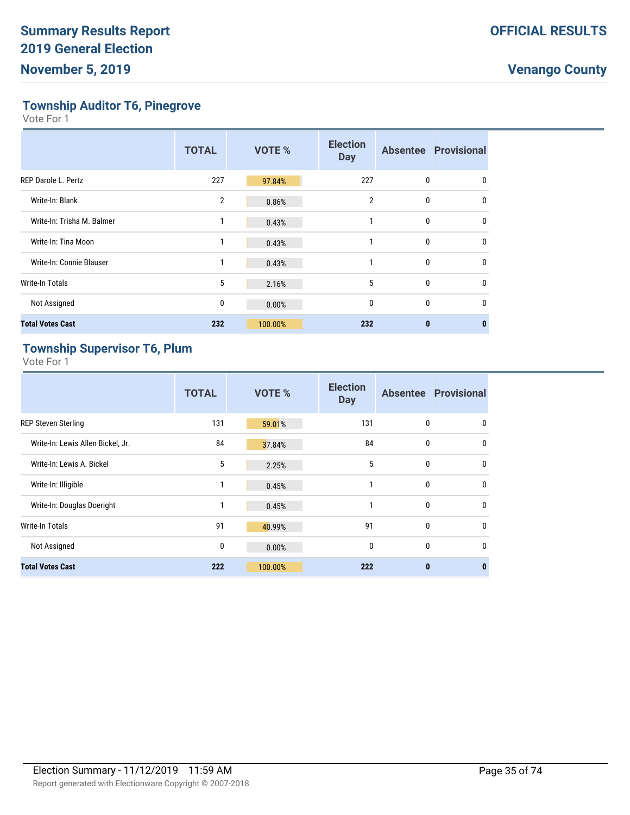**Township Auditor T6, Pinegrove**

Vote For 1

|                            | <b>TOTAL</b> | <b>VOTE %</b> | <b>Election</b><br><b>Day</b> |              | <b>Absentee Provisional</b> |
|----------------------------|--------------|---------------|-------------------------------|--------------|-----------------------------|
| REP Darole L. Pertz        | 227          | 97.84%        | 227                           | 0            | 0                           |
| Write-In: Blank            | 2            | 0.86%         | $\overline{2}$                | 0            | $\mathbf{0}$                |
| Write-In: Trisha M. Balmer | 1            | 0.43%         |                               | 0            | $\Omega$                    |
| Write-In: Tina Moon        |              | 0.43%         |                               | 0            | $\mathbf{0}$                |
| Write-In: Connie Blauser   |              | 0.43%         |                               | $\mathbf{0}$ | $\Omega$                    |
| <b>Write-In Totals</b>     | 5            | 2.16%         | 5                             | 0            | $\mathbf{0}$                |
| Not Assigned               | 0            | 0.00%         | $\mathbf 0$                   | 0            | 0                           |
| <b>Total Votes Cast</b>    | 232          | 100.00%       | 232                           | 0            | 0                           |

### **Township Supervisor T6, Plum**

|                                   | <b>TOTAL</b> | <b>VOTE %</b> | <b>Election</b><br><b>Day</b> |              | <b>Absentee Provisional</b> |
|-----------------------------------|--------------|---------------|-------------------------------|--------------|-----------------------------|
| <b>REP Steven Sterling</b>        | 131          | 59.01%        | 131                           | $\mathbf{0}$ | $\mathbf{0}$                |
| Write-In: Lewis Allen Bickel, Jr. | 84           | 37.84%        | 84                            | 0            | $\mathbf 0$                 |
| Write-In: Lewis A. Bickel         | 5            | 2.25%         | 5                             | $\mathbf{0}$ | $\mathbf 0$                 |
| Write-In: Illigible               | 1            | 0.45%         | 1                             | $\mathbf{0}$ | $\mathbf{0}$                |
| Write-In: Douglas Doeright        | 1            | 0.45%         | 1                             | $\mathbf{0}$ | $\mathbf{0}$                |
| <b>Write-In Totals</b>            | 91           | 40.99%        | 91                            | $\mathbf{0}$ | $\mathbf{0}$                |
| Not Assigned                      | 0            | 0.00%         | $\mathbf{0}$                  | $\mathbf{0}$ | $\mathbf{0}$                |
| <b>Total Votes Cast</b>           | 222          | 100.00%       | 222                           | $\bf{0}$     | $\bf{0}$                    |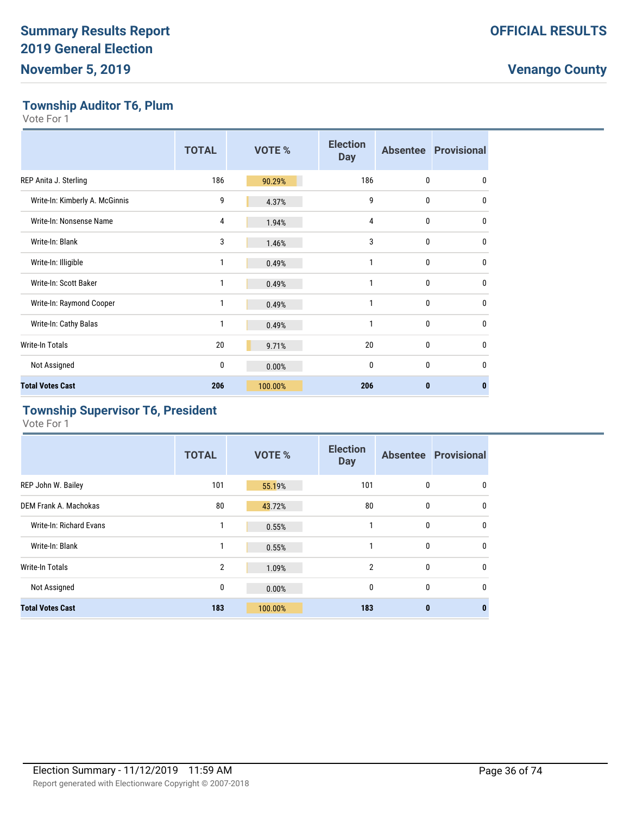### **Township Auditor T6, Plum**

Vote For 1

|                                | <b>TOTAL</b> | VOTE %  | <b>Election</b><br><b>Day</b> |              | <b>Absentee Provisional</b> |
|--------------------------------|--------------|---------|-------------------------------|--------------|-----------------------------|
| REP Anita J. Sterling          | 186          | 90.29%  | 186                           | 0            | 0                           |
| Write-In: Kimberly A. McGinnis | 9            | 4.37%   | 9                             | 0            | 0                           |
| Write-In: Nonsense Name        | 4            | 1.94%   | 4                             | 0            | $\mathbf{0}$                |
| Write-In: Blank                | 3            | 1.46%   | 3                             | $\mathbf{0}$ | $\mathbf{0}$                |
| Write-In: Illigible            | 1            | 0.49%   | 1                             | 0            | $\mathbf{0}$                |
| Write-In: Scott Baker          | 1            | 0.49%   | 1                             | 0            | $\mathbf{0}$                |
| Write-In: Raymond Cooper       | 1            | 0.49%   | 1                             | 0            | $\mathbf{0}$                |
| Write-In: Cathy Balas          | 1            | 0.49%   | 1                             | 0            | $\mathbf{0}$                |
| <b>Write-In Totals</b>         | 20           | 9.71%   | 20                            | 0            | $\mathbf{0}$                |
| Not Assigned                   | 0            | 0.00%   | $\mathbf{0}$                  | $\mathbf{0}$ | $\Omega$                    |
| <b>Total Votes Cast</b>        | 206          | 100.00% | 206                           | $\bf{0}$     | $\bf{0}$                    |

### **Township Supervisor T6, President**

|                         | <b>TOTAL</b>   | <b>VOTE %</b> | <b>Election</b><br><b>Day</b> |          | <b>Absentee Provisional</b> |
|-------------------------|----------------|---------------|-------------------------------|----------|-----------------------------|
| REP John W. Bailey      | 101            | 55.19%        | 101                           | 0        | 0                           |
| DEM Frank A. Machokas   | 80             | 43.72%        | 80                            | 0        | $\mathbf{0}$                |
| Write-In: Richard Evans |                | 0.55%         | 1                             | 0        | $\mathbf{0}$                |
| Write-In: Blank         | 1              | 0.55%         | 1                             | 0        | 0                           |
| Write-In Totals         | $\overline{2}$ | 1.09%         | $\overline{2}$                | 0        | $\mathbf{0}$                |
| Not Assigned            | 0              | 0.00%         | $\mathbf{0}$                  | 0        | $\mathbf{0}$                |
| <b>Total Votes Cast</b> | 183            | 100.00%       | 183                           | $\bf{0}$ | $\bf{0}$                    |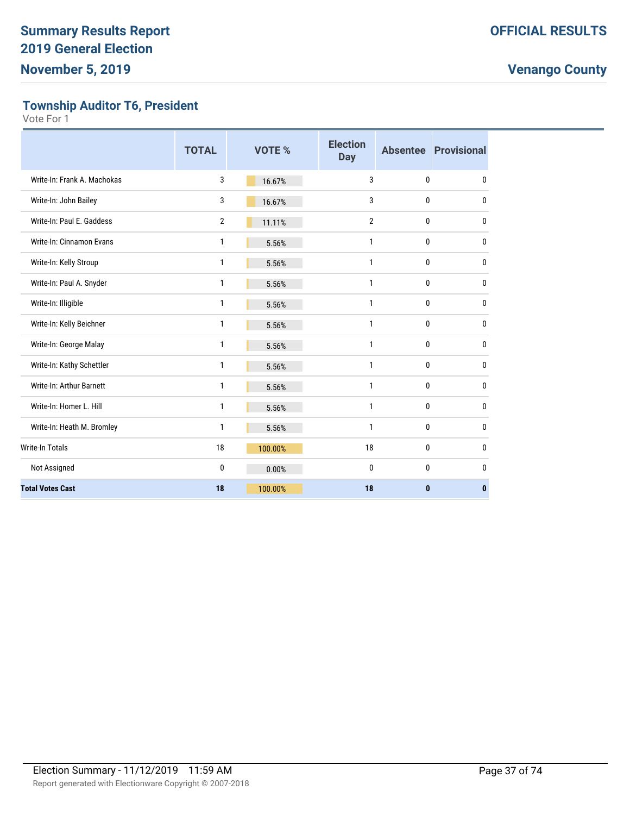**Township Auditor T6, President**

|                             | <b>TOTAL</b>   | VOTE %  | <b>Election</b><br><b>Day</b> |              | <b>Absentee Provisional</b> |
|-----------------------------|----------------|---------|-------------------------------|--------------|-----------------------------|
| Write-In: Frank A. Machokas | 3              | 16.67%  | 3                             | 0            | 0                           |
| Write-In: John Bailey       | 3              | 16.67%  | 3                             | $\mathbf{0}$ | 0                           |
| Write-In: Paul E. Gaddess   | $\overline{2}$ | 11.11%  | $\overline{2}$                | 0            | 0                           |
| Write-In: Cinnamon Evans    | 1              | 5.56%   | $\mathbf{1}$                  | $\mathbf{0}$ | 0                           |
| Write-In: Kelly Stroup      | 1              | 5.56%   | 1                             | $\mathbf{0}$ | 0                           |
| Write-In: Paul A. Snyder    | $\mathbf{1}$   | 5.56%   | 1                             | $\mathbf{0}$ | 0                           |
| Write-In: Illigible         | 1              | 5.56%   | 1                             | $\mathbf{0}$ | 0                           |
| Write-In: Kelly Beichner    | 1              | 5.56%   | 1                             | 0            | 0                           |
| Write-In: George Malay      | $\mathbf{1}$   | 5.56%   | $\mathbf{1}$                  | 0            | 0                           |
| Write-In: Kathy Schettler   | 1              | 5.56%   | $\mathbf{1}$                  | 0            | 0                           |
| Write-In: Arthur Barnett    | 1              | 5.56%   | $\mathbf{1}$                  | $\mathbf 0$  | 0                           |
| Write-In: Homer L. Hill     | 1              | 5.56%   | $\mathbf{1}$                  | $\mathbf 0$  | 0                           |
| Write-In: Heath M. Bromley  | 1              | 5.56%   | 1                             | 0            | 0                           |
| <b>Write-In Totals</b>      | 18             | 100.00% | 18                            | 0            | 0                           |
| Not Assigned                | 0              | 0.00%   | $\mathbf{0}$                  | $\mathbf{0}$ | 0                           |
| <b>Total Votes Cast</b>     | 18             | 100.00% | 18                            | $\mathbf{0}$ | $\mathbf{0}$                |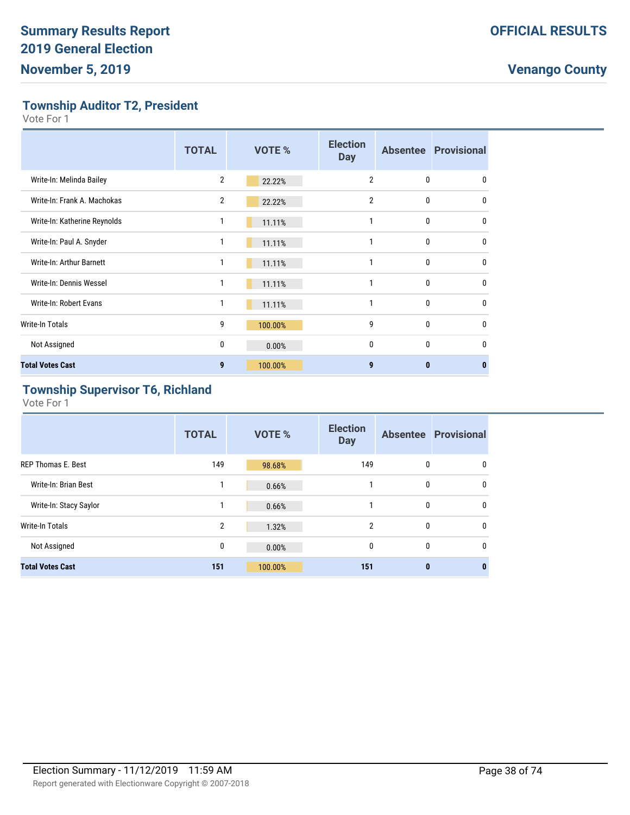**Township Auditor T2, President**

Vote For 1

|                              | <b>TOTAL</b>   | <b>VOTE %</b> | <b>Election</b><br><b>Day</b> |   | <b>Absentee Provisional</b> |
|------------------------------|----------------|---------------|-------------------------------|---|-----------------------------|
| Write-In: Melinda Bailey     | $\overline{2}$ | 22.22%        | $\overline{2}$                | 0 | $\Omega$                    |
| Write-In: Frank A. Machokas  | $\overline{2}$ | 22.22%        | $\overline{2}$                | 0 | $\mathbf{0}$                |
| Write-In: Katherine Reynolds | 1              | 11.11%        |                               | 0 | 0                           |
| Write-In: Paul A. Snyder     | 1              | 11.11%        | 1                             | 0 | $\mathbf{0}$                |
| Write-In: Arthur Barnett     | 1              | 11.11%        | 1                             | 0 | $\mathbf{0}$                |
| Write-In: Dennis Wessel      | 1              | 11.11%        | 1                             | 0 | $\Omega$                    |
| Write-In: Robert Evans       | 1              | 11.11%        |                               | 0 | $\mathbf{0}$                |
| Write-In Totals              | 9              | 100.00%       | 9                             | 0 | $\mathbf{0}$                |
| Not Assigned                 | 0              | 0.00%         | $\mathbf{0}$                  | 0 | 0                           |
| <b>Total Votes Cast</b>      | 9              | 100.00%       | 9                             | 0 | 0                           |

# **Township Supervisor T6, Richland**

|                           | <b>TOTAL</b> | <b>VOTE %</b> | <b>Election</b><br><b>Day</b> |              | <b>Absentee Provisional</b> |
|---------------------------|--------------|---------------|-------------------------------|--------------|-----------------------------|
| <b>REP Thomas E. Best</b> | 149          | 98.68%        | 149                           | 0            | 0                           |
| Write-In: Brian Best      | 1            | 0.66%         | 1                             | 0            | $\mathbf 0$                 |
| Write-In: Stacy Saylor    | 1            | 0.66%         | 1                             | $\mathbf 0$  | $\mathbf{0}$                |
| Write-In Totals           | 2            | 1.32%         | $\overline{2}$                | 0            | $\mathbf{0}$                |
| Not Assigned              | 0            | 0.00%         | 0                             | 0            | $\mathbf 0$                 |
| <b>Total Votes Cast</b>   | 151          | 100.00%       | 151                           | $\mathbf{0}$ | 0                           |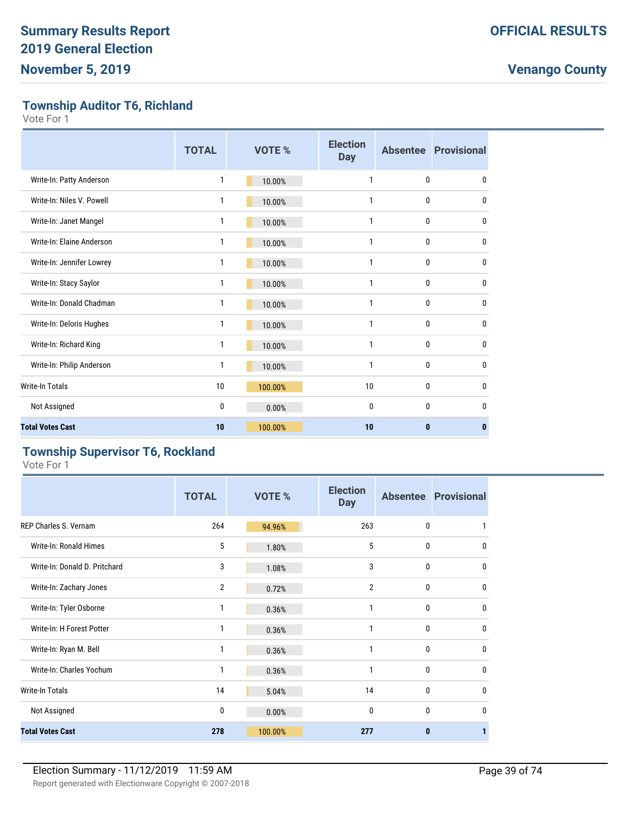**Township Auditor T6, Richland**

Vote For 1

|                           | <b>TOTAL</b> | <b>VOTE %</b> | <b>Election</b><br><b>Day</b> |              | <b>Absentee Provisional</b> |
|---------------------------|--------------|---------------|-------------------------------|--------------|-----------------------------|
| Write-In: Patty Anderson  | 1            | 10.00%        | 1                             | $\mathbf{0}$ | 0                           |
| Write-In: Niles V. Powell | 1            | 10.00%        | 1                             | 0            | 0                           |
| Write-In: Janet Mangel    | 1            | 10.00%        | 1                             | 0            | 0                           |
| Write-In: Elaine Anderson | 1            | 10.00%        | 1                             | 0            | 0                           |
| Write-In: Jennifer Lowrey | 1            | 10.00%        | 1                             | 0            | 0                           |
| Write-In: Stacy Saylor    | 1            | 10.00%        | 1                             | 0            | 0                           |
| Write-In: Donald Chadman  | 1            | 10.00%        | 1                             | 0            | 0                           |
| Write-In: Deloris Hughes  | 1            | 10.00%        | 1                             | $\bf{0}$     | 0                           |
| Write-In: Richard King    | 1            | 10.00%        | 1                             | $\mathbf{0}$ | 0                           |
| Write-In: Philip Anderson | 1            | 10.00%        | 1                             | $\mathbf{0}$ | 0                           |
| <b>Write-In Totals</b>    | 10           | 100.00%       | 10                            | 0            | 0                           |
| Not Assigned              | 0            | 0.00%         | 0                             | $\mathbf{0}$ | 0                           |
| <b>Total Votes Cast</b>   | 10           | 100.00%       | 10                            | $\bf{0}$     | $\bf{0}$                    |

#### **Township Supervisor T6, Rockland**

|                               | <b>TOTAL</b>   | VOTE %  | <b>Election</b><br><b>Day</b> |              | <b>Absentee Provisional</b> |
|-------------------------------|----------------|---------|-------------------------------|--------------|-----------------------------|
| REP Charles S. Vernam         | 264            | 94.96%  | 263                           | 0            | 1                           |
| Write-In: Ronald Himes        | 5              | 1.80%   | 5                             | 0            | 0                           |
| Write-In: Donald D. Pritchard | 3              | 1.08%   | 3                             | 0            | $\mathbf{0}$                |
| Write-In: Zachary Jones       | $\overline{2}$ | 0.72%   | $\overline{2}$                | 0            | $\Omega$                    |
| Write-In: Tyler Osborne       | 1              | 0.36%   | 1                             | 0            | $\Omega$                    |
| Write-In: H Forest Potter     | 1              | 0.36%   | 1                             | 0            | $\mathbf{0}$                |
| Write-In: Ryan M. Bell        | 1              | 0.36%   | 1                             | 0            | $\mathbf{0}$                |
| Write-In: Charles Yochum      | 1              | 0.36%   | 1                             | 0            | $\mathbf{0}$                |
| Write-In Totals               | 14             | 5.04%   | 14                            | 0            | $\mathbf{0}$                |
| Not Assigned                  | 0              | 0.00%   | $\mathbf{0}$                  | $\mathbf{0}$ | $\mathbf{0}$                |
| <b>Total Votes Cast</b>       | 278            | 100.00% | 277                           | 0            |                             |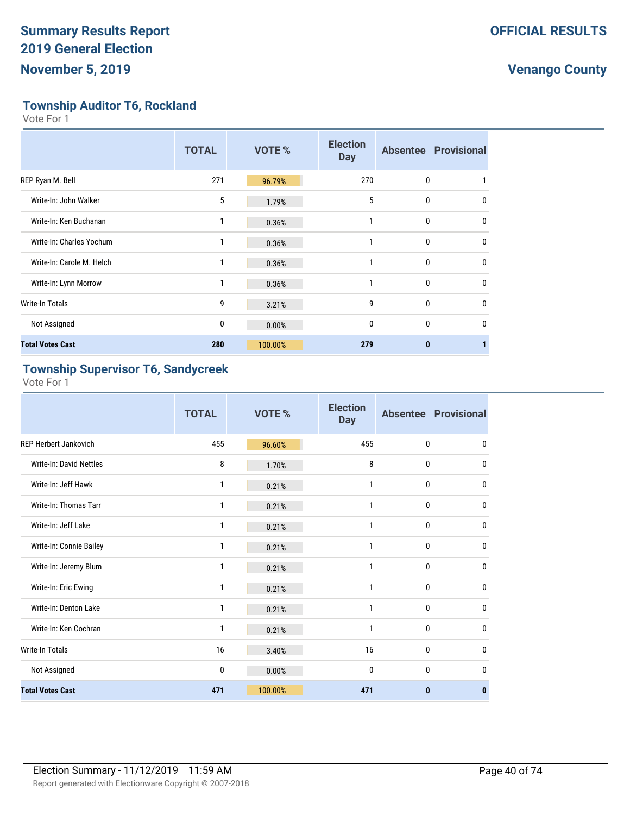**Township Auditor T6, Rockland**

Vote For 1

|                           | <b>TOTAL</b> | <b>VOTE %</b> | <b>Election</b><br><b>Day</b> |   | <b>Absentee Provisional</b> |
|---------------------------|--------------|---------------|-------------------------------|---|-----------------------------|
| REP Ryan M. Bell          | 271          | 96.79%        | 270                           | 0 |                             |
| Write-In: John Walker     | 5            | 1.79%         | 5                             | 0 | $\mathbf{0}$                |
| Write-In: Ken Buchanan    |              | 0.36%         |                               | 0 | $\mathbf{0}$                |
| Write-In: Charles Yochum  | 1            | 0.36%         | 1                             | 0 | $\mathbf{0}$                |
| Write-In: Carole M. Helch | 1            | 0.36%         |                               | 0 | $\mathbf{0}$                |
| Write-In: Lynn Morrow     |              | 0.36%         |                               | 0 | $\mathbf{0}$                |
| <b>Write-In Totals</b>    | 9            | 3.21%         | 9                             | 0 | $\mathbf{0}$                |
| Not Assigned              | 0            | 0.00%         | $\mathbf{0}$                  | 0 | $\Omega$                    |
| <b>Total Votes Cast</b>   | 280          | 100.00%       | 279                           | 0 |                             |

#### **Township Supervisor T6, Sandycreek**

|                                | <b>TOTAL</b> | <b>VOTE %</b> | <b>Election</b><br><b>Day</b> |              | <b>Absentee Provisional</b> |
|--------------------------------|--------------|---------------|-------------------------------|--------------|-----------------------------|
| <b>REP Herbert Jankovich</b>   | 455          | 96.60%        | 455                           | 0            | 0                           |
| <b>Write-In: David Nettles</b> | 8            | 1.70%         | 8                             | $\mathbf{0}$ | 0                           |
| Write-In: Jeff Hawk            | 1            | 0.21%         | 1                             | 0            | 0                           |
| Write-In: Thomas Tarr          | 1            | 0.21%         | $\mathbf{1}$                  | 0            | 0                           |
| Write-In: Jeff Lake            | 1            | 0.21%         | 1                             | 0            | $\mathbf{0}$                |
| Write-In: Connie Bailey        | 1            | 0.21%         | $\mathbf{1}$                  | 0            | $\mathbf{0}$                |
| Write-In: Jeremy Blum          | 1            | 0.21%         | 1                             | 0            | $\mathbf{0}$                |
| Write-In: Eric Ewing           | 1            | 0.21%         | $\mathbf{1}$                  | 0            | $\mathbf{0}$                |
| Write-In: Denton Lake          | 1            | 0.21%         | 1                             | 0            | $\mathbf{0}$                |
| Write-In: Ken Cochran          | 1            | 0.21%         | $\mathbf{1}$                  | 0            | 0                           |
| <b>Write-In Totals</b>         | 16           | 3.40%         | 16                            | 0            | 0                           |
| Not Assigned                   | 0            | 0.00%         | $\mathbf{0}$                  | $\mathbf{0}$ | $\mathbf{0}$                |
| <b>Total Votes Cast</b>        | 471          | 100.00%       | 471                           | 0            | $\mathbf{0}$                |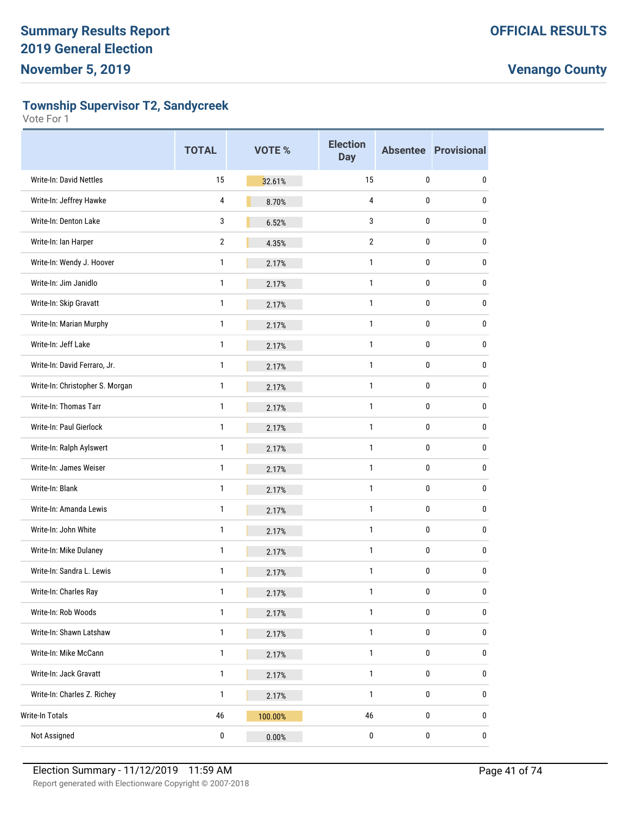**Township Supervisor T2, Sandycreek**

|                                 | <b>TOTAL</b>   | VOTE %  | <b>Election</b><br><b>Day</b> |             | <b>Absentee Provisional</b> |
|---------------------------------|----------------|---------|-------------------------------|-------------|-----------------------------|
| Write-In: David Nettles         | 15             | 32.61%  | 15                            | 0           | 0                           |
| Write-In: Jeffrey Hawke         | 4              | 8.70%   | 4                             | 0           | 0                           |
| Write-In: Denton Lake           | 3              | 6.52%   | 3                             | 0           | 0                           |
| Write-In: Ian Harper            | $\overline{2}$ | 4.35%   | $\overline{2}$                | 0           | 0                           |
| Write-In: Wendy J. Hoover       | 1              | 2.17%   | 1                             | 0           | 0                           |
| Write-In: Jim Janidlo           | 1              | 2.17%   | 1                             | 0           | 0                           |
| Write-In: Skip Gravatt          | 1              | 2.17%   | 1                             | 0           | 0                           |
| Write-In: Marian Murphy         | 1              | 2.17%   | 1                             | 0           | 0                           |
| Write-In: Jeff Lake             | 1              | 2.17%   | 1                             | 0           | 0                           |
| Write-In: David Ferraro, Jr.    | 1              | 2.17%   | 1                             | 0           | 0                           |
| Write-In: Christopher S. Morgan | 1              | 2.17%   | 1                             | 0           | 0                           |
| Write-In: Thomas Tarr           | 1              | 2.17%   | 1                             | 0           | 0                           |
| Write-In: Paul Gierlock         | 1              | 2.17%   | 1                             | 0           | 0                           |
| Write-In: Ralph Aylswert        | 1              | 2.17%   | 1                             | 0           | 0                           |
| Write-In: James Weiser          | 1              | 2.17%   | 1                             | 0           | 0                           |
| Write-In: Blank                 | 1              | 2.17%   | 1                             | 0           | 0                           |
| Write-In: Amanda Lewis          | 1              | 2.17%   | 1                             | 0           | 0                           |
| Write-In: John White            | 1              | 2.17%   | 1                             | 0           | 0                           |
| Write-In: Mike Dulaney          | 1              | 2.17%   | 1                             | 0           | 0                           |
| Write-In: Sandra L. Lewis       | 1              | 2.17%   | 1                             | 0           | 0                           |
| Write-In: Charles Ray           | 1              | 2.17%   | 1                             | $\mathbf 0$ | 0                           |
| Write-In: Rob Woods             | 1              | 2.17%   | 1                             | 0           | 0                           |
| Write-In: Shawn Latshaw         | $\mathbf{1}$   | 2.17%   | 1                             | $\pmb{0}$   | 0                           |
| Write-In: Mike McCann           | $\mathbf{1}$   | 2.17%   | $\mathbf{1}$                  | 0           | 0                           |
| Write-In: Jack Gravatt          | 1              | 2.17%   | 1                             | 0           | 0                           |
| Write-In: Charles Z. Richey     | 1              | 2.17%   | 1                             | 0           | 0                           |
| Write-In Totals                 | 46             | 100.00% | 46                            | 0           | 0                           |
| Not Assigned                    | 0              | 0.00%   | 0                             | $\pmb{0}$   | $\pmb{0}$                   |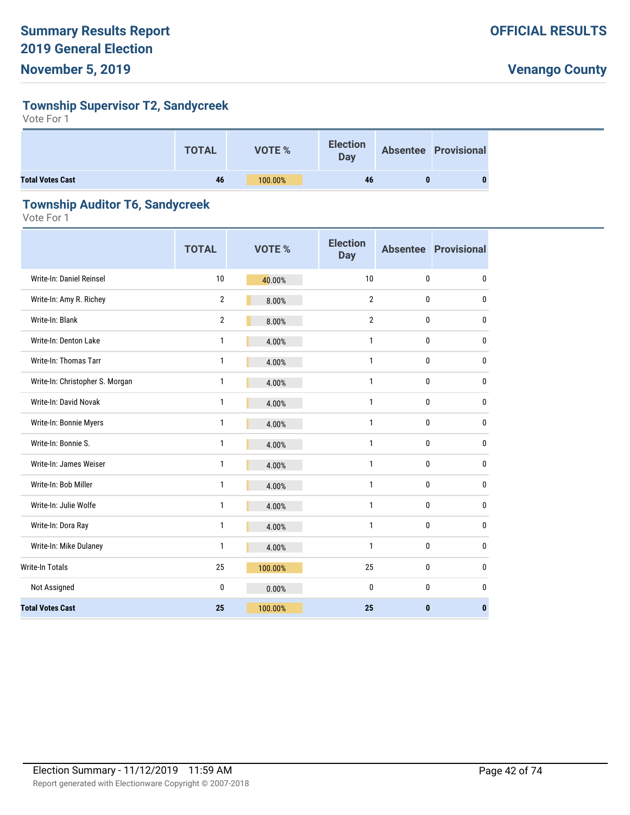#### **Township Supervisor T2, Sandycreek**

Vote For 1

|                         | <b>TOTAL</b> | VOTE %  | <b>Election</b><br><b>Day</b> | <b>Absentee Provisional</b> |  |
|-------------------------|--------------|---------|-------------------------------|-----------------------------|--|
| <b>Total Votes Cast</b> | 46           | 100.00% | 46                            |                             |  |

#### **Township Auditor T6, Sandycreek**

|                                 | <b>TOTAL</b>   | <b>VOTE %</b> | <b>Election</b><br><b>Day</b> |   | <b>Absentee Provisional</b> |
|---------------------------------|----------------|---------------|-------------------------------|---|-----------------------------|
| Write-In: Daniel Reinsel        | 10             | 40.00%        | 10                            | 0 | 0                           |
| Write-In: Amy R. Richey         | $\overline{2}$ | 8.00%         | $\overline{2}$                | 0 | $\pmb{0}$                   |
| Write-In: Blank                 | $\overline{2}$ | 8.00%         | $\overline{2}$                | 0 | 0                           |
| Write-In: Denton Lake           | $\mathbf{1}$   | 4.00%         | $\mathbf{1}$                  | 0 | 0                           |
| Write-In: Thomas Tarr           | 1              | 4.00%         | $\mathbf{1}$                  | 0 | $\pmb{0}$                   |
| Write-In: Christopher S. Morgan | $\mathbf{1}$   | 4.00%         | $\mathbf{1}$                  | 0 | $\pmb{0}$                   |
| Write-In: David Novak           | $\mathbf{1}$   | 4.00%         | $\mathbf{1}$                  | 0 | $\pmb{0}$                   |
| Write-In: Bonnie Myers          | 1              | 4.00%         | $\mathbf{1}$                  | 0 | $\pmb{0}$                   |
| Write-In: Bonnie S.             | $\mathbf{1}$   | 4.00%         | $\mathbf{1}$                  | 0 | $\pmb{0}$                   |
| Write-In: James Weiser          | $\mathbf{1}$   | 4.00%         | $\mathbf{1}$                  | 0 | $\pmb{0}$                   |
| Write-In: Bob Miller            | $\mathbf{1}$   | 4.00%         | $\mathbf{1}$                  | 0 | $\pmb{0}$                   |
| Write-In: Julie Wolfe           | 1              | 4.00%         | $\mathbf{1}$                  | 0 | $\pmb{0}$                   |
| Write-In: Dora Ray              | $\mathbf{1}$   | 4.00%         | $\mathbf{1}$                  | 0 | $\pmb{0}$                   |
| Write-In: Mike Dulaney          | $\mathbf{1}$   | 4.00%         | $\mathbf{1}$                  | 0 | 0                           |
| Write-In Totals                 | 25             | 100.00%       | 25                            | 0 | $\pmb{0}$                   |
| Not Assigned                    | 0              | 0.00%         | 0                             | 0 | 0                           |
| <b>Total Votes Cast</b>         | 25             | 100.00%       | 25                            | 0 | $\mathbf{0}$                |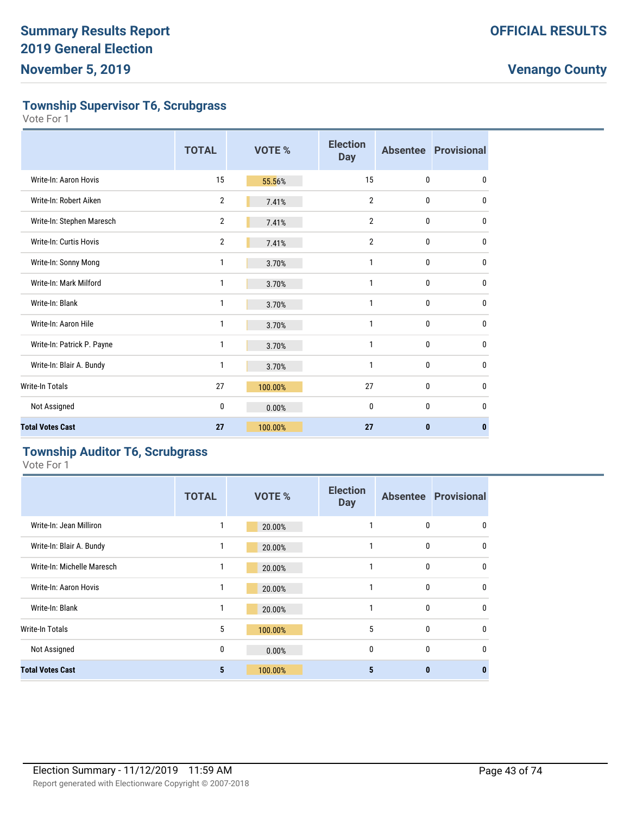**Township Supervisor T6, Scrubgrass**

Vote For 1

|                            | <b>TOTAL</b>   | VOTE %  | <b>Election</b><br><b>Day</b> |   | <b>Absentee Provisional</b> |
|----------------------------|----------------|---------|-------------------------------|---|-----------------------------|
| Write-In: Aaron Hovis      | 15             | 55.56%  | 15                            | 0 | 0                           |
| Write-In: Robert Aiken     | $\overline{2}$ | 7.41%   | $\overline{2}$                | 0 | $\mathbf{0}$                |
| Write-In: Stephen Maresch  | $\overline{2}$ | 7.41%   | $\overline{2}$                | 0 | $\mathbf 0$                 |
| Write-In: Curtis Hovis     | $\overline{2}$ | 7.41%   | $\overline{2}$                | 0 | $\mathbf{0}$                |
| Write-In: Sonny Mong       | 1              | 3.70%   | 1                             | 0 | 0                           |
| Write-In: Mark Milford     | 1              | 3.70%   | 1                             | 0 | $\mathbf{0}$                |
| Write-In: Blank            | 1              | 3.70%   | $\mathbf{1}$                  | 0 | 0                           |
| Write-In: Aaron Hile       | 1              | 3.70%   | 1                             | 0 | 0                           |
| Write-In: Patrick P. Payne | 1              | 3.70%   | $\mathbf{1}$                  | 0 | 0                           |
| Write-In: Blair A. Bundy   | 1              | 3.70%   | 1                             | 0 | 0                           |
| <b>Write-In Totals</b>     | 27             | 100.00% | 27                            | 0 | $\mathbf{0}$                |
| Not Assigned               | 0              | 0.00%   | $\mathbf{0}$                  | 0 | $\mathbf{0}$                |
| <b>Total Votes Cast</b>    | 27             | 100.00% | 27                            | 0 | $\mathbf{0}$                |

#### **Township Auditor T6, Scrubgrass**

|                            | <b>TOTAL</b> | <b>VOTE %</b> | <b>Election</b><br><b>Day</b> |              | <b>Absentee Provisional</b> |
|----------------------------|--------------|---------------|-------------------------------|--------------|-----------------------------|
| Write-In: Jean Milliron    |              | 20.00%        |                               | 0            | 0                           |
| Write-In: Blair A. Bundy   | 1            | 20.00%        |                               | 0            | 0                           |
| Write-In: Michelle Maresch | 1            | 20.00%        | 1                             | $\mathbf{0}$ | $\mathbf{0}$                |
| Write-In: Aaron Hovis      | 1            | 20.00%        | 1                             | 0            | 0                           |
| Write-In: Blank            | 1            | 20.00%        | 1                             | 0            | 0                           |
| <b>Write-In Totals</b>     | 5            | 100.00%       | 5                             | 0            | 0                           |
| Not Assigned               | 0            | 0.00%         | 0                             | $\mathbf{0}$ | $\mathbf{0}$                |
| <b>Total Votes Cast</b>    | 5            | 100.00%       | 5                             | $\bf{0}$     | 0                           |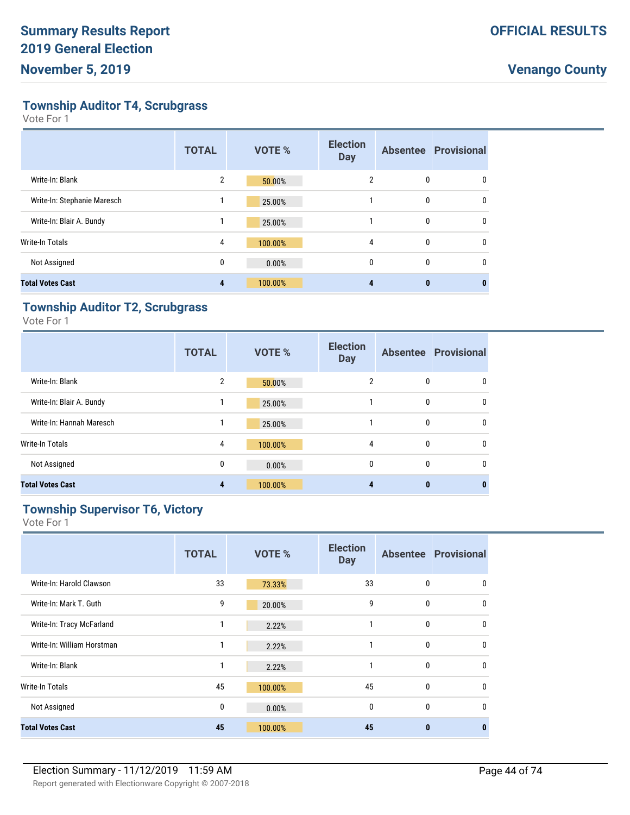**Township Auditor T4, Scrubgrass**

Vote For 1

|                             | <b>TOTAL</b>   | <b>VOTE %</b> | <b>Election</b><br><b>Day</b> |              | <b>Absentee Provisional</b> |
|-----------------------------|----------------|---------------|-------------------------------|--------------|-----------------------------|
| Write-In: Blank             | $\overline{2}$ | 50.00%        | 2                             | 0            | 0                           |
| Write-In: Stephanie Maresch | 1              | 25.00%        |                               | 0            | 0                           |
| Write-In: Blair A. Bundy    |                | 25.00%        |                               | 0            | 0                           |
| <b>Write-In Totals</b>      | 4              | 100.00%       | 4                             | 0            | 0                           |
| Not Assigned                | $\mathbf{0}$   | 0.00%         | $\mathbf{0}$                  | $\mathbf{0}$ | 0                           |
| <b>Total Votes Cast</b>     | 4              | 100.00%       |                               | $\bf{0}$     |                             |

#### **Township Auditor T2, Scrubgrass**

Vote For 1

|                          | <b>TOTAL</b>   | <b>VOTE %</b> | <b>Election</b><br><b>Day</b> |              | <b>Absentee Provisional</b> |
|--------------------------|----------------|---------------|-------------------------------|--------------|-----------------------------|
| Write-In: Blank          | $\overline{2}$ | 50.00%        | 2                             | $\mathbf{0}$ | $\mathbf{0}$                |
| Write-In: Blair A. Bundy |                | 25.00%        |                               | $\mathbf{0}$ | $\mathbf{0}$                |
| Write-In: Hannah Maresch |                | 25.00%        |                               | $\mathbf{0}$ | $\mathbf{0}$                |
| <b>Write-In Totals</b>   | 4              | 100.00%       | 4                             | $\bf{0}$     | $\mathbf{0}$                |
| Not Assigned             | 0              | 0.00%         | $\mathbf{0}$                  | $\mathbf{0}$ | $\mathbf{0}$                |
| <b>Total Votes Cast</b>  | 4              | 100.00%       |                               | 0            | 0                           |

#### **Township Supervisor T6, Victory**

|                            | <b>TOTAL</b> | <b>VOTE %</b> | <b>Election</b><br><b>Day</b> |              | <b>Absentee Provisional</b> |
|----------------------------|--------------|---------------|-------------------------------|--------------|-----------------------------|
| Write-In: Harold Clawson   | 33           | 73.33%        | 33                            | 0            | 0                           |
| Write-In: Mark T. Guth     | 9            | 20.00%        | 9                             | 0            | $\mathbf{0}$                |
| Write-In: Tracy McFarland  | 1            | 2.22%         | 1                             | $\mathbf{0}$ | $\mathbf{0}$                |
| Write-In: William Horstman | 1            | 2.22%         | 1                             | $\mathbf{0}$ | 0                           |
| Write-In: Blank            | 1            | 2.22%         | 1                             | 0            | $\mathbf{0}$                |
| Write-In Totals            | 45           | 100.00%       | 45                            | 0            | $\mathbf{0}$                |
| Not Assigned               | 0            | 0.00%         | 0                             | $\mathbf{0}$ | 0                           |
| <b>Total Votes Cast</b>    | 45           | 100.00%       | 45                            | $\mathbf{0}$ | $\bf{0}$                    |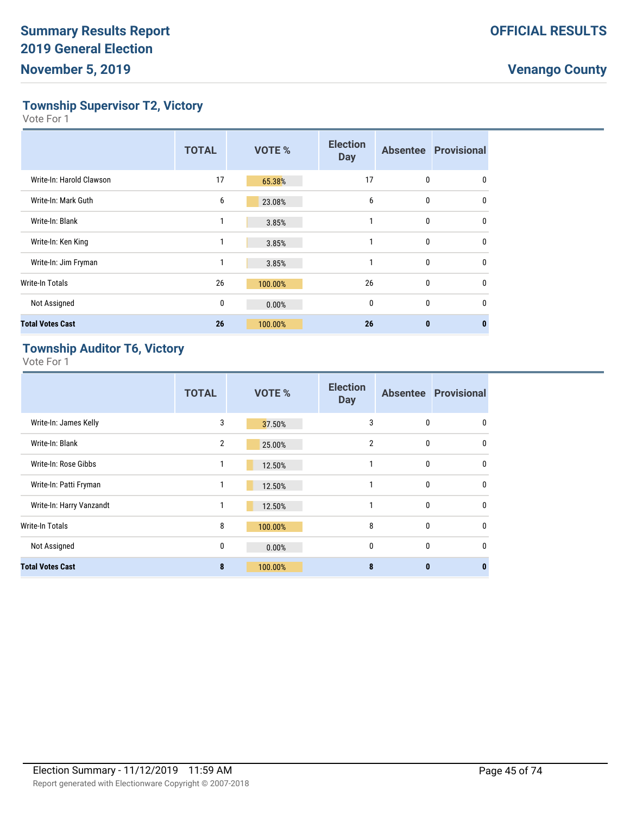**Township Supervisor T2, Victory**

Vote For 1

|                          | <b>TOTAL</b> | <b>VOTE %</b> | <b>Election</b><br><b>Day</b> |              | <b>Absentee Provisional</b> |
|--------------------------|--------------|---------------|-------------------------------|--------------|-----------------------------|
| Write-In: Harold Clawson | 17           | 65.38%        | 17                            | 0            | 0                           |
| Write-In: Mark Guth      | 6            | 23.08%        | 6                             | $\mathbf{0}$ | 0                           |
| Write-In: Blank          | 1            | 3.85%         |                               | 0            | $\mathbf{0}$                |
| Write-In: Ken King       |              | 3.85%         |                               | 0            | $\mathbf{0}$                |
| Write-In: Jim Fryman     | 1            | 3.85%         |                               | 0            | $\mathbf{0}$                |
| <b>Write-In Totals</b>   | 26           | 100.00%       | 26                            | 0            | $\mathbf{0}$                |
| Not Assigned             | 0            | 0.00%         | $\mathbf{0}$                  | $\mathbf{0}$ | $\mathbf{0}$                |
| <b>Total Votes Cast</b>  | 26           | 100.00%       | 26                            | $\mathbf{0}$ | 0                           |

#### **Township Auditor T6, Victory**

|                          | <b>TOTAL</b>   | <b>VOTE %</b> | <b>Election</b><br><b>Day</b> |              | <b>Absentee Provisional</b> |
|--------------------------|----------------|---------------|-------------------------------|--------------|-----------------------------|
| Write-In: James Kelly    | 3              | 37.50%        | 3                             | $\mathbf{0}$ | $\mathbf{0}$                |
| Write-In: Blank          | $\overline{2}$ | 25.00%        | $\overline{2}$                | $\mathbf{0}$ | $\mathbf 0$                 |
| Write-In: Rose Gibbs     | 1              | 12.50%        | 1                             | $\mathbf{0}$ | $\mathbf{0}$                |
| Write-In: Patti Fryman   | 1              | 12.50%        | 1                             | $\mathbf{0}$ | $\mathbf{0}$                |
| Write-In: Harry Vanzandt | 1              | 12.50%        | 1                             | $\mathbf{0}$ | $\mathbf{0}$                |
| <b>Write-In Totals</b>   | 8              | 100.00%       | 8                             | $\mathbf{0}$ | $\mathbf 0$                 |
| Not Assigned             | 0              | 0.00%         | $\mathbf{0}$                  | $\mathbf{0}$ | $\mathbf{0}$                |
| <b>Total Votes Cast</b>  | 8              | 100.00%       | 8                             | $\bf{0}$     | $\bf{0}$                    |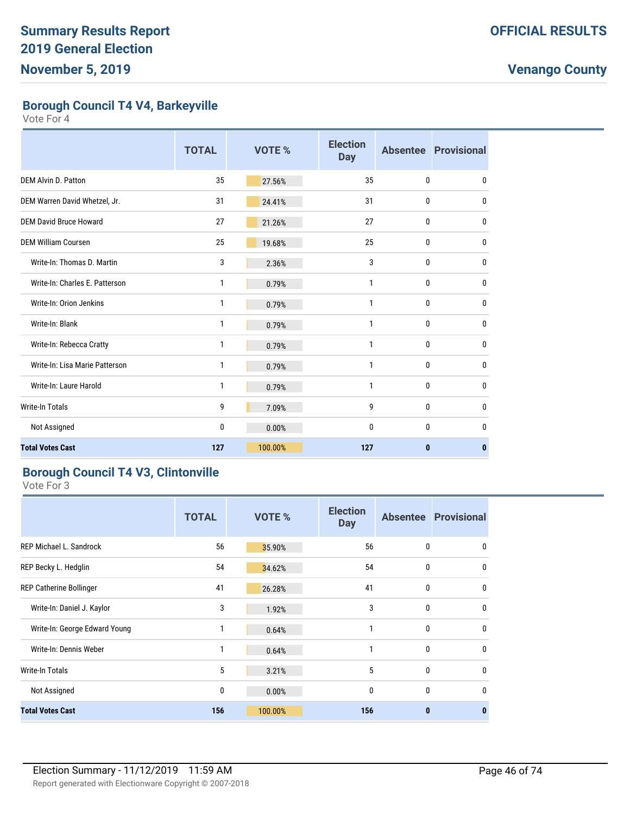**Borough Council T4 V4, Barkeyville**

Vote For 4

|                                | <b>TOTAL</b> | <b>VOTE %</b> | <b>Election</b><br><b>Day</b> |              | <b>Absentee Provisional</b> |
|--------------------------------|--------------|---------------|-------------------------------|--------------|-----------------------------|
| <b>DEM Alvin D. Patton</b>     | 35           | 27.56%        | 35                            | 0            | 0                           |
| DEM Warren David Whetzel, Jr.  | 31           | 24.41%        | 31                            | 0            | 0                           |
| <b>DEM David Bruce Howard</b>  | 27           | 21.26%        | 27                            | 0            | 0                           |
| <b>DEM William Coursen</b>     | 25           | 19.68%        | 25                            | 0            | 0                           |
| Write-In: Thomas D. Martin     | 3            | 2.36%         | 3                             | 0            | 0                           |
| Write-In: Charles E. Patterson | 1            | 0.79%         | 1                             | 0            | 0                           |
| Write-In: Orion Jenkins        | 1            | 0.79%         | 1                             | 0            | 0                           |
| Write-In: Blank                | 1            | 0.79%         | 1                             | 0            | 0                           |
| Write-In: Rebecca Cratty       | 1            | 0.79%         | 1                             | 0            | 0                           |
| Write-In: Lisa Marie Patterson | 1            | 0.79%         | 1                             | 0            | 0                           |
| Write-In: Laure Harold         | $\mathbf{1}$ | 0.79%         | 1                             | $\mathbf{0}$ | 0                           |
| <b>Write-In Totals</b>         | 9            | 7.09%         | 9                             | $\mathbf{0}$ | 0                           |
| Not Assigned                   | 0            | 0.00%         | 0                             | 0            | 0                           |
| <b>Total Votes Cast</b>        | 127          | 100.00%       | 127                           | $\bf{0}$     | 0                           |

#### **Borough Council T4 V3, Clintonville**

|                                | <b>TOTAL</b> | VOTE %  | <b>Election</b><br><b>Day</b> |                  | <b>Absentee Provisional</b> |
|--------------------------------|--------------|---------|-------------------------------|------------------|-----------------------------|
| <b>REP Michael L. Sandrock</b> | 56           | 35.90%  | 56                            | $\mathbf{0}$     | 0                           |
| REP Becky L. Hedglin           | 54           | 34.62%  | 54                            | $\mathbf{0}$     | $\mathbf{0}$                |
| REP Catherine Bollinger        | 41           | 26.28%  | 41                            | $\mathbf{0}$     | $\mathbf{0}$                |
| Write-In: Daniel J. Kaylor     | 3            | 1.92%   | 3                             | $\boldsymbol{0}$ | $\mathbf{0}$                |
| Write-In: George Edward Young  | 1            | 0.64%   | 1                             | $\mathbf{0}$     | $\mathbf{0}$                |
| Write-In: Dennis Weber         | 1            | 0.64%   | 1                             | $\mathbf{0}$     | 0                           |
| Write-In Totals                | 5            | 3.21%   | 5                             | $\mathbf{0}$     | $\mathbf{0}$                |
| Not Assigned                   | 0            | 0.00%   | 0                             | $\mathbf{0}$     | 0                           |
| <b>Total Votes Cast</b>        | 156          | 100.00% | 156                           | $\bf{0}$         | 0                           |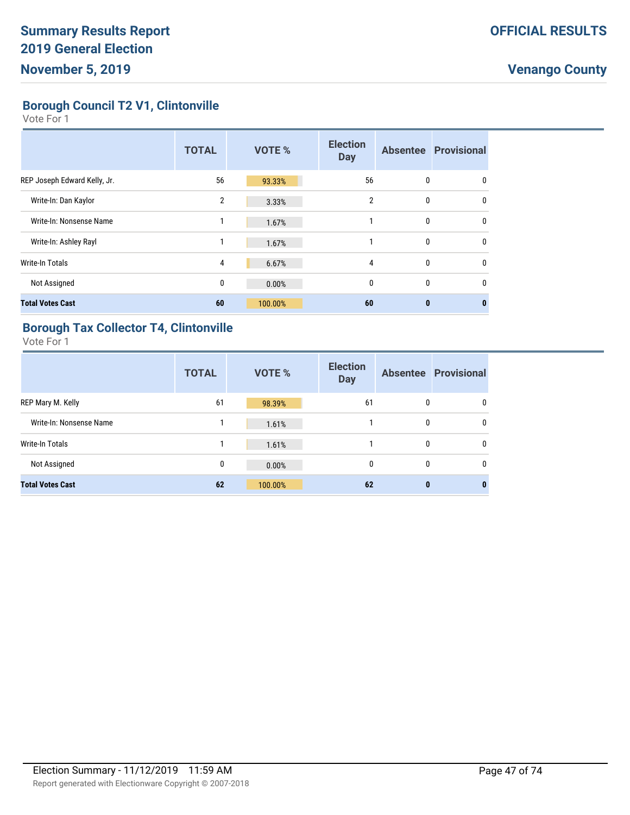**Borough Council T2 V1, Clintonville**

Vote For 1

|                              | <b>TOTAL</b>   | <b>VOTE %</b> | <b>Election</b><br><b>Day</b> |          | <b>Absentee Provisional</b> |
|------------------------------|----------------|---------------|-------------------------------|----------|-----------------------------|
| REP Joseph Edward Kelly, Jr. | 56             | 93.33%        | 56                            | 0        | 0                           |
| Write-In: Dan Kaylor         | $\overline{2}$ | 3.33%         | $\overline{2}$                | 0        | $\mathbf{0}$                |
| Write-In: Nonsense Name      | 1              | 1.67%         | 1                             | 0        | 0                           |
| Write-In: Ashley Rayl        | 1              | 1.67%         | 1                             | 0        | 0                           |
| Write-In Totals              | 4              | 6.67%         | 4                             | 0        | $\mathbf{0}$                |
| Not Assigned                 | 0              | 0.00%         | $\mathbf{0}$                  | 0        | 0                           |
| <b>Total Votes Cast</b>      | 60             | 100.00%       | 60                            | $\bf{0}$ | $\bf{0}$                    |

#### **Borough Tax Collector T4, Clintonville**

|                         | <b>TOTAL</b> | <b>VOTE %</b> | <b>Election</b><br><b>Day</b> |   | <b>Absentee Provisional</b> |
|-------------------------|--------------|---------------|-------------------------------|---|-----------------------------|
| REP Mary M. Kelly       | 61           | 98.39%        | 61                            | 0 | $\mathbf{0}$                |
| Write-In: Nonsense Name |              | 1.61%         |                               | 0 | 0                           |
| <b>Write-In Totals</b>  |              | 1.61%         |                               | 0 | $\mathbf{0}$                |
| Not Assigned            | 0            | 0.00%         | 0                             | 0 | 0                           |
| <b>Total Votes Cast</b> | 62           | 100.00%       | 62                            | 0 | $\bf{0}$                    |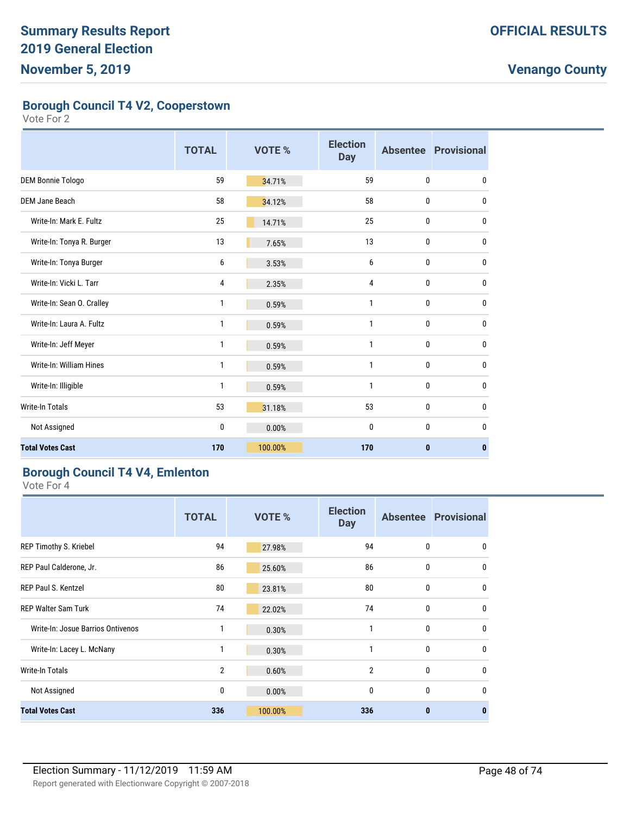**Borough Council T4 V2, Cooperstown**

Vote For 2

|                           | <b>TOTAL</b> | <b>VOTE %</b> | <b>Election</b><br><b>Day</b> |              | <b>Absentee Provisional</b> |
|---------------------------|--------------|---------------|-------------------------------|--------------|-----------------------------|
| DEM Bonnie Tologo         | 59           | 34.71%        | 59                            | $\mathbf{0}$ | 0                           |
| <b>DEM Jane Beach</b>     | 58           | 34.12%        | 58                            | $\mathbf{0}$ | 0                           |
| Write-In: Mark E. Fultz   | 25           | 14.71%        | 25                            | $\mathbf{0}$ | $\mathbf 0$                 |
| Write-In: Tonya R. Burger | 13           | 7.65%         | 13                            | $\mathbf{0}$ | 0                           |
| Write-In: Tonya Burger    | 6            | 3.53%         | 6                             | 0            | 0                           |
| Write-In: Vicki L. Tarr   | 4            | 2.35%         | 4                             | $\mathbf{0}$ | $\mathbf 0$                 |
| Write-In: Sean O. Cralley | 1            | 0.59%         | 1                             | $\mathbf{0}$ | 0                           |
| Write-In: Laura A. Fultz  | 1            | 0.59%         | 1                             | $\mathbf{0}$ | $\mathbf 0$                 |
| Write-In: Jeff Meyer      | 1            | 0.59%         | 1                             | $\mathbf{0}$ | $\mathbf 0$                 |
| Write-In: William Hines   | 1            | 0.59%         | 1                             | $\mathbf{0}$ | 0                           |
| Write-In: Illigible       | 1            | 0.59%         | 1                             | $\mathbf{0}$ | 0                           |
| Write-In Totals           | 53           | 31.18%        | 53                            | $\mathbf{0}$ | 0                           |
| Not Assigned              | 0            | 0.00%         | 0                             | $\mathbf{0}$ | 0                           |
| <b>Total Votes Cast</b>   | 170          | 100.00%       | 170                           | $\mathbf{0}$ | $\bf{0}$                    |

#### **Borough Council T4 V4, Emlenton**

|                                   | <b>TOTAL</b>   | <b>VOTE %</b> | <b>Election</b><br><b>Day</b> |              | <b>Absentee Provisional</b> |
|-----------------------------------|----------------|---------------|-------------------------------|--------------|-----------------------------|
| REP Timothy S. Kriebel            | 94             | 27.98%        | 94                            | $\mathbf{0}$ | 0                           |
| REP Paul Calderone, Jr.           | 86             | 25.60%        | 86                            | $\mathbf{0}$ | $\mathbf{0}$                |
| <b>REP Paul S. Kentzel</b>        | 80             | 23.81%        | 80                            | $\mathbf{0}$ | 0                           |
| <b>REP Walter Sam Turk</b>        | 74             | 22.02%        | 74                            | $\mathbf{0}$ | $\mathbf{0}$                |
| Write-In: Josue Barrios Ontivenos | 1              | 0.30%         | 1                             | $\mathbf{0}$ | $\mathbf{0}$                |
| Write-In: Lacey L. McNany         | 1              | 0.30%         | 1                             | $\mathbf{0}$ | $\mathbf{0}$                |
| Write-In Totals                   | $\overline{2}$ | 0.60%         | $\overline{2}$                | $\mathbf{0}$ | $\mathbf{0}$                |
| Not Assigned                      | 0              | 0.00%         | 0                             | $\mathbf{0}$ | $\mathbf{0}$                |
| <b>Total Votes Cast</b>           | 336            | 100.00%       | 336                           | $\bf{0}$     | $\bf{0}$                    |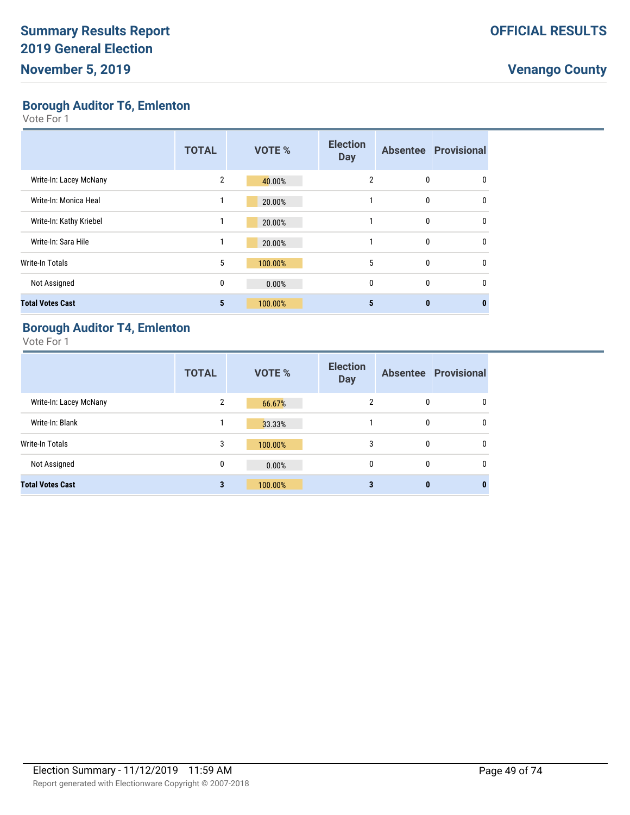**Borough Auditor T6, Emlenton**

Vote For 1

|                         | <b>TOTAL</b>            | <b>VOTE %</b> | <b>Election</b><br><b>Day</b> |   | <b>Absentee Provisional</b> |
|-------------------------|-------------------------|---------------|-------------------------------|---|-----------------------------|
| Write-In: Lacey McNany  | $\overline{2}$          | 40.00%        | $\overline{2}$                | 0 | 0                           |
| Write-In: Monica Heal   |                         | 20.00%        |                               | 0 | 0                           |
| Write-In: Kathy Kriebel |                         | 20.00%        |                               | 0 | $\mathbf{0}$                |
| Write-In: Sara Hile     | 1                       | 20.00%        |                               | 0 | $\mathbf{0}$                |
| Write-In Totals         | 5                       | 100.00%       | 5                             | 0 | 0                           |
| Not Assigned            | 0                       | 0.00%         | $\mathbf{0}$                  | 0 | $\mathbf{0}$                |
| <b>Total Votes Cast</b> | $\overline{\mathbf{5}}$ | 100.00%       | 5                             | 0 |                             |

#### **Borough Auditor T4, Emlenton**

|                         | <b>TOTAL</b>   | <b>VOTE %</b> | <b>Election</b><br><b>Day</b> |   | <b>Absentee Provisional</b> |
|-------------------------|----------------|---------------|-------------------------------|---|-----------------------------|
| Write-In: Lacey McNany  | $\overline{2}$ | 66.67%        | 2                             | 0 | 0                           |
| Write-In: Blank         |                | 33.33%        |                               | 0 | 0                           |
| Write-In Totals         | 3              | 100.00%       | 3                             | 0 | 0                           |
| Not Assigned            | 0              | 0.00%         | 0                             | 0 | $\mathbf{0}$                |
| <b>Total Votes Cast</b> | 3              | 100.00%       | 3                             | 0 | 0                           |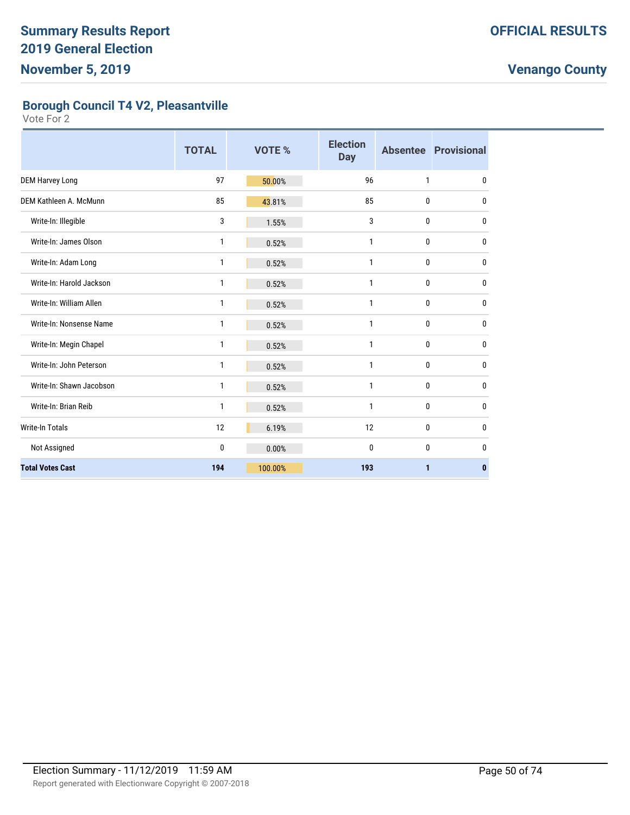**Borough Council T4 V2, Pleasantville**

|                          | <b>TOTAL</b> | <b>VOTE %</b> | <b>Election</b><br><b>Day</b> |              | <b>Absentee Provisional</b> |
|--------------------------|--------------|---------------|-------------------------------|--------------|-----------------------------|
| <b>DEM Harvey Long</b>   | 97           | 50.00%        | 96                            | 1            | $\mathbf{0}$                |
| DEM Kathleen A. McMunn   | 85           | 43.81%        | 85                            | 0            | $\mathbf{0}$                |
| Write-In: Illegible      | 3            | 1.55%         | 3                             | 0            | 0                           |
| Write-In: James Olson    | 1            | 0.52%         | 1                             | 0            | $\mathbf{0}$                |
| Write-In: Adam Long      | 1            | 0.52%         | $\mathbf{1}$                  | 0            | $\mathbf{0}$                |
| Write-In: Harold Jackson | 1            | 0.52%         | $\mathbf{1}$                  | 0            | $\mathbf{0}$                |
| Write-In: William Allen  | 1            | 0.52%         | $\mathbf{1}$                  | 0            | $\mathbf{0}$                |
| Write-In: Nonsense Name  | 1            | 0.52%         | $\mathbf{1}$                  | 0            | 0                           |
| Write-In: Megin Chapel   | 1            | 0.52%         | $\mathbf{1}$                  | 0            | $\mathbf{0}$                |
| Write-In: John Peterson  | 1            | 0.52%         | 1                             | 0            | $\mathbf{0}$                |
| Write-In: Shawn Jacobson | $\mathbf{1}$ | 0.52%         | $\mathbf{1}$                  | 0            | $\mathbf{0}$                |
| Write-In: Brian Reib     | 1            | 0.52%         | 1                             | 0            | 0                           |
| <b>Write-In Totals</b>   | 12           | 6.19%         | 12                            | 0            | $\mathbf{0}$                |
| Not Assigned             | $\mathbf{0}$ | 0.00%         | $\mathbf{0}$                  | $\mathbf{0}$ | $\mathbf{0}$                |
| <b>Total Votes Cast</b>  | 194          | 100.00%       | 193                           | 1            | $\mathbf{0}$                |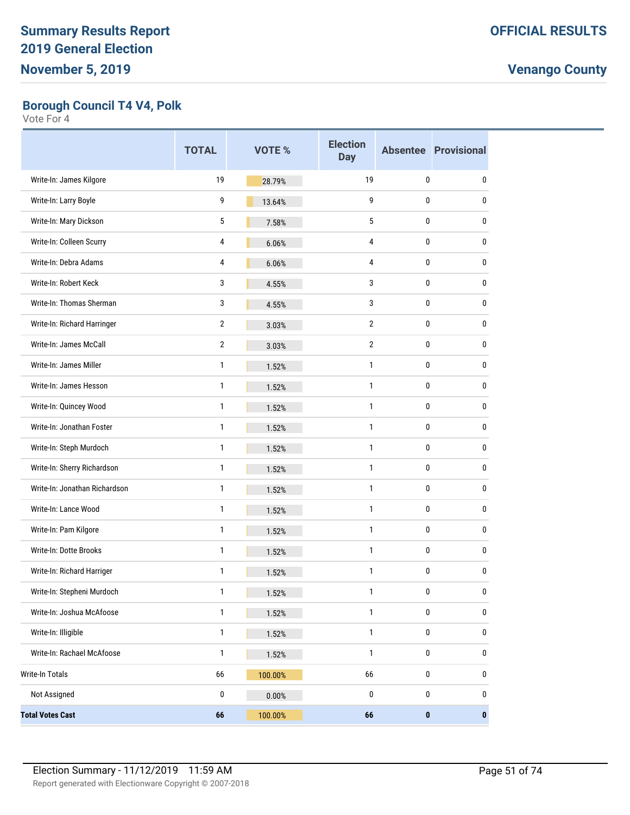**Borough Council T4 V4, Polk**

|                               | <b>TOTAL</b> | <b>VOTE %</b> | <b>Election</b><br><b>Day</b> |           | <b>Absentee Provisional</b> |
|-------------------------------|--------------|---------------|-------------------------------|-----------|-----------------------------|
| Write-In: James Kilgore       | 19           | 28.79%        | 19                            | 0         | 0                           |
| Write-In: Larry Boyle         | 9            | 13.64%        | 9                             | 0         | 0                           |
| Write-In: Mary Dickson        | 5            | 7.58%         | 5                             | 0         | 0                           |
| Write-In: Colleen Scurry      | 4            | 6.06%         | 4                             | 0         | 0                           |
| Write-In: Debra Adams         | 4            | 6.06%         | 4                             | 0         | 0                           |
| Write-In: Robert Keck         | 3            | 4.55%         | 3                             | 0         | 0                           |
| Write-In: Thomas Sherman      | 3            | 4.55%         | 3                             | 0         | 0                           |
| Write-In: Richard Harringer   | 2            | 3.03%         | 2                             | 0         | 0                           |
| Write-In: James McCall        | 2            | 3.03%         | 2                             | 0         | 0                           |
| Write-In: James Miller        | 1            | 1.52%         | $\mathbf{1}$                  | 0         | 0                           |
| Write-In: James Hesson        | 1            | 1.52%         | 1                             | 0         | 0                           |
| Write-In: Quincey Wood        | 1            | 1.52%         | $\mathbf{1}$                  | 0         | 0                           |
| Write-In: Jonathan Foster     | 1            | 1.52%         | $\mathbf{1}$                  | 0         | 0                           |
| Write-In: Steph Murdoch       | 1            | 1.52%         | 1                             | 0         | 0                           |
| Write-In: Sherry Richardson   | 1            | 1.52%         | $\mathbf{1}$                  | 0         | 0                           |
| Write-In: Jonathan Richardson | 1            | 1.52%         | $\mathbf{1}$                  | 0         | 0                           |
| Write-In: Lance Wood          | 1            | 1.52%         | 1                             | 0         | 0                           |
| Write-In: Pam Kilgore         | 1            | 1.52%         | 1                             | 0         | 0                           |
| Write-In: Dotte Brooks        | 1            | 1.52%         | $\mathbf{1}$                  | 0         | 0                           |
| Write-In: Richard Harriger    | 1            | 1.52%         | $\mathbf{1}$                  | 0         | 0                           |
| Write-In: Stepheni Murdoch    | 1            | 1.52%         | $\mathbf{1}$                  | 0         | 0                           |
| Write-In: Joshua McAfoose     | 1            | 1.52%         | $\mathbf{1}$                  | $\pmb{0}$ | 0                           |
| Write-In: Illigible           | 1            | 1.52%         | 1                             | $\pmb{0}$ | 0                           |
| Write-In: Rachael McAfoose    | 1            | 1.52%         | 1                             | 0         | 0                           |
| Write-In Totals               | 66           | 100.00%       | 66                            | $\pmb{0}$ | 0                           |
| Not Assigned                  | 0            | 0.00%         | 0                             | 0         | 0                           |
| <b>Total Votes Cast</b>       | 66           | 100.00%       | 66                            | 0         | $\pmb{0}$                   |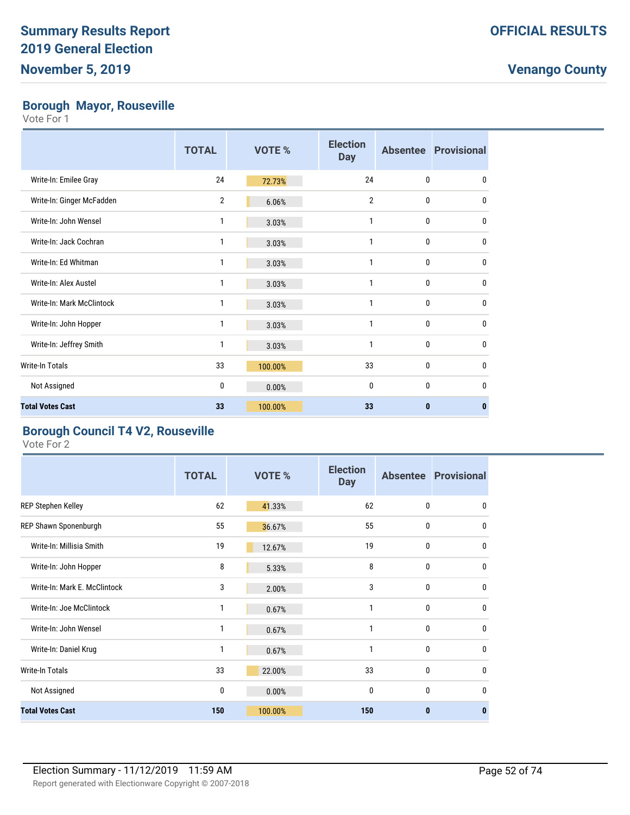#### **Borough Mayor, Rouseville**

Vote For 1

|                           | <b>TOTAL</b>   | VOTE %  | <b>Election</b><br><b>Day</b> |              | <b>Absentee Provisional</b> |
|---------------------------|----------------|---------|-------------------------------|--------------|-----------------------------|
| Write-In: Emilee Gray     | 24             | 72.73%  | 24                            | $\mathbf{0}$ | $\mathbf{0}$                |
| Write-In: Ginger McFadden | $\overline{2}$ | 6.06%   | $\overline{2}$                | $\mathbf{0}$ | $\mathbf{0}$                |
| Write-In: John Wensel     | 1              | 3.03%   | 1                             | $\mathbf{0}$ | $\bf{0}$                    |
| Write-In: Jack Cochran    | 1              | 3.03%   | 1                             | $\mathbf{0}$ | $\mathbf{0}$                |
| Write-In: Ed Whitman      | 1              | 3.03%   | 1                             | $\mathbf{0}$ | $\bf{0}$                    |
| Write-In: Alex Austel     | 1              | 3.03%   | 1                             | $\mathbf{0}$ | $\bf{0}$                    |
| Write-In: Mark McClintock | 1              | 3.03%   | 1                             | $\mathbf{0}$ | $\mathbf{0}$                |
| Write-In: John Hopper     | 1              | 3.03%   | 1                             | 0            | 0                           |
| Write-In: Jeffrey Smith   | 1              | 3.03%   | 1                             | 0            | $\mathbf{0}$                |
| <b>Write-In Totals</b>    | 33             | 100.00% | 33                            | 0            | 0                           |
| Not Assigned              | 0              | 0.00%   | 0                             | $\mathbf{0}$ | $\mathbf{0}$                |
| <b>Total Votes Cast</b>   | 33             | 100.00% | 33                            | $\bf{0}$     | 0                           |

#### **Borough Council T4 V2, Rouseville**

|                              | <b>TOTAL</b> | VOTE %  | <b>Election</b><br><b>Day</b> |              | <b>Absentee Provisional</b> |
|------------------------------|--------------|---------|-------------------------------|--------------|-----------------------------|
| <b>REP Stephen Kelley</b>    | 62           | 41.33%  | 62                            | $\mathbf{0}$ | 0                           |
| REP Shawn Sponenburgh        | 55           | 36.67%  | 55                            | 0            | $\mathbf{0}$                |
| Write-In: Millisia Smith     | 19           | 12.67%  | 19                            | $\mathbf{0}$ | $\mathbf{0}$                |
| Write-In: John Hopper        | 8            | 5.33%   | 8                             | $\mathbf{0}$ | $\mathbf{0}$                |
| Write-In: Mark E. McClintock | 3            | 2.00%   | 3                             | $\mathbf{0}$ | 0                           |
| Write-In: Joe McClintock     | 1            | 0.67%   | 1                             | $\mathbf{0}$ | $\mathbf{0}$                |
| Write-In: John Wensel        | 1            | 0.67%   | $\mathbf{1}$                  | $\mathbf{0}$ | $\mathbf{0}$                |
| Write-In: Daniel Krug        | 1            | 0.67%   | 1                             | $\mathbf{0}$ | $\mathbf{0}$                |
| Write-In Totals              | 33           | 22.00%  | 33                            | $\mathbf{0}$ | $\mathbf{0}$                |
| Not Assigned                 | 0            | 0.00%   | 0                             | $\mathbf{0}$ | 0                           |
| <b>Total Votes Cast</b>      | 150          | 100.00% | 150                           | 0            | $\bf{0}$                    |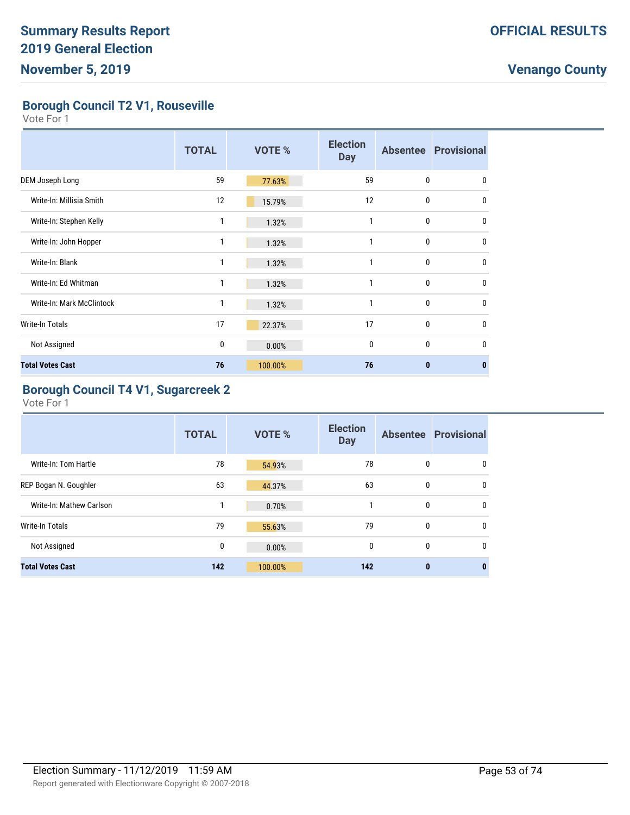**Borough Council T2 V1, Rouseville**

Vote For 1

|                           | <b>TOTAL</b> | <b>VOTE %</b> | <b>Election</b><br><b>Day</b> |              | <b>Absentee Provisional</b> |
|---------------------------|--------------|---------------|-------------------------------|--------------|-----------------------------|
| DEM Joseph Long           | 59           | 77.63%        | 59                            | $\mathbf{0}$ | $\mathbf{0}$                |
| Write-In: Millisia Smith  | 12           | 15.79%        | 12                            | 0            | $\mathbf{0}$                |
| Write-In: Stephen Kelly   | 1            | 1.32%         | 1                             | $\mathbf 0$  | 0                           |
| Write-In: John Hopper     | 1            | 1.32%         | 1                             | 0            | $\mathbf{0}$                |
| Write-In: Blank           | 1            | 1.32%         | 1                             | 0            | $\mathbf{0}$                |
| Write-In: Ed Whitman      | 1            | 1.32%         | 1                             | $\mathbf 0$  | $\mathbf{0}$                |
| Write-In: Mark McClintock | $\mathbf{1}$ | 1.32%         | 1                             | $\mathbf 0$  | $\mathbf{0}$                |
| Write-In Totals           | 17           | 22.37%        | 17                            | $\mathbf 0$  | $\mathbf{0}$                |
| Not Assigned              | 0            | 0.00%         | 0                             | $\mathbf 0$  | 0                           |
| <b>Total Votes Cast</b>   | 76           | 100.00%       | 76                            | $\bf{0}$     | 0                           |

#### **Borough Council T4 V1, Sugarcreek 2**

|                          | <b>TOTAL</b> | <b>VOTE %</b> | <b>Election</b><br><b>Day</b> |              | <b>Absentee Provisional</b> |
|--------------------------|--------------|---------------|-------------------------------|--------------|-----------------------------|
| Write-In: Tom Hartle     | 78           | 54.93%        | 78                            | 0            | 0                           |
| REP Bogan N. Goughler    | 63           | 44.37%        | 63                            | 0            | $\mathbf{0}$                |
| Write-In: Mathew Carlson |              | 0.70%         | 1                             | $\bf{0}$     | $\mathbf{0}$                |
| Write-In Totals          | 79           | 55.63%        | 79                            | $\mathbf{0}$ | $\mathbf{0}$                |
| Not Assigned             | 0            | 0.00%         | 0                             | 0            | $\mathbf 0$                 |
| <b>Total Votes Cast</b>  | 142          | 100.00%       | 142                           | $\mathbf{0}$ | 0                           |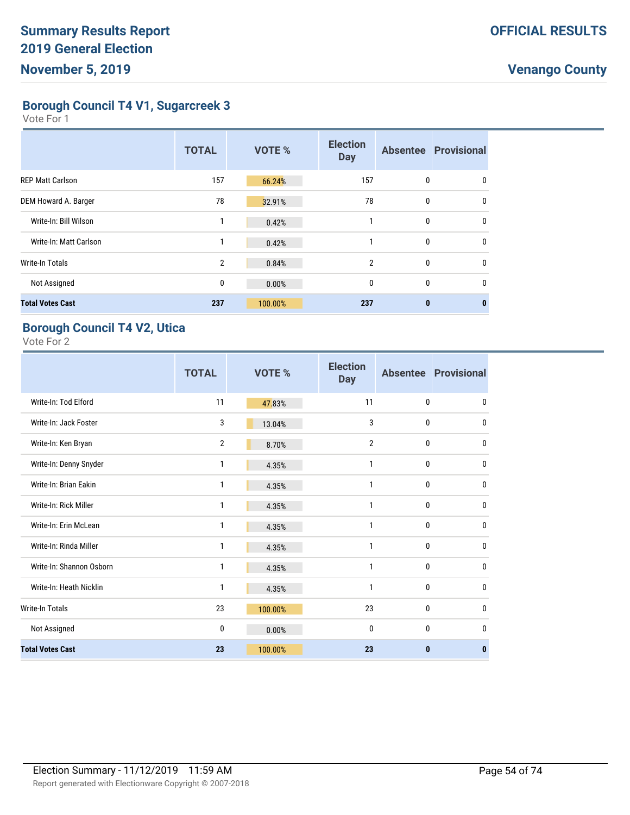**Borough Council T4 V1, Sugarcreek 3**

Vote For 1

|                         | <b>TOTAL</b>   | <b>VOTE %</b> | <b>Election</b><br><b>Day</b> |          | <b>Absentee Provisional</b> |
|-------------------------|----------------|---------------|-------------------------------|----------|-----------------------------|
| <b>REP Matt Carlson</b> | 157            | 66.24%        | 157                           | 0        | 0                           |
| DEM Howard A. Barger    | 78             | 32.91%        | 78                            | 0        | $\mathbf{0}$                |
| Write-In: Bill Wilson   | 1              | 0.42%         |                               | 0        | $\mathbf{0}$                |
| Write-In: Matt Carlson  |                | 0.42%         |                               | 0        | 0                           |
| Write-In Totals         | $\overline{2}$ | 0.84%         | $\overline{2}$                | 0        | $\mathbf{0}$                |
| Not Assigned            | 0              | 0.00%         | $\mathbf{0}$                  | 0        | $\Omega$                    |
| <b>Total Votes Cast</b> | 237            | 100.00%       | 237                           | $\bf{0}$ | 0                           |

#### **Borough Council T4 V2, Utica**

|                          | <b>TOTAL</b>   | <b>VOTE %</b> | <b>Election</b><br><b>Day</b> |              | <b>Absentee Provisional</b> |
|--------------------------|----------------|---------------|-------------------------------|--------------|-----------------------------|
| Write-In: Tod Elford     | 11             | 47.83%        | 11                            | $\mathbf{0}$ | 0                           |
| Write-In: Jack Foster    | 3              | 13.04%        | 3                             | $\mathbf{0}$ | $\mathbf{0}$                |
| Write-In: Ken Bryan      | $\overline{2}$ | 8.70%         | $\overline{2}$                | $\mathbf{0}$ | $\mathbf{0}$                |
| Write-In: Denny Snyder   | 1              | 4.35%         | 1                             | $\mathbf{0}$ | $\mathbf{0}$                |
| Write-In: Brian Eakin    | 1              | 4.35%         | 1                             | $\mathbf{0}$ | $\mathbf{0}$                |
| Write-In: Rick Miller    | 1              | 4.35%         | 1                             | $\mathbf{0}$ | $\mathbf{0}$                |
| Write-In: Erin McLean    | 1              | 4.35%         | 1                             | 0            | $\mathbf 0$                 |
| Write-In: Rinda Miller   | 1              | 4.35%         | 1                             | $\mathbf{0}$ | $\mathbf{0}$                |
| Write-In: Shannon Osborn | 1              | 4.35%         | 1                             | $\mathbf{0}$ | $\mathbf{0}$                |
| Write-In: Heath Nicklin  | 1              | 4.35%         | 1                             | 0            | 0                           |
| <b>Write-In Totals</b>   | 23             | 100.00%       | 23                            | 0            | 0                           |
| Not Assigned             | 0              | 0.00%         | $\mathbf 0$                   | $\mathbf{0}$ | 0                           |
| <b>Total Votes Cast</b>  | 23             | 100.00%       | 23                            | $\mathbf{0}$ | $\mathbf{0}$                |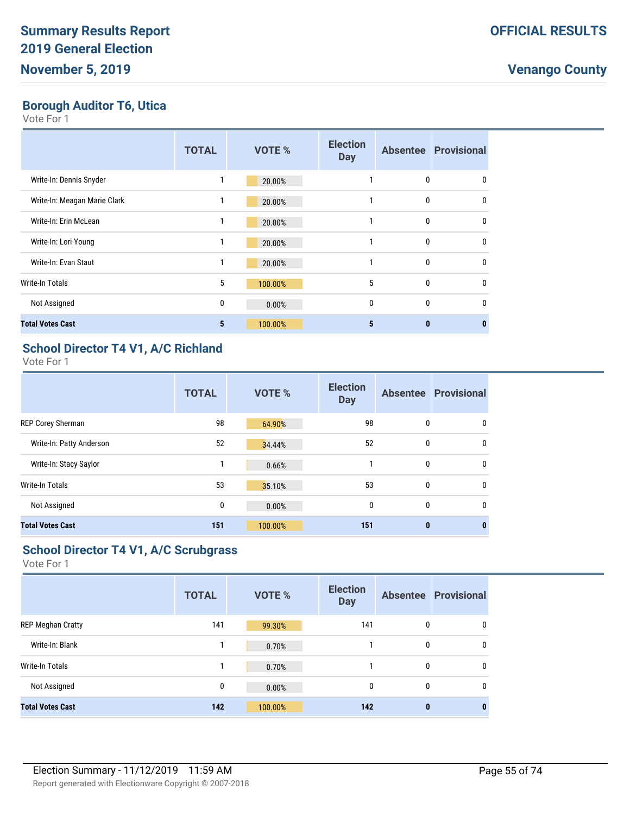**Borough Auditor T6, Utica**

Vote For 1

|                              | <b>TOTAL</b> | <b>VOTE %</b> | <b>Election</b><br><b>Day</b> |              | <b>Absentee Provisional</b> |
|------------------------------|--------------|---------------|-------------------------------|--------------|-----------------------------|
| Write-In: Dennis Snyder      |              | 20.00%        |                               | 0            | 0                           |
| Write-In: Meagan Marie Clark |              | 20.00%        | 1                             | 0            | $\mathbf{0}$                |
| Write-In: Erin McLean        | 1            | 20.00%        | 1                             | 0            | $\mathbf{0}$                |
| Write-In: Lori Young         |              | 20.00%        | 1                             | 0            | $\mathbf{0}$                |
| Write-In: Evan Staut         | 1            | 20.00%        | 1                             | 0            | 0                           |
| Write-In Totals              | 5            | 100.00%       | 5                             | $\mathbf{0}$ | $\mathbf{0}$                |
| Not Assigned                 | 0            | 0.00%         | $\mathbf{0}$                  | $\mathbf{0}$ | $\mathbf{0}$                |
| <b>Total Votes Cast</b>      | 5            | 100.00%       | 5                             | $\mathbf{0}$ | 0                           |

#### **School Director T4 V1, A/C Richland**

Vote For 1

|                          | <b>TOTAL</b> | <b>VOTE %</b> | <b>Election</b><br><b>Day</b> |             | <b>Absentee Provisional</b> |
|--------------------------|--------------|---------------|-------------------------------|-------------|-----------------------------|
| <b>REP Corey Sherman</b> | 98           | 64.90%        | 98                            | 0           | 0                           |
| Write-In: Patty Anderson | 52           | 34.44%        | 52                            | $\mathbf 0$ | 0                           |
| Write-In: Stacy Saylor   | 1            | 0.66%         |                               | 0           | 0                           |
| Write-In Totals          | 53           | 35.10%        | 53                            | 0           | 0                           |
| Not Assigned             | 0            | 0.00%         | 0                             | 0           | 0                           |
| <b>Total Votes Cast</b>  | 151          | 100.00%       | 151                           | $\bf{0}$    | 0                           |

#### **School Director T4 V1, A/C Scrubgrass**

|                          | <b>TOTAL</b> | <b>VOTE %</b> | <b>Election</b><br><b>Day</b> |          | <b>Absentee Provisional</b> |
|--------------------------|--------------|---------------|-------------------------------|----------|-----------------------------|
| <b>REP Meghan Cratty</b> | 141          | 99.30%        | 141                           | 0        | 0                           |
| Write-In: Blank          | 1            | 0.70%         |                               | 0        | 0                           |
| <b>Write-In Totals</b>   |              | 0.70%         |                               | 0        | 0                           |
| Not Assigned             | 0            | 0.00%         | 0                             | 0        | $\mathbf{0}$                |
| <b>Total Votes Cast</b>  | 142          | 100.00%       | 142                           | $\bf{0}$ | 0                           |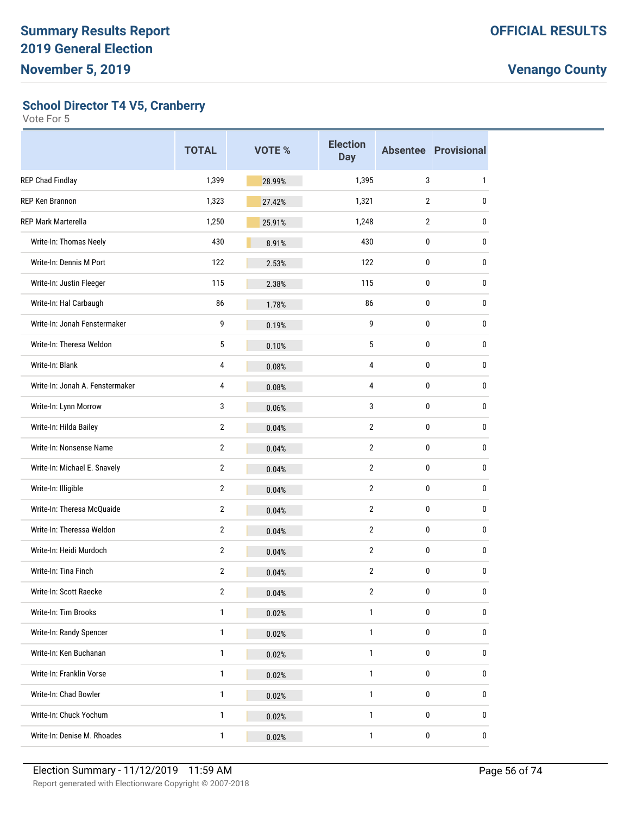**School Director T4 V5, Cranberry**

|                                 | <b>TOTAL</b>   | <b>VOTE %</b> | <b>Election</b><br><b>Day</b> |                | <b>Absentee Provisional</b> |
|---------------------------------|----------------|---------------|-------------------------------|----------------|-----------------------------|
| REP Chad Findlay                | 1,399          | 28.99%        | 1,395                         | 3              | 1                           |
| REP Ken Brannon                 | 1,323          | 27.42%        | 1,321                         | $\overline{2}$ | 0                           |
| <b>REP Mark Marterella</b>      | 1,250          | 25.91%        | 1,248                         | $\overline{2}$ | 0                           |
| Write-In: Thomas Neely          | 430            | 8.91%         | 430                           | 0              | 0                           |
| Write-In: Dennis M Port         | 122            | 2.53%         | 122                           | 0              | 0                           |
| Write-In: Justin Fleeger        | 115            | 2.38%         | 115                           | 0              | 0                           |
| Write-In: Hal Carbaugh          | 86             | 1.78%         | 86                            | 0              | 0                           |
| Write-In: Jonah Fenstermaker    | 9              | 0.19%         | 9                             | 0              | 0                           |
| Write-In: Theresa Weldon        | 5              | 0.10%         | 5                             | 0              | 0                           |
| Write-In: Blank                 | $\overline{4}$ | 0.08%         | $\overline{4}$                | 0              | 0                           |
| Write-In: Jonah A. Fenstermaker | 4              | 0.08%         | 4                             | 0              | 0                           |
| Write-In: Lynn Morrow           | 3              | 0.06%         | 3                             | 0              | 0                           |
| Write-In: Hilda Bailey          | $\overline{2}$ | 0.04%         | $\overline{2}$                | 0              | 0                           |
| Write-In: Nonsense Name         | $\overline{2}$ | 0.04%         | $\overline{2}$                | 0              | 0                           |
| Write-In: Michael E. Snavely    | $\overline{2}$ | 0.04%         | $\overline{2}$                | 0              | 0                           |
| Write-In: Illigible             | $\overline{2}$ | 0.04%         | $\overline{2}$                | 0              | 0                           |
| Write-In: Theresa McQuaide      | $\overline{2}$ | 0.04%         | $\overline{2}$                | 0              | 0                           |
| Write-In: Theressa Weldon       | $\overline{2}$ | 0.04%         | $\overline{2}$                | 0              | 0                           |
| Write-In: Heidi Murdoch         | $\overline{2}$ | 0.04%         | $\overline{2}$                | 0              | 0                           |
| Write-In: Tina Finch            | $\overline{2}$ | 0.04%         | $\overline{2}$                | 0              | 0                           |
| Write-In: Scott Raecke          | 2              | 0.04%         | $\overline{2}$                | 0              | 0                           |
| Write-In: Tim Brooks            | $\mathbf{1}$   | 0.02%         | $\mathbf{1}$                  | $\pmb{0}$      | 0                           |
| Write-In: Randy Spencer         | $\mathbf{1}$   | 0.02%         | $\mathbf{1}$                  | 0              | 0                           |
| Write-In: Ken Buchanan          | $\mathbf{1}$   | 0.02%         | 1                             | 0              | 0                           |
| Write-In: Franklin Vorse        | $\mathbf{1}$   | 0.02%         | $\mathbf{1}$                  | $\pmb{0}$      | 0                           |
| Write-In: Chad Bowler           | $\mathbf{1}$   | 0.02%         | $\mathbf{1}$                  | 0              | 0                           |
| Write-In: Chuck Yochum          | $\mathbf{1}$   | 0.02%         | 1                             | 0              | 0                           |
| Write-In: Denise M. Rhoades     | $\mathbf{1}$   | 0.02%         | $\mathbf 1$                   | $\pmb{0}$      | 0                           |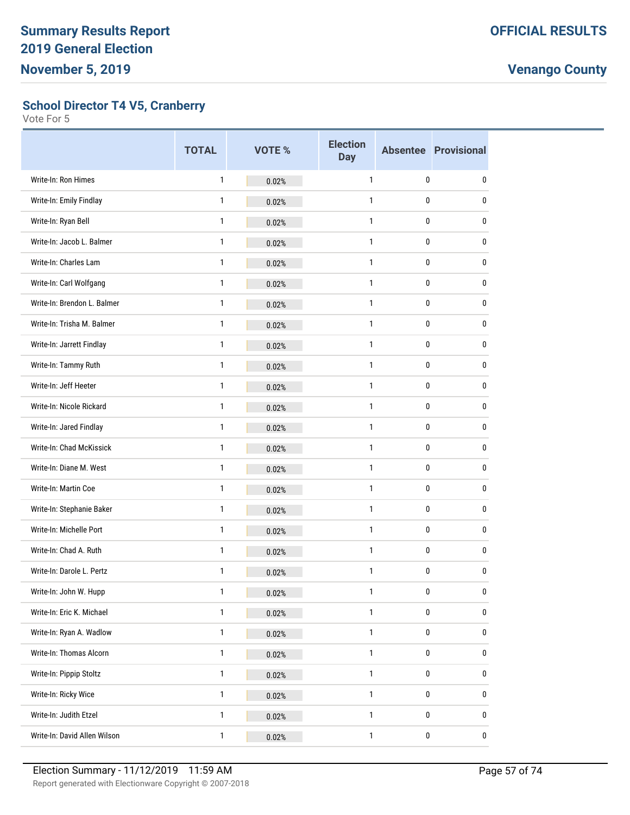**School Director T4 V5, Cranberry**

|                              | <b>TOTAL</b> | <b>VOTE %</b> | <b>Election</b><br><b>Day</b> |   | <b>Absentee Provisional</b> |
|------------------------------|--------------|---------------|-------------------------------|---|-----------------------------|
| Write-In: Ron Himes          | $\mathbf{1}$ | 0.02%         | $\mathbf{1}$                  | 0 | 0                           |
| Write-In: Emily Findlay      | 1            | 0.02%         | $\mathbf{1}$                  | 0 | 0                           |
| Write-In: Ryan Bell          | $\mathbf{1}$ | 0.02%         | $\mathbf{1}$                  | 0 | 0                           |
| Write-In: Jacob L. Balmer    | $\mathbf{1}$ | 0.02%         | $\mathbf{1}$                  | 0 | 0                           |
| Write-In: Charles Lam        | 1            | 0.02%         | $\mathbf{1}$                  | 0 | 0                           |
| Write-In: Carl Wolfgang      | $\mathbf{1}$ | 0.02%         | $\mathbf{1}$                  | 0 | 0                           |
| Write-In: Brendon L. Balmer  | $\mathbf{1}$ | 0.02%         | $\mathbf{1}$                  | 0 | 0                           |
| Write-In: Trisha M. Balmer   | 1            | 0.02%         | $\mathbf{1}$                  | 0 | 0                           |
| Write-In: Jarrett Findlay    | $\mathbf{1}$ | 0.02%         | $\mathbf{1}$                  | 0 | 0                           |
| Write-In: Tammy Ruth         | $\mathbf{1}$ | 0.02%         | $\mathbf{1}$                  | 0 | 0                           |
| Write-In: Jeff Heeter        | 1            | 0.02%         | $\mathbf{1}$                  | 0 | 0                           |
| Write-In: Nicole Rickard     | $\mathbf{1}$ | 0.02%         | $\mathbf{1}$                  | 0 | 0                           |
| Write-In: Jared Findlay      | $\mathbf{1}$ | 0.02%         | $\mathbf{1}$                  | 0 | 0                           |
| Write-In: Chad McKissick     | 1            | 0.02%         | $\mathbf{1}$                  | 0 | 0                           |
| Write-In: Diane M. West      | $\mathbf{1}$ | 0.02%         | $\mathbf{1}$                  | 0 | 0                           |
| Write-In: Martin Coe         | $\mathbf{1}$ | 0.02%         | $\mathbf{1}$                  | 0 | 0                           |
| Write-In: Stephanie Baker    | 1            | 0.02%         | $\mathbf{1}$                  | 0 | 0                           |
| Write-In: Michelle Port      | $\mathbf{1}$ | 0.02%         | $\mathbf{1}$                  | 0 | 0                           |
| Write-In: Chad A. Ruth       | $\mathbf{1}$ | 0.02%         | $\mathbf{1}$                  | 0 | 0                           |
| Write-In: Darole L. Pertz    | 1            | 0.02%         | $\mathbf{1}$                  | 0 | 0                           |
| Write-In: John W. Hupp       | $\mathbf{1}$ | 0.02%         | $\mathbf{1}$                  | 0 | 0                           |
| Write-In: Eric K. Michael    | $\mathbf{1}$ | 0.02%         | $\mathbf{1}$                  | 0 | 0                           |
| Write-In: Ryan A. Wadlow     | $\mathbf{1}$ | 0.02%         | $\mathbf{1}$                  | 0 | 0                           |
| Write-In: Thomas Alcorn      | $\mathbf{1}$ | 0.02%         | $\mathbf{1}$                  | 0 | 0                           |
| Write-In: Pippip Stoltz      | $\mathbf{1}$ | 0.02%         | $\mathbf{1}$                  | 0 | 0                           |
| Write-In: Ricky Wice         | $\mathbf{1}$ | 0.02%         | $\mathbf{1}$                  | 0 | 0                           |
| Write-In: Judith Etzel       | $\mathbf{1}$ | 0.02%         | $\mathbf{1}$                  | 0 | 0                           |
| Write-In: David Allen Wilson | $\mathbf{1}$ | 0.02%         | $\mathbf{1}$                  | 0 | $\pmb{0}$                   |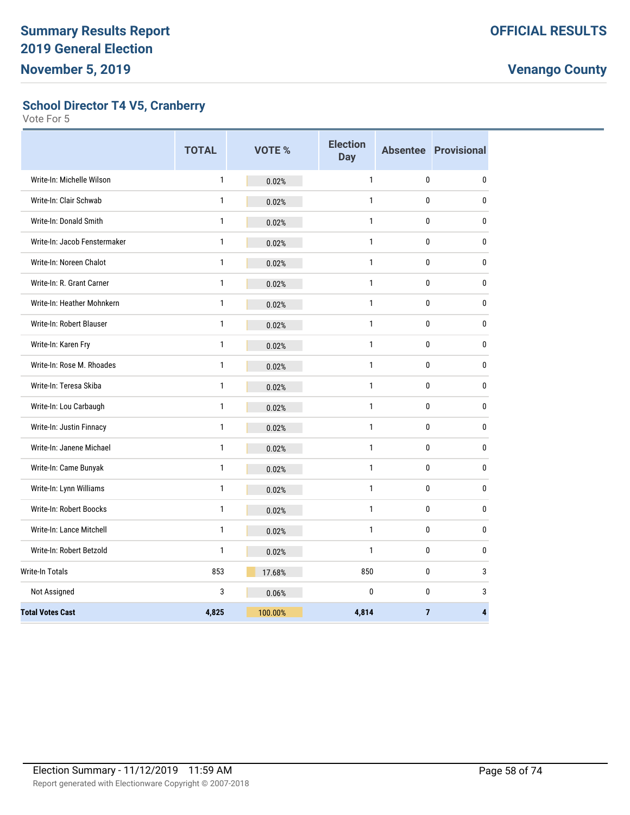#### **School Director T4 V5, Cranberry**

|                                 | <b>TOTAL</b> | VOTE %  | <b>Election</b><br><b>Day</b> |              | <b>Absentee Provisional</b> |
|---------------------------------|--------------|---------|-------------------------------|--------------|-----------------------------|
| Write-In: Michelle Wilson       | $\mathbf{1}$ | 0.02%   | $\mathbf{1}$                  | 0            | $\mathbf 0$                 |
| Write-In: Clair Schwab          | 1            | 0.02%   | $\mathbf{1}$                  | 0            | 0                           |
| Write-In: Donald Smith          | $\mathbf{1}$ | 0.02%   | $\mathbf{1}$                  | $\mathbf{0}$ | $\pmb{0}$                   |
| Write-In: Jacob Fenstermaker    | 1            | 0.02%   | $\mathbf{1}$                  | 0            | $\mathbf 0$                 |
| Write-In: Noreen Chalot         | $\mathbf{1}$ | 0.02%   | $\mathbf{1}$                  | 0            | $\mathbf 0$                 |
| Write-In: R. Grant Carner       | $\mathbf{1}$ | 0.02%   | $\mathbf{1}$                  | 0            | $\mathbf 0$                 |
| Write-In: Heather Mohnkern      | $\mathbf{1}$ | 0.02%   | $\mathbf{1}$                  | 0            | 0                           |
| Write-In: Robert Blauser        | $\mathbf{1}$ | 0.02%   | $\mathbf{1}$                  | 0            | 0                           |
| Write-In: Karen Fry             | $\mathbf{1}$ | 0.02%   | $\mathbf{1}$                  | $\mathbf{0}$ | $\mathbf{0}$                |
| Write-In: Rose M. Rhoades       | $\mathbf{1}$ | 0.02%   | $\mathbf{1}$                  | $\mathbf{0}$ | $\pmb{0}$                   |
| Write-In: Teresa Skiba          | 1            | 0.02%   | 1                             | $\mathbf{0}$ | $\pmb{0}$                   |
| Write-In: Lou Carbaugh          | 1            | 0.02%   | $\mathbf{1}$                  | 0            | 0                           |
| Write-In: Justin Finnacy        | 1            | 0.02%   | $\mathbf{1}$                  | 0            | $\mathbf 0$                 |
| Write-In: Janene Michael        | 1            | 0.02%   | $\mathbf{1}$                  | 0            | 0                           |
| Write-In: Came Bunyak           | $\mathbf{1}$ | 0.02%   | $\mathbf{1}$                  | 0            | $\mathbf 0$                 |
| Write-In: Lynn Williams         | $\mathbf{1}$ | 0.02%   | $\mathbf{1}$                  | 0            | 0                           |
| Write-In: Robert Boocks         | $\mathbf{1}$ | 0.02%   | $\mathbf{1}$                  | 0            | 0                           |
| <b>Write-In: Lance Mitchell</b> | 1            | 0.02%   | $\mathbf{1}$                  | 0            | 0                           |
| Write-In: Robert Betzold        | $\mathbf{1}$ | 0.02%   | $\mathbf{1}$                  | $\mathbf{0}$ | $\mathbf 0$                 |
| <b>Write-In Totals</b>          | 853          | 17.68%  | 850                           | $\mathbf{0}$ | 3                           |
| Not Assigned                    | 3            | 0.06%   | $\mathbf{0}$                  | $\pmb{0}$    | 3                           |
| <b>Total Votes Cast</b>         | 4,825        | 100.00% | 4,814                         | 7            | 4                           |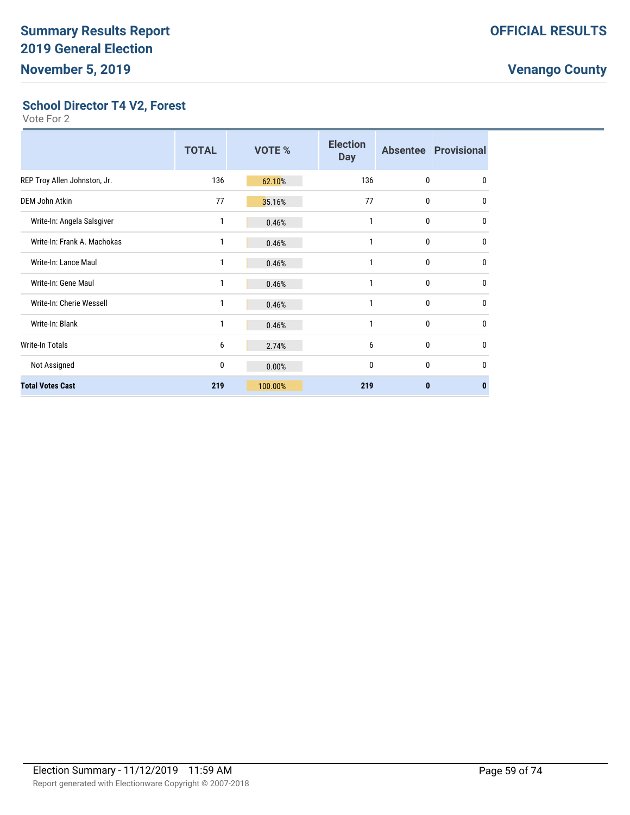#### **School Director T4 V2, Forest**

|                              | <b>TOTAL</b> | VOTE %  | <b>Election</b><br><b>Day</b> |              | <b>Absentee Provisional</b> |
|------------------------------|--------------|---------|-------------------------------|--------------|-----------------------------|
| REP Troy Allen Johnston, Jr. | 136          | 62.10%  | 136                           | $\mathbf{0}$ | $\mathbf{0}$                |
| <b>DEM John Atkin</b>        | 77           | 35.16%  | 77                            | $\mathbf{0}$ | 0                           |
| Write-In: Angela Salsgiver   | 1            | 0.46%   | 1                             | $\mathbf{0}$ | 0                           |
| Write-In: Frank A. Machokas  | 1            | 0.46%   | 1                             | $\mathbf{0}$ | 0                           |
| Write-In: Lance Maul         | 1            | 0.46%   | 1                             | $\mathbf{0}$ | 0                           |
| Write-In: Gene Maul          | 1            | 0.46%   | 1                             | $\mathbf{0}$ | 0                           |
| Write-In: Cherie Wessell     | $\mathbf{1}$ | 0.46%   | 1                             | $\mathbf{0}$ | 0                           |
| Write-In: Blank              | 1            | 0.46%   | 1                             | $\mathbf{0}$ | 0                           |
| <b>Write-In Totals</b>       | 6            | 2.74%   | 6                             | $\mathbf{0}$ | 0                           |
| Not Assigned                 | 0            | 0.00%   | 0                             | $\mathbf{0}$ | 0                           |
| <b>Total Votes Cast</b>      | 219          | 100.00% | 219                           | $\bf{0}$     | $\bf{0}$                    |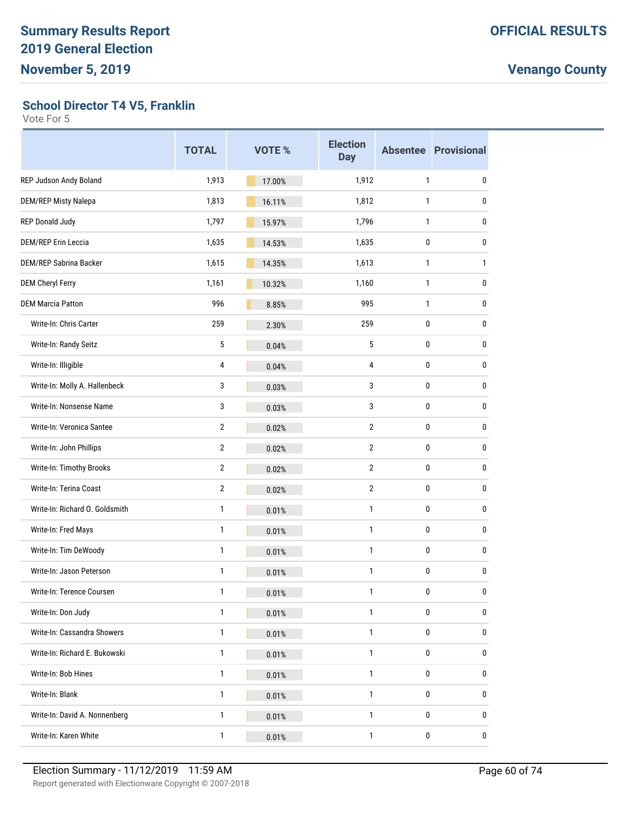**School Director T4 V5, Franklin**

|                                | <b>TOTAL</b>   | <b>VOTE %</b> | <b>Election</b><br><b>Day</b> |              | <b>Absentee Provisional</b> |
|--------------------------------|----------------|---------------|-------------------------------|--------------|-----------------------------|
| REP Judson Andy Boland         | 1,913          | 17.00%        | 1,912                         | $\mathbf{1}$ | 0                           |
| DEM/REP Misty Nalepa           | 1,813          | 16.11%        | 1,812                         | $\mathbf{1}$ | 0                           |
| <b>REP Donald Judy</b>         | 1,797          | 15.97%        | 1,796                         | $\mathbf{1}$ | 0                           |
| <b>DEM/REP Erin Leccia</b>     | 1,635          | 14.53%        | 1,635                         | 0            | 0                           |
| <b>DEM/REP Sabrina Backer</b>  | 1,615          | 14.35%        | 1,613                         | $\mathbf{1}$ | 1                           |
| <b>DEM Cheryl Ferry</b>        | 1,161          | 10.32%        | 1,160                         | $\mathbf{1}$ | 0                           |
| <b>DEM Marcia Patton</b>       | 996            | 8.85%         | 995                           | $\mathbf{1}$ | 0                           |
| Write-In: Chris Carter         | 259            | 2.30%         | 259                           | 0            | 0                           |
| Write-In: Randy Seitz          | 5              | 0.04%         | 5                             | 0            | 0                           |
| Write-In: Illigible            | $\overline{4}$ | 0.04%         | 4                             | 0            | 0                           |
| Write-In: Molly A. Hallenbeck  | 3              | 0.03%         | 3                             | 0            | 0                           |
| Write-In: Nonsense Name        | 3              | 0.03%         | 3                             | 0            | 0                           |
| Write-In: Veronica Santee      | $\overline{2}$ | 0.02%         | $\overline{2}$                | 0            | 0                           |
| Write-In: John Phillips        | 2              | 0.02%         | 2                             | 0            | 0                           |
| Write-In: Timothy Brooks       | $\overline{2}$ | 0.02%         | 2                             | 0            | 0                           |
| Write-In: Terina Coast         | $\overline{2}$ | 0.02%         | $\overline{2}$                | 0            | 0                           |
| Write-In: Richard O. Goldsmith | 1              | 0.01%         | 1                             | 0            | 0                           |
| Write-In: Fred Mays            | 1              | 0.01%         | 1                             | 0            | 0                           |
| Write-In: Tim DeWoody          | 1              | 0.01%         | 1                             | 0            | 0                           |
| Write-In: Jason Peterson       | 1              | 0.01%         | 1                             | 0            | 0                           |
| Write-In: Terence Coursen      | $\mathbf{1}$   | 0.01%         | $\mathbf{1}$                  | 0            | <sup>0</sup>                |
| Write-In: Don Judy             | $\mathbf{1}$   | 0.01%         | 1                             | 0            | 0                           |
| Write-In: Cassandra Showers    | $\mathbf{1}$   | 0.01%         | 1                             | 0            | 0                           |
| Write-In: Richard E. Bukowski  | 1              | 0.01%         | 1                             | 0            | 0                           |
| Write-In: Bob Hines            | $\mathbf{1}$   | 0.01%         | 1                             | 0            | 0                           |
| Write-In: Blank                | $\mathbf{1}$   | 0.01%         | 1                             | 0            | 0                           |
| Write-In: David A. Nonnenberg  | $\mathbf{1}$   | 0.01%         | 1                             | 0            | 0                           |
| Write-In: Karen White          | $\mathbf{1}$   | 0.01%         | $\mathbf{1}$                  | 0            | 0                           |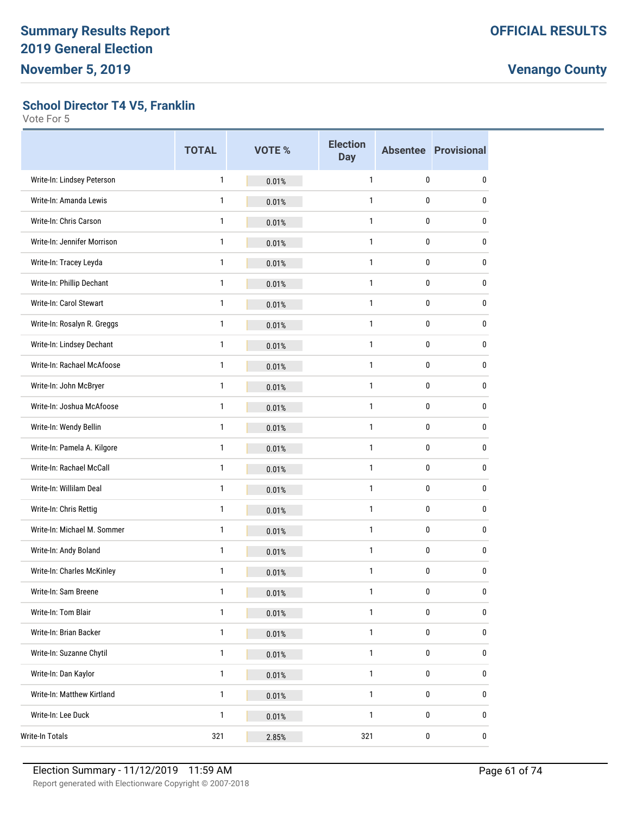#### **School Director T4 V5, Franklin**

|                             | <b>TOTAL</b> | <b>VOTE %</b> | <b>Election</b><br><b>Day</b> |              | <b>Absentee Provisional</b> |
|-----------------------------|--------------|---------------|-------------------------------|--------------|-----------------------------|
| Write-In: Lindsey Peterson  | 1            | 0.01%         | $\mathbf{1}$                  | 0            | 0                           |
| Write-In: Amanda Lewis      | 1            | 0.01%         | 1                             | 0            | 0                           |
| Write-In: Chris Carson      | 1            | 0.01%         | 1                             | 0            | 0                           |
| Write-In: Jennifer Morrison | 1            | 0.01%         | $\mathbf{1}$                  | 0            | 0                           |
| Write-In: Tracey Leyda      | 1            | 0.01%         | 1                             | 0            | 0                           |
| Write-In: Phillip Dechant   | 1            | 0.01%         | 1                             | 0            | 0                           |
| Write-In: Carol Stewart     | 1            | 0.01%         | $\mathbf{1}$                  | 0            | 0                           |
| Write-In: Rosalyn R. Greggs | 1            | 0.01%         | 1                             | 0            | 0                           |
| Write-In: Lindsey Dechant   | 1            | 0.01%         | $\mathbf{1}$                  | 0            | 0                           |
| Write-In: Rachael McAfoose  | 1            | 0.01%         | $\mathbf{1}$                  | 0            | 0                           |
| Write-In: John McBryer      | 1            | 0.01%         | 1                             | 0            | 0                           |
| Write-In: Joshua McAfoose   | 1            | 0.01%         | 1                             | 0            | 0                           |
| Write-In: Wendy Bellin      | 1            | 0.01%         | $\mathbf{1}$                  | 0            | 0                           |
| Write-In: Pamela A. Kilgore | 1            | 0.01%         | 1                             | 0            | 0                           |
| Write-In: Rachael McCall    | 1            | 0.01%         | 1                             | 0            | 0                           |
| Write-In: Willilam Deal     | 1            | 0.01%         | $\mathbf{1}$                  | 0            | 0                           |
| Write-In: Chris Rettig      | 1            | 0.01%         | 1                             | 0            | 0                           |
| Write-In: Michael M. Sommer | 1            | 0.01%         | 1                             | 0            | 0                           |
| Write-In: Andy Boland       | 1            | 0.01%         | $\mathbf{1}$                  | 0            | 0                           |
| Write-In: Charles McKinley  | 1            | 0.01%         | 1                             | 0            | 0                           |
| Write-In: Sam Breene        | 1            | 0.01%         | $\mathbf{1}$                  | $\mathbf{0}$ | 0                           |
| Write-In: Tom Blair         | 1            | 0.01%         | 1                             | $\pmb{0}$    | 0                           |
| Write-In: Brian Backer      | 1            | 0.01%         | 1                             | $\pmb{0}$    | 0                           |
| Write-In: Suzanne Chytil    | 1            | 0.01%         | 1                             | $\pmb{0}$    | 0                           |
| Write-In: Dan Kaylor        | 1            | 0.01%         | 1                             | $\pmb{0}$    | 0                           |
| Write-In: Matthew Kirtland  | 1            | 0.01%         | 1                             | $\pmb{0}$    | 0                           |
| Write-In: Lee Duck          | 1            | 0.01%         | 1                             | 0            | 0                           |
| Write-In Totals             | 321          | 2.85%         | 321                           | $\pmb{0}$    | $\pmb{0}$                   |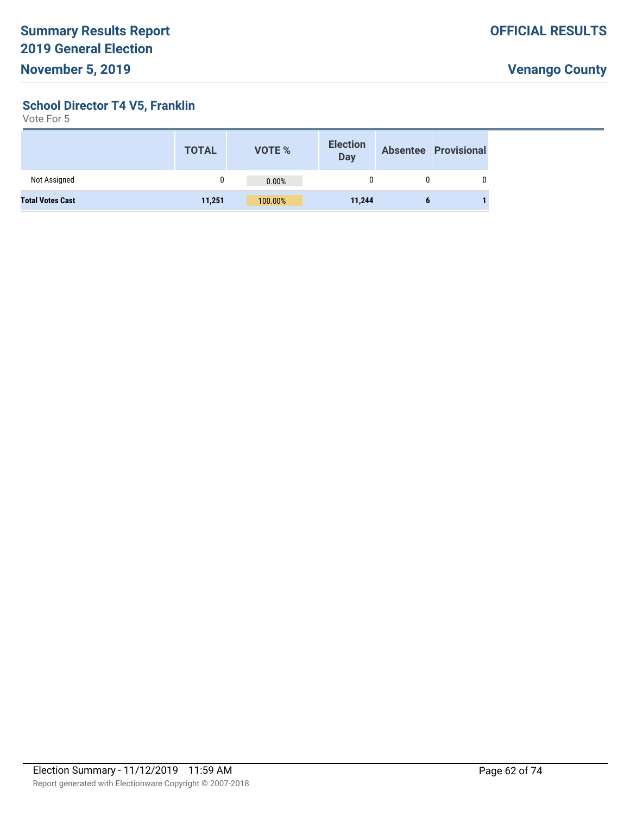**School Director T4 V5, Franklin**

|                         | <b>TOTAL</b> | <b>VOTE %</b> | <b>Election</b><br><b>Day</b> |   | <b>Absentee Provisional</b> |
|-------------------------|--------------|---------------|-------------------------------|---|-----------------------------|
| Not Assigned            |              | 0.00%         |                               |   |                             |
| <b>Total Votes Cast</b> | 11,251       | 100.00%       | 11,244                        | o |                             |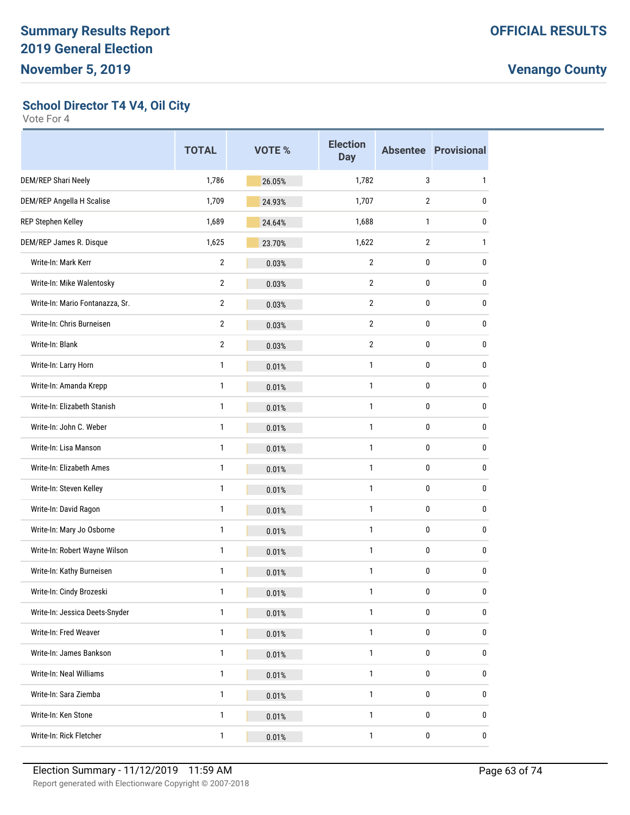**School Director T4 V4, Oil City**

|                                 | <b>TOTAL</b>   | <b>VOTE %</b> | <b>Election</b><br><b>Day</b> |                | <b>Absentee Provisional</b> |
|---------------------------------|----------------|---------------|-------------------------------|----------------|-----------------------------|
| DEM/REP Shari Neely             | 1,786          | 26.05%        | 1,782                         | 3              | 1                           |
| DEM/REP Angella H Scalise       | 1,709          | 24.93%        | 1,707                         | $\overline{2}$ | 0                           |
| REP Stephen Kelley              | 1,689          | 24.64%        | 1,688                         | $\mathbf{1}$   | 0                           |
| DEM/REP James R. Disque         | 1,625          | 23.70%        | 1,622                         | $\overline{2}$ | 1                           |
| Write-In: Mark Kerr             | 2              | 0.03%         | 2                             | 0              | 0                           |
| Write-In: Mike Walentosky       | $\mathbf{2}$   | 0.03%         | $\overline{2}$                | 0              | 0                           |
| Write-In: Mario Fontanazza, Sr. | $\overline{2}$ | 0.03%         | $\overline{2}$                | 0              | 0                           |
| Write-In: Chris Burneisen       | $\overline{2}$ | 0.03%         | 2                             | 0              | 0                           |
| Write-In: Blank                 | $\overline{2}$ | 0.03%         | $\overline{2}$                | 0              | 0                           |
| Write-In: Larry Horn            | 1              | 0.01%         | $\mathbf{1}$                  | 0              | 0                           |
| Write-In: Amanda Krepp          | 1              | 0.01%         | 1                             | 0              | 0                           |
| Write-In: Elizabeth Stanish     | 1              | 0.01%         | $\mathbf{1}$                  | 0              | 0                           |
| Write-In: John C. Weber         | $\mathbf{1}$   | 0.01%         | $\mathbf{1}$                  | 0              | 0                           |
| Write-In: Lisa Manson           | 1              | 0.01%         | 1                             | 0              | 0                           |
| Write-In: Elizabeth Ames        | 1              | 0.01%         | 1                             | 0              | 0                           |
| Write-In: Steven Kelley         | 1              | 0.01%         | 1                             | 0              | 0                           |
| Write-In: David Ragon           | 1              | 0.01%         | 1                             | 0              | 0                           |
| Write-In: Mary Jo Osborne       | 1              | 0.01%         | 1                             | 0              | 0                           |
| Write-In: Robert Wayne Wilson   | 1              | 0.01%         | 1                             | 0              | 0                           |
| Write-In: Kathy Burneisen       | 1              | 0.01%         | 1                             | 0              | 0                           |
| Write-In: Cindy Brozeski        | 1              | 0.01%         | $\mathbf{1}$                  | $\mathbf{0}$   | 0                           |
| Write-In: Jessica Deets-Snyder  | $\mathbf{1}$   | 0.01%         | 1                             | 0              | 0                           |
| Write-In: Fred Weaver           | 1              | 0.01%         | 1                             | 0              | 0                           |
| Write-In: James Bankson         | 1              | 0.01%         | 1                             | 0              | 0                           |
| Write-In: Neal Williams         | $\mathbf{1}$   | 0.01%         | $\mathbf{1}$                  | 0              | 0                           |
| Write-In: Sara Ziemba           | 1              | 0.01%         | 1                             | 0              | 0                           |
| Write-In: Ken Stone             | 1              | 0.01%         | 1                             | 0              | 0                           |
| Write-In: Rick Fletcher         | $\mathbf{1}$   | 0.01%         | 1                             | $\pmb{0}$      | 0                           |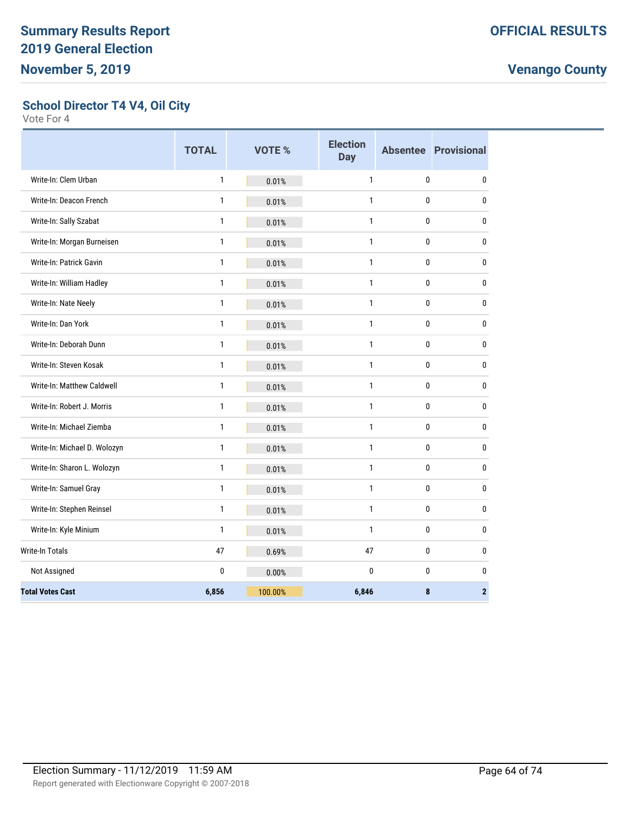#### **School Director T4 V4, Oil City**

|                              | <b>TOTAL</b> | VOTE %  | <b>Election</b><br><b>Day</b> |              | <b>Absentee Provisional</b> |
|------------------------------|--------------|---------|-------------------------------|--------------|-----------------------------|
| Write-In: Clem Urban         | $\mathbf{1}$ | 0.01%   | $\mathbf{1}$                  | $\mathbf{0}$ | 0                           |
| Write-In: Deacon French      | 1            | 0.01%   | $\mathbf{1}$                  | 0            | $\bf{0}$                    |
| Write-In: Sally Szabat       | 1            | 0.01%   | $\mathbf{1}$                  | 0            | 0                           |
| Write-In: Morgan Burneisen   | 1            | 0.01%   | $\mathbf{1}$                  | 0            | $\pmb{0}$                   |
| Write-In: Patrick Gavin      | $\mathbf{1}$ | 0.01%   | $\mathbf{1}$                  | $\mathbf{0}$ | 0                           |
| Write-In: William Hadley     | 1            | 0.01%   | $\mathbf{1}$                  | 0            | 0                           |
| Write-In: Nate Neely         | 1            | 0.01%   | $\mathbf{1}$                  | 0            | 0                           |
| Write-In: Dan York           | 1            | 0.01%   | $\mathbf{1}$                  | $\mathbf 0$  | $\pmb{0}$                   |
| Write-In: Deborah Dunn       | $\mathbf{1}$ | 0.01%   | $\mathbf{1}$                  | $\bf{0}$     | $\bf{0}$                    |
| Write-In: Steven Kosak       | $\mathbf{1}$ | 0.01%   | $\mathbf{1}$                  | 0            | $\bf{0}$                    |
| Write-In: Matthew Caldwell   | $\mathbf{1}$ | 0.01%   | $\mathbf{1}$                  | 0            | $\bf{0}$                    |
| Write-In: Robert J. Morris   | $\mathbf{1}$ | 0.01%   | $\mathbf{1}$                  | $\pmb{0}$    | $\pmb{0}$                   |
| Write-In: Michael Ziemba     | 1            | 0.01%   | $\mathbf{1}$                  | $\mathbf{0}$ | $\bf{0}$                    |
| Write-In: Michael D. Wolozyn | 1            | 0.01%   | $\mathbf{1}$                  | 0            | 0                           |
| Write-In: Sharon L. Wolozyn  | $\mathbf{1}$ | 0.01%   | $\mathbf{1}$                  | 0            | $\pmb{0}$                   |
| Write-In: Samuel Gray        | 1            | 0.01%   | $\mathbf{1}$                  | 0            | $\bf{0}$                    |
| Write-In: Stephen Reinsel    | $\mathbf{1}$ | 0.01%   | $\mathbf{1}$                  | 0            | $\bf{0}$                    |
| Write-In: Kyle Minium        | $\mathbf{1}$ | 0.01%   | $\mathbf{1}$                  | $\mathbf{0}$ | $\pmb{0}$                   |
| <b>Write-In Totals</b>       | 47           | 0.69%   | 47                            | 0            | $\bf{0}$                    |
| Not Assigned                 | 0            | 0.00%   | $\mathbf{0}$                  | $\bf{0}$     | 0                           |
| <b>Total Votes Cast</b>      | 6,856        | 100.00% | 6,846                         | 8            | $\overline{2}$              |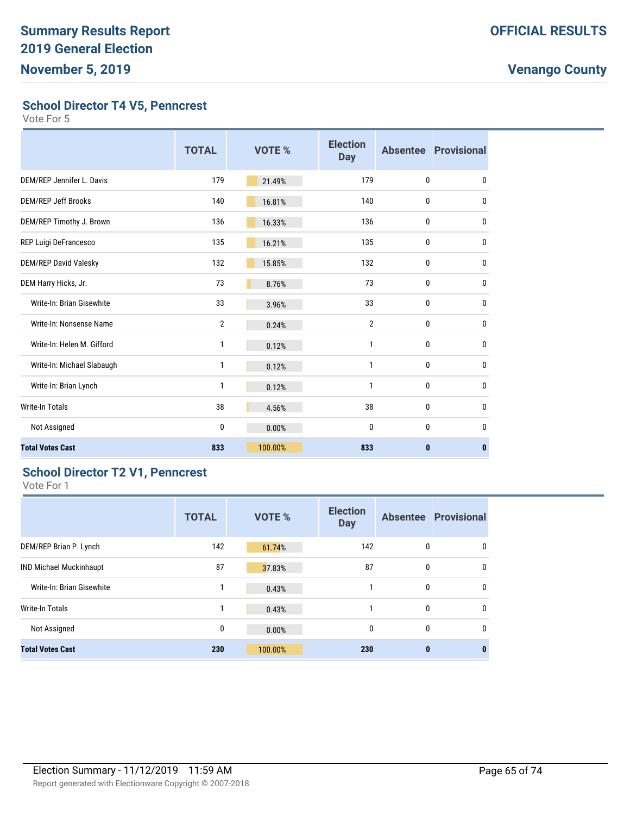**School Director T4 V5, Penncrest**

Vote For 5

|                            | <b>TOTAL</b>   | VOTE %  | <b>Election</b><br><b>Day</b> |              | <b>Absentee Provisional</b> |
|----------------------------|----------------|---------|-------------------------------|--------------|-----------------------------|
| DEM/REP Jennifer L. Davis  | 179            | 21.49%  | 179                           | $\mathbf{0}$ | 0                           |
| <b>DEM/REP Jeff Brooks</b> | 140            | 16.81%  | 140                           | $\mathbf{0}$ | $\mathbf{0}$                |
| DEM/REP Timothy J. Brown   | 136            | 16.33%  | 136                           | 0            | $\mathbf{0}$                |
| REP Luigi DeFrancesco      | 135            | 16.21%  | 135                           | 0            | 0                           |
| DEM/REP David Valesky      | 132            | 15.85%  | 132                           | 0            | $\mathbf{0}$                |
| DEM Harry Hicks, Jr.       | 73             | 8.76%   | 73                            | 0            | 0                           |
| Write-In: Brian Gisewhite  | 33             | 3.96%   | 33                            | 0            | 0                           |
| Write-In: Nonsense Name    | $\overline{2}$ | 0.24%   | $\overline{2}$                | $\mathbf{0}$ | $\mathbf{0}$                |
| Write-In: Helen M. Gifford | 1              | 0.12%   | 1                             | $\bf{0}$     | 0                           |
| Write-In: Michael Slabaugh | 1              | 0.12%   | 1                             | $\mathbf{0}$ | $\mathbf{0}$                |
| Write-In: Brian Lynch      | 1              | 0.12%   | $\mathbf{1}$                  | $\mathbf{0}$ | 0                           |
| <b>Write-In Totals</b>     | 38             | 4.56%   | 38                            | $\mathbf{0}$ | $\mathbf{0}$                |
| Not Assigned               | 0              | 0.00%   | 0                             | $\mathbf{0}$ | $\mathbf{0}$                |
| <b>Total Votes Cast</b>    | 833            | 100.00% | 833                           | $\mathbf{0}$ | $\mathbf{0}$                |

#### **School Director T2 V1, Penncrest**

|                                | <b>TOTAL</b> | <b>VOTE %</b> | <b>Election</b><br><b>Day</b> |          | <b>Absentee Provisional</b> |
|--------------------------------|--------------|---------------|-------------------------------|----------|-----------------------------|
| DEM/REP Brian P. Lynch         | 142          | 61.74%        | 142                           | 0        | 0                           |
| <b>IND Michael Muckinhaupt</b> | 87           | 37.83%        | 87                            | 0        | $\mathbf{0}$                |
| Write-In: Brian Gisewhite      | 1            | 0.43%         |                               | 0        | $\mathbf{0}$                |
| Write-In Totals                | 1            | 0.43%         |                               | 0        | $\mathbf{0}$                |
| Not Assigned                   | 0            | 0.00%         | 0                             | 0        | 0                           |
| <b>Total Votes Cast</b>        | 230          | 100.00%       | 230                           | $\bf{0}$ | 0                           |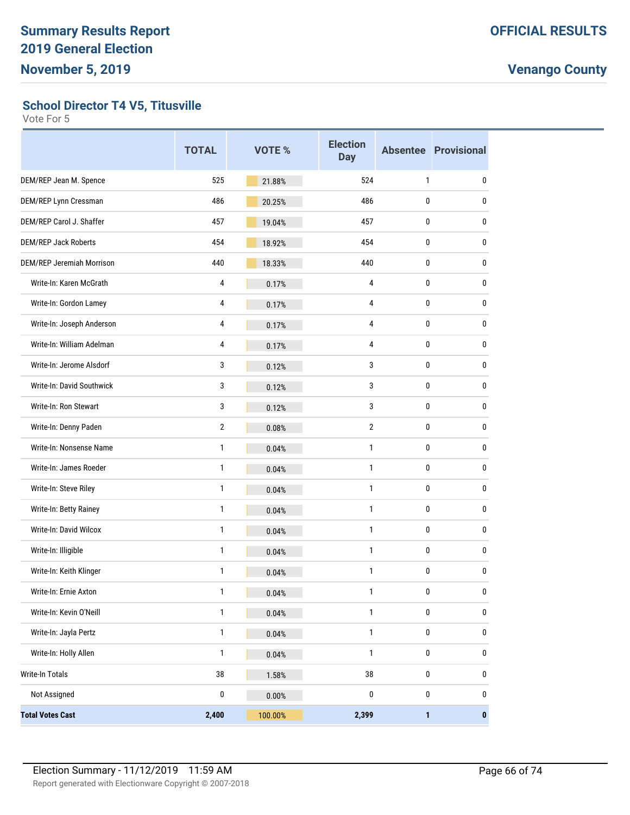**School Director T4 V5, Titusville**

|                               | <b>TOTAL</b>   | VOTE %  | <b>Election</b><br><b>Day</b> |              | <b>Absentee Provisional</b> |
|-------------------------------|----------------|---------|-------------------------------|--------------|-----------------------------|
| DEM/REP Jean M. Spence        | 525            | 21.88%  | 524                           | $\mathbf{1}$ | 0                           |
| DEM/REP Lynn Cressman         | 486            | 20.25%  | 486                           | 0            | 0                           |
| DEM/REP Carol J. Shaffer      | 457            | 19.04%  | 457                           | $\bf{0}$     | 0                           |
| <b>DEM/REP Jack Roberts</b>   | 454            | 18.92%  | 454                           | 0            | 0                           |
| DEM/REP Jeremiah Morrison     | 440            | 18.33%  | 440                           | 0            | 0                           |
| Write-In: Karen McGrath       | 4              | 0.17%   | $\overline{4}$                | $\bf{0}$     | 0                           |
| Write-In: Gordon Lamey        | 4              | 0.17%   | $\overline{4}$                | 0            | 0                           |
| Write-In: Joseph Anderson     | 4              | 0.17%   | 4                             | 0            | 0                           |
| Write-In: William Adelman     | 4              | 0.17%   | $\overline{4}$                | $\bf{0}$     | 0                           |
| Write-In: Jerome Alsdorf      | 3              | 0.12%   | 3                             | 0            | 0                           |
| Write-In: David Southwick     | 3              | 0.12%   | 3                             | 0            | 0                           |
| Write-In: Ron Stewart         | 3              | 0.12%   | 3                             | $\bf{0}$     | 0                           |
| Write-In: Denny Paden         | $\overline{2}$ | 0.08%   | $\overline{2}$                | 0            | 0                           |
| Write-In: Nonsense Name       | 1              | 0.04%   | $\mathbf{1}$                  | 0            | 0                           |
| Write-In: James Roeder        | 1              | 0.04%   | $\mathbf{1}$                  | $\bf{0}$     | 0                           |
| Write-In: Steve Riley         | 1              | 0.04%   | $\mathbf{1}$                  | 0            | 0                           |
| Write-In: Betty Rainey        | 1              | 0.04%   | 1                             | 0            | 0                           |
| <b>Write-In: David Wilcox</b> | 1              | 0.04%   | 1                             | $\bf{0}$     | 0                           |
| Write-In: Illigible           | 1              | 0.04%   | $\mathbf{1}$                  | 0            | 0                           |
| Write-In: Keith Klinger       | 1              | 0.04%   | $\mathbf{1}$                  | 0            | 0                           |
| Write-In: Ernie Axton         | 1              | 0.04%   | $\mathbf{1}$                  | $\mathbf{0}$ | $\mathbf{0}$                |
| Write-In: Kevin O'Neill       | $\mathbf{1}$   | 0.04%   | $\mathbf{1}$                  | 0            | $\pmb{0}$                   |
| Write-In: Jayla Pertz         | $\mathbf{1}$   | 0.04%   | $\mathbf{1}$                  | 0            | 0                           |
| Write-In: Holly Allen         | 1              | 0.04%   | $\mathbf{1}$                  | $\pmb{0}$    | $\pmb{0}$                   |
| Write-In Totals               | $38\,$         | 1.58%   | 38                            | $\pmb{0}$    | $\pmb{0}$                   |
| Not Assigned                  | 0              | 0.00%   | $\pmb{0}$                     | 0            | 0                           |
| <b>Total Votes Cast</b>       | 2,400          | 100.00% | 2,399                         | $\mathbf{1}$ | $\pmb{0}$                   |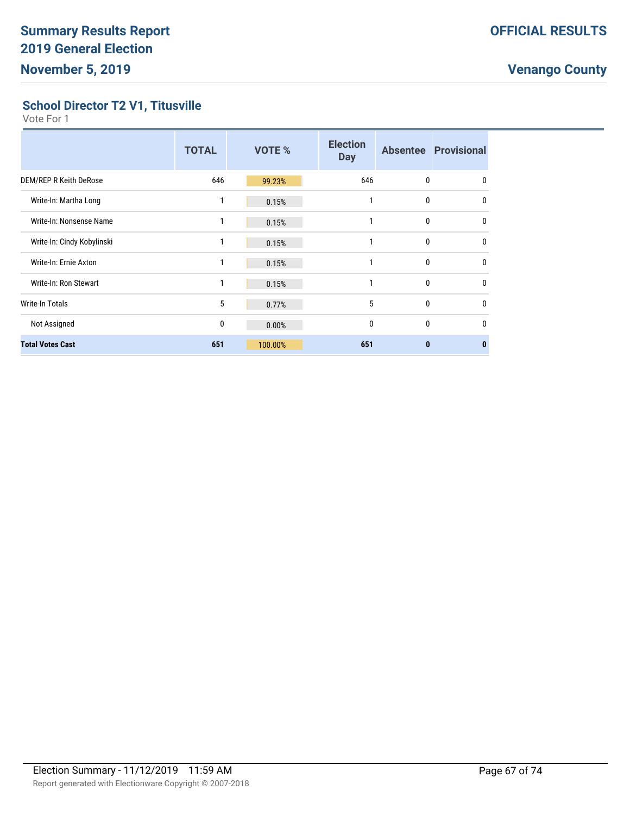#### **School Director T2 V1, Titusville**

|                               | <b>TOTAL</b> | <b>VOTE %</b> | <b>Election</b><br><b>Day</b> |              | <b>Absentee Provisional</b> |
|-------------------------------|--------------|---------------|-------------------------------|--------------|-----------------------------|
| <b>DEM/REP R Keith DeRose</b> | 646          | 99.23%        | 646                           | 0            | 0                           |
| Write-In: Martha Long         | 1            | 0.15%         | 1                             | 0            | $\mathbf{0}$                |
| Write-In: Nonsense Name       |              | 0.15%         | 1                             | 0            | $\mathbf{0}$                |
| Write-In: Cindy Kobylinski    | 1            | 0.15%         | 1                             | 0            | $\mathbf{0}$                |
| Write-In: Ernie Axton         |              | 0.15%         | 1                             | 0            | $\mathbf{0}$                |
| Write-In: Ron Stewart         | 1            | 0.15%         | 1                             | 0            | $\Omega$                    |
| <b>Write-In Totals</b>        | 5            | 0.77%         | 5                             | 0            | $\mathbf{0}$                |
| Not Assigned                  | 0            | 0.00%         | $\mathbf{0}$                  | 0            | $\mathbf{0}$                |
| <b>Total Votes Cast</b>       | 651          | 100.00%       | 651                           | $\mathbf{0}$ | 0                           |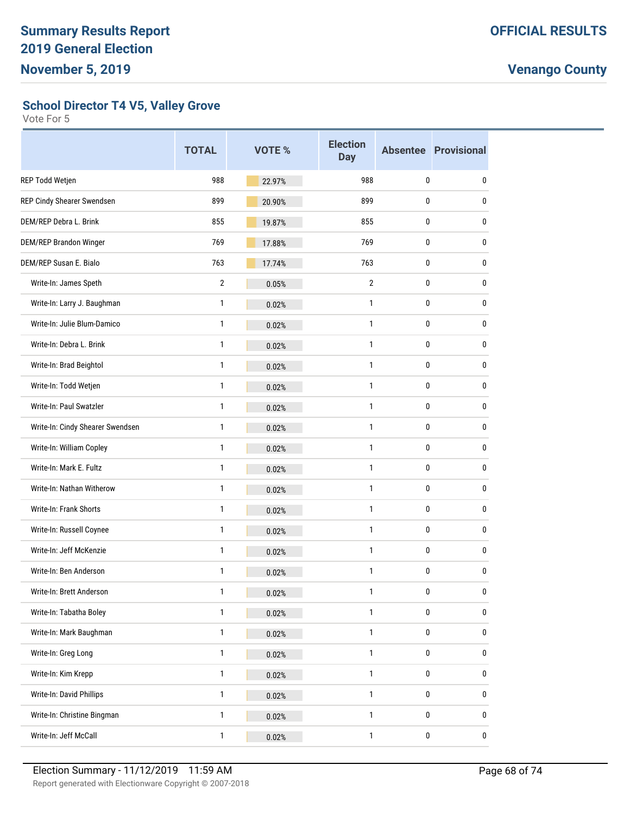**School Director T4 V5, Valley Grove**

|                                  | <b>TOTAL</b>   | VOTE % | <b>Election</b><br><b>Day</b> |           | <b>Absentee Provisional</b> |
|----------------------------------|----------------|--------|-------------------------------|-----------|-----------------------------|
| REP Todd Wetjen                  | 988            | 22.97% | 988                           | 0         | 0                           |
| REP Cindy Shearer Swendsen       | 899            | 20.90% | 899                           | 0         | 0                           |
| DEM/REP Debra L. Brink           | 855            | 19.87% | 855                           | $\bf{0}$  | 0                           |
| <b>DEM/REP Brandon Winger</b>    | 769            | 17.88% | 769                           | 0         | 0                           |
| DEM/REP Susan E. Bialo           | 763            | 17.74% | 763                           | $\bf{0}$  | 0                           |
| Write-In: James Speth            | $\overline{2}$ | 0.05%  | $\overline{2}$                | 0         | 0                           |
| Write-In: Larry J. Baughman      | 1              | 0.02%  | 1                             | $\bf{0}$  | 0                           |
| Write-In: Julie Blum-Damico      | 1              | 0.02%  | 1                             | $\pmb{0}$ | 0                           |
| Write-In: Debra L. Brink         | $\mathbf{1}$   | 0.02%  | $\mathbf{1}$                  | 0         | 0                           |
| Write-In: Brad Beightol          | 1              | 0.02%  | $\mathbf{1}$                  | $\bf{0}$  | 0                           |
| Write-In: Todd Wetjen            | 1              | 0.02%  | 1                             | $\bf{0}$  | 0                           |
| Write-In: Paul Swatzler          | 1              | 0.02%  | 1                             | 0         | 0                           |
| Write-In: Cindy Shearer Swendsen | 1              | 0.02%  | $\mathbf{1}$                  | $\bf{0}$  | 0                           |
| Write-In: William Copley         | 1              | 0.02%  | 1                             | $\pmb{0}$ | 0                           |
| Write-In: Mark E. Fultz          | $\mathbf{1}$   | 0.02%  | $\mathbf{1}$                  | 0         | 0                           |
| Write-In: Nathan Witherow        | 1              | 0.02%  | $\mathbf{1}$                  | $\bf{0}$  | 0                           |
| Write-In: Frank Shorts           | 1              | 0.02%  | 1                             | $\pmb{0}$ | 0                           |
| Write-In: Russell Coynee         | 1              | 0.02%  | 1                             | 0         | 0                           |
| Write-In: Jeff McKenzie          | 1              | 0.02%  | 1                             | $\bf{0}$  | 0                           |
| Write-In: Ben Anderson           | 1              | 0.02%  | 1                             | 0         | 0                           |
| Write-In: Brett Anderson         | $\mathbf{1}$   | 0.02%  | $\mathbf{1}$                  | 0         | 0                           |
| Write-In: Tabatha Boley          | 1              | 0.02%  | 1                             | $\pmb{0}$ | 0                           |
| Write-In: Mark Baughman          | 1              | 0.02%  | $\mathbf{1}$                  | $\pmb{0}$ | 0                           |
| Write-In: Greg Long              | 1              | 0.02%  | $\mathbf{1}$                  | $\pmb{0}$ | 0                           |
| Write-In: Kim Krepp              | 1              | 0.02%  | 1                             | 0         | 0                           |
| Write-In: David Phillips         | 1              | 0.02%  | 1                             | $\pmb{0}$ | 0                           |
| Write-In: Christine Bingman      | 1              | 0.02%  | $\mathbf{1}$                  | $\pmb{0}$ | 0                           |
| Write-In: Jeff McCall            | 1              | 0.02%  | 1                             | $\pmb{0}$ | 0                           |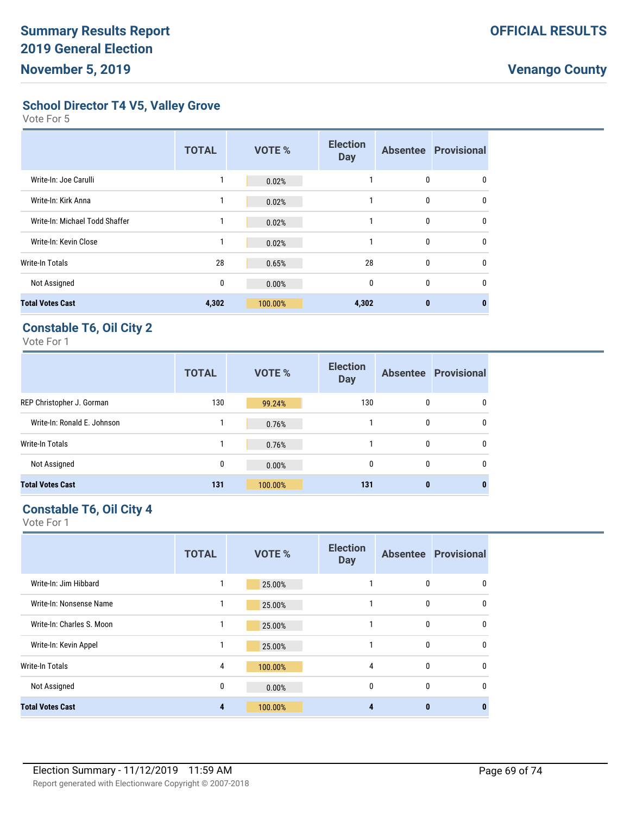**School Director T4 V5, Valley Grove**

Vote For 5

|                                | <b>TOTAL</b> | <b>VOTE %</b> | <b>Election</b><br><b>Day</b> |              | <b>Absentee Provisional</b> |
|--------------------------------|--------------|---------------|-------------------------------|--------------|-----------------------------|
| Write-In: Joe Carulli          |              | 0.02%         |                               | 0            | 0                           |
| Write-In: Kirk Anna            |              | 0.02%         |                               | 0            | $\mathbf{0}$                |
| Write-In: Michael Todd Shaffer | $\mathbf{1}$ | 0.02%         |                               | 0            | $\mathbf{0}$                |
| Write-In: Kevin Close          | 1            | 0.02%         |                               | 0            | $\mathbf{0}$                |
| Write-In Totals                | 28           | 0.65%         | 28                            | $\mathbf{0}$ | $\Omega$                    |
| Not Assigned                   | 0            | 0.00%         | $\mathbf{0}$                  | 0            | 0                           |
| <b>Total Votes Cast</b>        | 4,302        | 100.00%       | 4,302                         | $\bf{0}$     | 0                           |

#### **Constable T6, Oil City 2**

Vote For 1

|                             | <b>TOTAL</b> | <b>VOTE %</b> | <b>Election</b><br><b>Day</b> |              | <b>Absentee Provisional</b> |
|-----------------------------|--------------|---------------|-------------------------------|--------------|-----------------------------|
| REP Christopher J. Gorman   | 130          | 99.24%        | 130                           | $\mathbf{0}$ | $\mathbf{0}$                |
| Write-In: Ronald E. Johnson |              | 0.76%         |                               | 0            | $\mathbf{0}$                |
| Write-In Totals             |              | 0.76%         |                               | $\mathbf{0}$ | $\mathbf{0}$                |
| Not Assigned                | 0            | 0.00%         | $\mathbf{0}$                  | $\mathbf{0}$ | $\mathbf{0}$                |
| <b>Total Votes Cast</b>     | 131          | 100.00%       | 131                           | $\bf{0}$     | 0                           |

#### **Constable T6, Oil City 4**

|                           | <b>TOTAL</b> | <b>VOTE %</b> | <b>Election</b><br><b>Day</b> |          | <b>Absentee Provisional</b> |
|---------------------------|--------------|---------------|-------------------------------|----------|-----------------------------|
| Write-In: Jim Hibbard     | 1            | 25.00%        |                               | 0        | 0                           |
| Write-In: Nonsense Name   | 1            | 25.00%        |                               | 0        | $\mathbf{0}$                |
| Write-In: Charles S. Moon |              | 25.00%        |                               | 0        | $\mathbf{0}$                |
| Write-In: Kevin Appel     | 1            | 25.00%        |                               | 0        | $\mathbf{0}$                |
| <b>Write-In Totals</b>    | 4            | 100.00%       | 4                             | 0        | $\mathbf{0}$                |
| Not Assigned              | 0            | 0.00%         | 0                             | 0        | $\mathbf{0}$                |
| <b>Total Votes Cast</b>   | 4            | 100.00%       | 4                             | $\bf{0}$ | 0                           |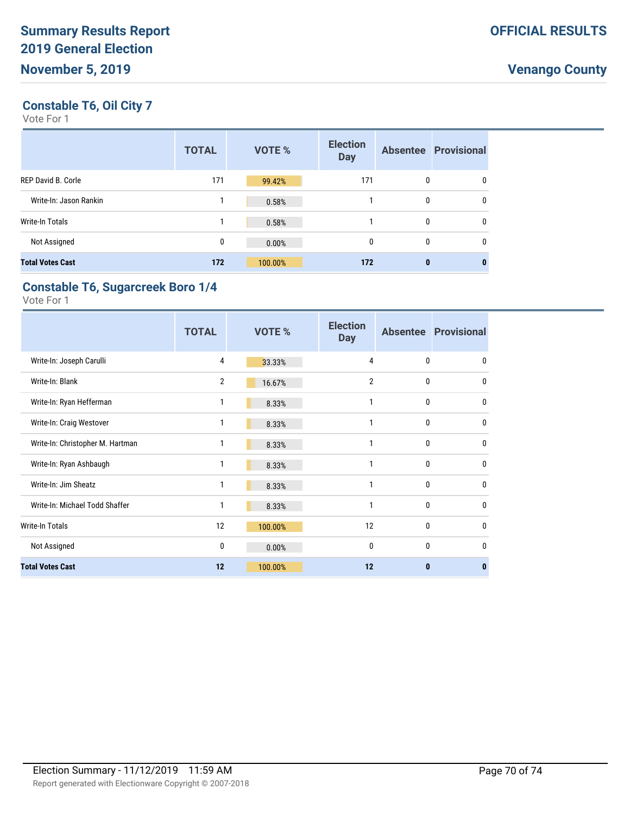#### **Constable T6, Oil City 7**

Vote For 1

|                           | <b>TOTAL</b> | <b>VOTE %</b> | <b>Election</b><br><b>Day</b> |              | <b>Absentee Provisional</b> |
|---------------------------|--------------|---------------|-------------------------------|--------------|-----------------------------|
| <b>REP David B. Corle</b> | 171          | 99.42%        | 171                           | 0            | $\mathbf{0}$                |
| Write-In: Jason Rankin    |              | 0.58%         |                               | 0            | $\mathbf{0}$                |
| Write-In Totals           | 1            | 0.58%         |                               | 0            | $\mathbf{0}$                |
| Not Assigned              | 0            | 0.00%         | $\mathbf{0}$                  | $\mathbf{0}$ | $\mathbf{0}$                |
| <b>Total Votes Cast</b>   | 172          | 100.00%       | 172                           | 0            | $\bf{0}$                    |

#### **Constable T6, Sugarcreek Boro 1/4**

|                                  | <b>TOTAL</b>   | VOTE %  | <b>Election</b><br><b>Day</b> |              | <b>Absentee Provisional</b> |
|----------------------------------|----------------|---------|-------------------------------|--------------|-----------------------------|
| Write-In: Joseph Carulli         | 4              | 33.33%  | 4                             | $\Omega$     | $\mathbf{0}$                |
| Write-In: Blank                  | $\overline{2}$ | 16.67%  | $\overline{2}$                | $\mathbf{0}$ | $\mathbf{0}$                |
| Write-In: Ryan Hefferman         | 1              | 8.33%   | 1                             | $\mathbf{0}$ | $\mathbf{0}$                |
| Write-In: Craig Westover         | 1              | 8.33%   | 1                             | $\mathbf{0}$ | $\mathbf{0}$                |
| Write-In: Christopher M. Hartman | 1              | 8.33%   | 1                             | $\mathbf{0}$ | $\mathbf{0}$                |
| Write-In: Ryan Ashbaugh          | 1              | 8.33%   | 1                             | $\mathbf{0}$ | $\mathbf{0}$                |
| Write-In: Jim Sheatz             | 1              | 8.33%   | 1                             | $\mathbf{0}$ | $\mathbf{0}$                |
| Write-In: Michael Todd Shaffer   | 1              | 8.33%   | 1                             | $\mathbf{0}$ | $\mathbf{0}$                |
| Write-In Totals                  | 12             | 100.00% | 12                            | 0            | 0                           |
| Not Assigned                     | 0              | 0.00%   | $\mathbf{0}$                  | $\mathbf{0}$ | 0                           |
| <b>Total Votes Cast</b>          | 12             | 100.00% | 12                            | $\bf{0}$     | $\bf{0}$                    |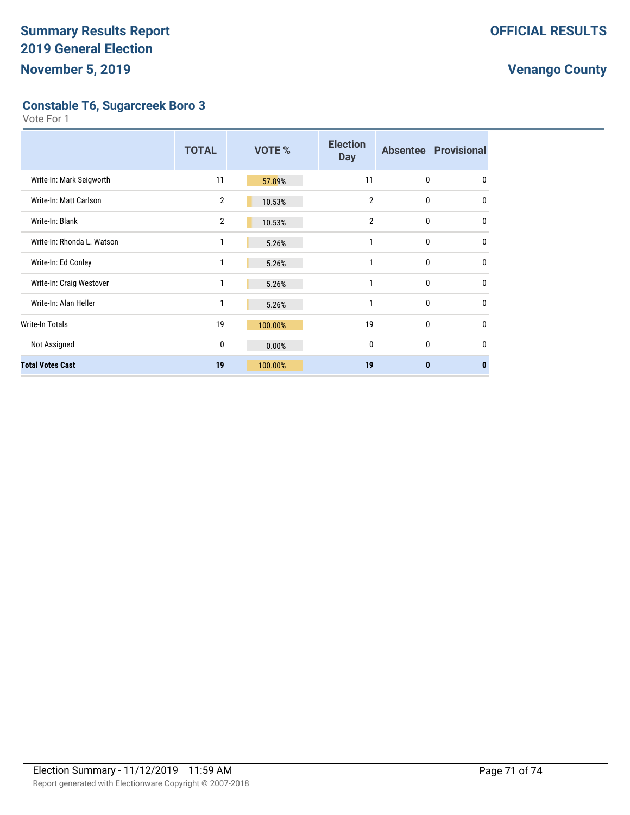**Constable T6, Sugarcreek Boro 3**

|                            | <b>TOTAL</b>   | VOTE %  | <b>Election</b><br><b>Day</b> |              | <b>Absentee Provisional</b> |
|----------------------------|----------------|---------|-------------------------------|--------------|-----------------------------|
| Write-In: Mark Seigworth   | 11             | 57.89%  | 11                            | $\mathbf{0}$ | $\mathbf{0}$                |
| Write-In: Matt Carlson     | $\overline{2}$ | 10.53%  | $\overline{2}$                | 0            | 0                           |
| Write-In: Blank            | 2              | 10.53%  | $\overline{2}$                | 0            | 0                           |
| Write-In: Rhonda L. Watson | 1              | 5.26%   | 1                             | 0            | $\mathbf{0}$                |
| Write-In: Ed Conley        | 1              | 5.26%   | 1                             | 0            | $\mathbf{0}$                |
| Write-In: Craig Westover   | 1              | 5.26%   | 1                             | $\mathbf{0}$ | $\mathbf{0}$                |
| Write-In: Alan Heller      | 1              | 5.26%   | 1                             | 0            | $\mathbf{0}$                |
| Write-In Totals            | 19             | 100.00% | 19                            | 0            | $\mathbf{0}$                |
| Not Assigned               | 0              | 0.00%   | 0                             | 0            | $\mathbf{0}$                |
| <b>Total Votes Cast</b>    | 19             | 100.00% | 19                            | $\bf{0}$     | $\bf{0}$                    |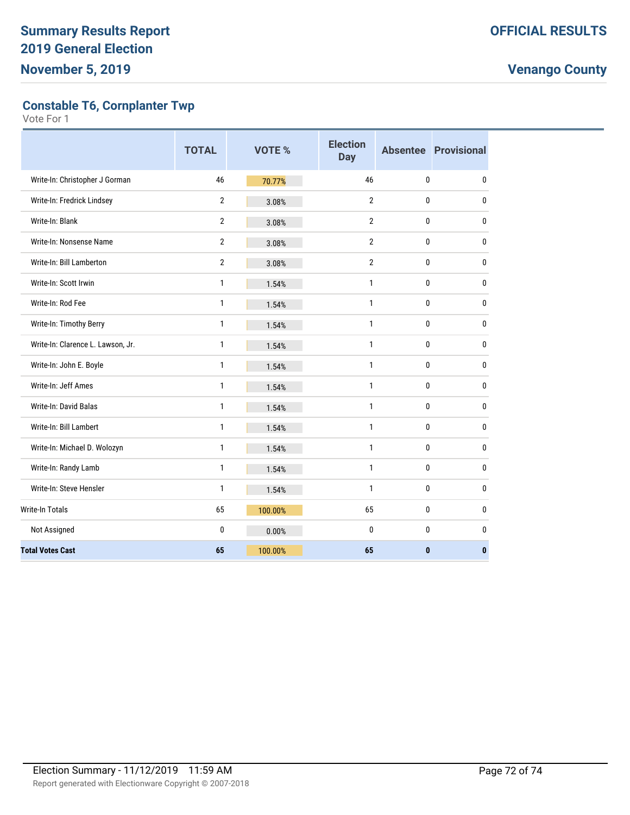**Constable T6, Cornplanter Twp**

|                                   | <b>TOTAL</b>   | <b>VOTE %</b> | <b>Election</b><br><b>Day</b> |              | <b>Absentee Provisional</b> |
|-----------------------------------|----------------|---------------|-------------------------------|--------------|-----------------------------|
| Write-In: Christopher J Gorman    | 46             | 70.77%        | 46                            | 0            | 0                           |
| Write-In: Fredrick Lindsey        | $\overline{2}$ | 3.08%         | $\overline{2}$                | 0            | 0                           |
| Write-In: Blank                   | $\overline{2}$ | 3.08%         | $\overline{2}$                | $\mathbf{0}$ | 0                           |
| Write-In: Nonsense Name           | $\overline{2}$ | 3.08%         | $\overline{2}$                | $\mathbf{0}$ | 0                           |
| Write-In: Bill Lamberton          | $\overline{2}$ | 3.08%         | $\overline{2}$                | $\bf{0}$     | 0                           |
| Write-In: Scott Irwin             | 1              | 1.54%         | 1                             | 0            | $\pmb{0}$                   |
| Write-In: Rod Fee                 | $\mathbf{1}$   | 1.54%         | $\mathbf{1}$                  | 0            | 0                           |
| Write-In: Timothy Berry           | $\mathbf{1}$   | 1.54%         | $\mathbf{1}$                  | 0            | 0                           |
| Write-In: Clarence L. Lawson, Jr. | $\mathbf{1}$   | 1.54%         | 1                             | 0            | 0                           |
| Write-In: John E. Boyle           | $\mathbf{1}$   | 1.54%         | 1                             | $\bf{0}$     | 0                           |
| Write-In: Jeff Ames               | $\mathbf{1}$   | 1.54%         | $\mathbf{1}$                  | 0            | 0                           |
| <b>Write-In: David Balas</b>      | $\mathbf{1}$   | 1.54%         | $\mathbf{1}$                  | 0            | 0                           |
| Write-In: Bill Lambert            | $\mathbf{1}$   | 1.54%         | $\mathbf{1}$                  | $\bf{0}$     | 0                           |
| Write-In: Michael D. Wolozyn      | $\mathbf{1}$   | 1.54%         | 1                             | 0            | 0                           |
| Write-In: Randy Lamb              | 1              | 1.54%         | 1                             | $\bf{0}$     | 0                           |
| Write-In: Steve Hensler           | $\mathbf{1}$   | 1.54%         | 1                             | 0            | $\mathbf{0}$                |
| <b>Write-In Totals</b>            | 65             | 100.00%       | 65                            | $\bf{0}$     | 0                           |
| Not Assigned                      | 0              | 0.00%         | $\mathbf{0}$                  | $\bf{0}$     | 0                           |
| <b>Total Votes Cast</b>           | 65             | 100.00%       | 65                            | $\mathbf{0}$ | 0                           |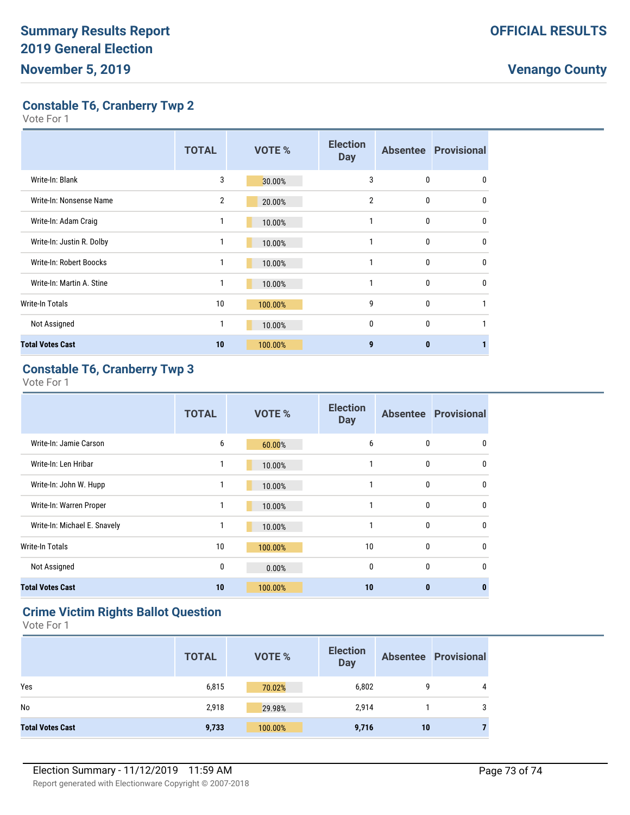# **Venango County**

**Constable T6, Cranberry Twp 2**

Vote For 1

|                           | <b>TOTAL</b>   | <b>VOTE %</b> | <b>Election</b><br><b>Day</b> |              | <b>Absentee Provisional</b> |
|---------------------------|----------------|---------------|-------------------------------|--------------|-----------------------------|
| Write-In: Blank           | 3              | 30.00%        | 3                             | 0            | 0                           |
| Write-In: Nonsense Name   | $\overline{2}$ | 20.00%        | $\overline{2}$                | $\mathbf{0}$ | $\mathbf{0}$                |
| Write-In: Adam Craig      | 1              | 10.00%        |                               | 0            | $\mathbf{0}$                |
| Write-In: Justin R. Dolby | 1              | 10.00%        | 1                             | $\mathbf{0}$ | $\mathbf{0}$                |
| Write-In: Robert Boocks   | 1              | 10.00%        |                               | 0            | $\mathbf{0}$                |
| Write-In: Martin A. Stine | 1              | 10.00%        |                               | 0            | $\Omega$                    |
| Write-In Totals           | 10             | 100.00%       | 9                             | 0            |                             |
| Not Assigned              | 1              | 10.00%        | 0                             | $\mathbf{0}$ | 1                           |
| <b>Total Votes Cast</b>   | 10             | 100.00%       | 9                             | $\mathbf{0}$ |                             |

# **Constable T6, Cranberry Twp 3**

Vote For 1

|                              | <b>TOTAL</b> | <b>VOTE %</b> | <b>Election</b><br><b>Day</b> |              | <b>Absentee Provisional</b> |
|------------------------------|--------------|---------------|-------------------------------|--------------|-----------------------------|
| Write-In: Jamie Carson       | 6            | 60.00%        | 6                             | $\mathbf{0}$ | 0                           |
| Write-In: Len Hribar         | 1            | 10.00%        |                               | $\mathbf{0}$ | $\mathbf{0}$                |
| Write-In: John W. Hupp       | 1            | 10.00%        |                               | $\mathbf{0}$ | $\mathbf{0}$                |
| Write-In: Warren Proper      | 1            | 10.00%        | 1                             | $\mathbf{0}$ | $\mathbf{0}$                |
| Write-In: Michael E. Snavely | 1            | 10.00%        | 1                             | $\mathbf{0}$ | $\mathbf{0}$                |
| Write-In Totals              | 10           | 100.00%       | 10                            | $\mathbf{0}$ | $\mathbf 0$                 |
| Not Assigned                 | 0            | 0.00%         | $\mathbf{0}$                  | $\mathbf{0}$ | $\mathbf{0}$                |
| <b>Total Votes Cast</b>      | 10           | 100.00%       | 10                            | $\bf{0}$     | $\bf{0}$                    |

## **Crime Victim Rights Ballot Question**

Vote For 1

|                         | <b>TOTAL</b> | <b>VOTE %</b> | <b>Election</b><br><b>Day</b> |    | <b>Absentee Provisional</b> |
|-------------------------|--------------|---------------|-------------------------------|----|-----------------------------|
| Yes                     | 6,815        | 70.02%        | 6,802                         | 9  | 4                           |
| No                      | 2,918        | 29.98%        | 2,914                         |    | 3                           |
| <b>Total Votes Cast</b> | 9,733        | 100.00%       | 9,716                         | 10 |                             |